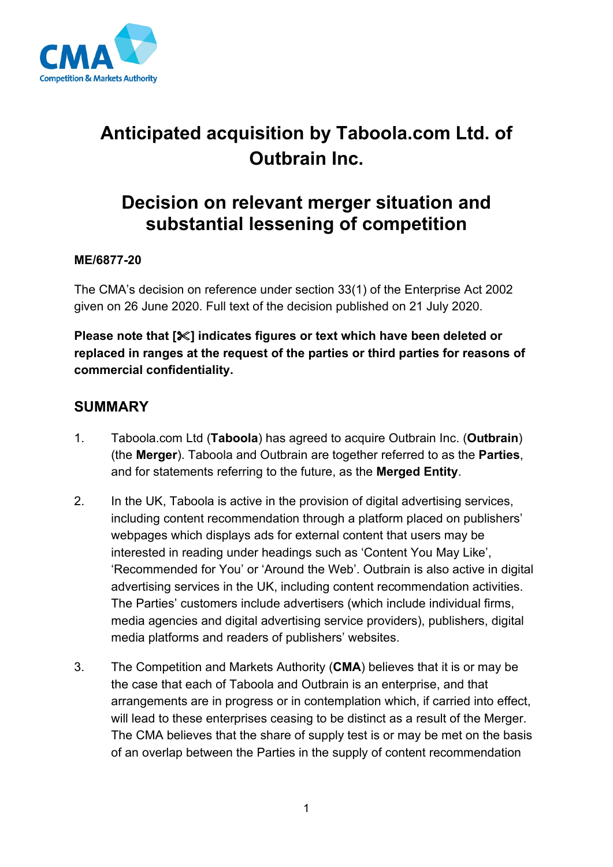

# **Anticipated acquisition by Taboola.com Ltd. of Outbrain Inc.**

# **Decision on relevant merger situation and substantial lessening of competition**

#### **ME/6877-20**

The CMA's decision on reference under section 33(1) of the Enterprise Act 2002 given on 26 June 2020. Full text of the decision published on 21 July 2020.

**Please note that [] indicates figures or text which have been deleted or replaced in ranges at the request of the parties or third parties for reasons of commercial confidentiality.**

## **SUMMARY**

- 1. Taboola.com Ltd (**Taboola**) has agreed to acquire Outbrain Inc. (**Outbrain**) (the **Merger**). Taboola and Outbrain are together referred to as the **Parties**, and for statements referring to the future, as the **Merged Entity**.
- 2. In the UK, Taboola is active in the provision of digital advertising services, including content recommendation through a platform placed on publishers' webpages which displays ads for external content that users may be interested in reading under headings such as 'Content You May Like', 'Recommended for You' or 'Around the Web'. Outbrain is also active in digital advertising services in the UK, including content recommendation activities. The Parties' customers include advertisers (which include individual firms, media agencies and digital advertising service providers), publishers, digital media platforms and readers of publishers' websites.
- 3. The Competition and Markets Authority (**CMA**) believes that it is or may be the case that each of Taboola and Outbrain is an enterprise, and that arrangements are in progress or in contemplation which, if carried into effect, will lead to these enterprises ceasing to be distinct as a result of the Merger. The CMA believes that the share of supply test is or may be met on the basis of an overlap between the Parties in the supply of content recommendation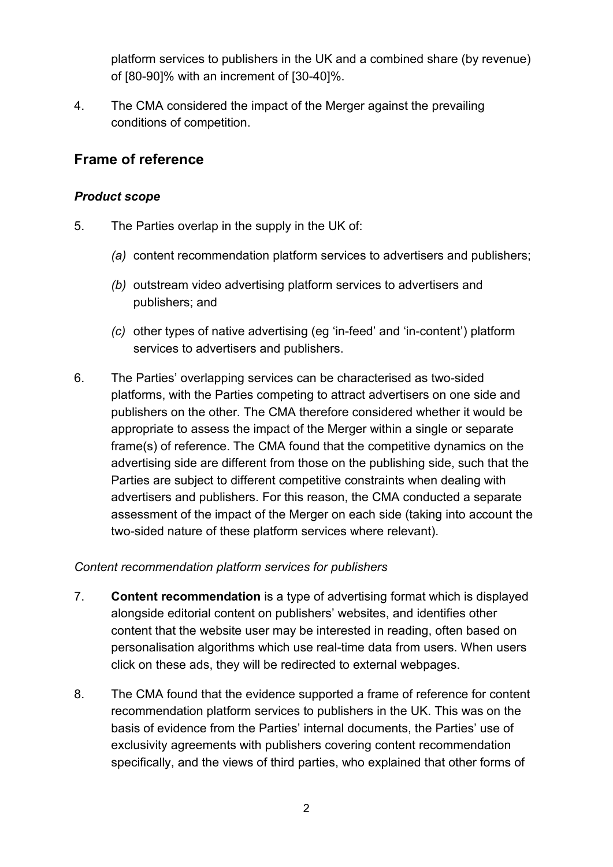platform services to publishers in the UK and a combined share (by revenue) of [80-90]% with an increment of [30-40]%.

4. The CMA considered the impact of the Merger against the prevailing conditions of competition.

## **Frame of reference**

#### *Product scope*

- 5. The Parties overlap in the supply in the UK of:
	- *(a)* content recommendation platform services to advertisers and publishers;
	- *(b)* outstream video advertising platform services to advertisers and publishers; and
	- *(c)* other types of native advertising (eg 'in-feed' and 'in-content') platform services to advertisers and publishers.
- 6. The Parties' overlapping services can be characterised as two-sided platforms, with the Parties competing to attract advertisers on one side and publishers on the other. The CMA therefore considered whether it would be appropriate to assess the impact of the Merger within a single or separate frame(s) of reference. The CMA found that the competitive dynamics on the advertising side are different from those on the publishing side, such that the Parties are subject to different competitive constraints when dealing with advertisers and publishers. For this reason, the CMA conducted a separate assessment of the impact of the Merger on each side (taking into account the two-sided nature of these platform services where relevant).

#### *Content recommendation platform services for publishers*

- 7. **Content recommendation** is a type of advertising format which is displayed alongside editorial content on publishers' websites, and identifies other content that the website user may be interested in reading, often based on personalisation algorithms which use real-time data from users. When users click on these ads, they will be redirected to external webpages.
- 8. The CMA found that the evidence supported a frame of reference for content recommendation platform services to publishers in the UK. This was on the basis of evidence from the Parties' internal documents, the Parties' use of exclusivity agreements with publishers covering content recommendation specifically, and the views of third parties, who explained that other forms of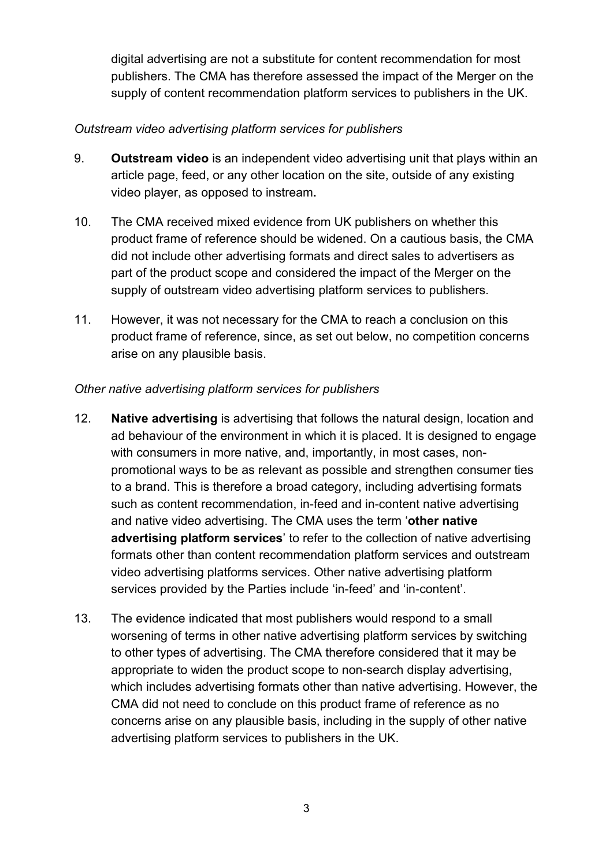digital advertising are not a substitute for content recommendation for most publishers. The CMA has therefore assessed the impact of the Merger on the supply of content recommendation platform services to publishers in the UK.

#### *Outstream video advertising platform services for publishers*

- 9. **Outstream video** is an independent video advertising unit that plays within an article page, feed, or any other location on the site, outside of any existing video player, as opposed to instream**.**
- 10. The CMA received mixed evidence from UK publishers on whether this product frame of reference should be widened. On a cautious basis, the CMA did not include other advertising formats and direct sales to advertisers as part of the product scope and considered the impact of the Merger on the supply of outstream video advertising platform services to publishers.
- 11. However, it was not necessary for the CMA to reach a conclusion on this product frame of reference, since, as set out below, no competition concerns arise on any plausible basis.

#### *Other native advertising platform services for publishers*

- 12. **Native advertising** is advertising that follows the natural design, location and ad behaviour of the environment in which it is placed. It is designed to engage with consumers in more native, and, importantly, in most cases, nonpromotional ways to be as relevant as possible and strengthen consumer ties to a brand. This is therefore a broad category, including advertising formats such as content recommendation, in-feed and in-content native advertising and native video advertising. The CMA uses the term '**other native advertising platform services**' to refer to the collection of native advertising formats other than content recommendation platform services and outstream video advertising platforms services. Other native advertising platform services provided by the Parties include 'in-feed' and 'in-content'.
- 13. The evidence indicated that most publishers would respond to a small worsening of terms in other native advertising platform services by switching to other types of advertising. The CMA therefore considered that it may be appropriate to widen the product scope to non-search display advertising, which includes advertising formats other than native advertising. However, the CMA did not need to conclude on this product frame of reference as no concerns arise on any plausible basis, including in the supply of other native advertising platform services to publishers in the UK.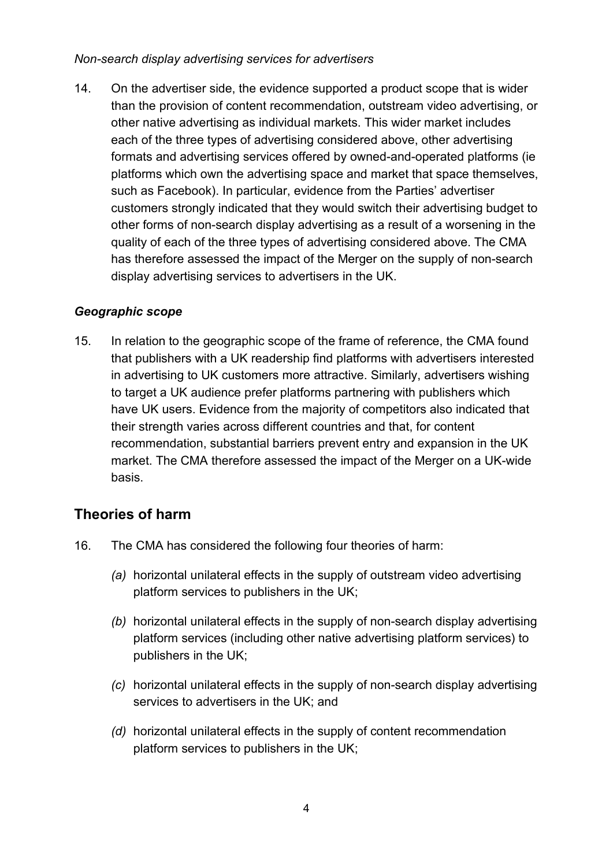#### *Non-search display advertising services for advertisers*

14. On the advertiser side, the evidence supported a product scope that is wider than the provision of content recommendation, outstream video advertising, or other native advertising as individual markets. This wider market includes each of the three types of advertising considered above, other advertising formats and advertising services offered by owned-and-operated platforms (ie platforms which own the advertising space and market that space themselves, such as Facebook). In particular, evidence from the Parties' advertiser customers strongly indicated that they would switch their advertising budget to other forms of non-search display advertising as a result of a worsening in the quality of each of the three types of advertising considered above. The CMA has therefore assessed the impact of the Merger on the supply of non-search display advertising services to advertisers in the UK.

#### *Geographic scope*

15. In relation to the geographic scope of the frame of reference, the CMA found that publishers with a UK readership find platforms with advertisers interested in advertising to UK customers more attractive. Similarly, advertisers wishing to target a UK audience prefer platforms partnering with publishers which have UK users. Evidence from the majority of competitors also indicated that their strength varies across different countries and that, for content recommendation, substantial barriers prevent entry and expansion in the UK market. The CMA therefore assessed the impact of the Merger on a UK-wide basis.

## **Theories of harm**

- 16. The CMA has considered the following four theories of harm:
	- *(a)* horizontal unilateral effects in the supply of outstream video advertising platform services to publishers in the UK;
	- *(b)* horizontal unilateral effects in the supply of non-search display advertising platform services (including other native advertising platform services) to publishers in the UK;
	- *(c)* horizontal unilateral effects in the supply of non-search display advertising services to advertisers in the UK; and
	- *(d)* horizontal unilateral effects in the supply of content recommendation platform services to publishers in the UK;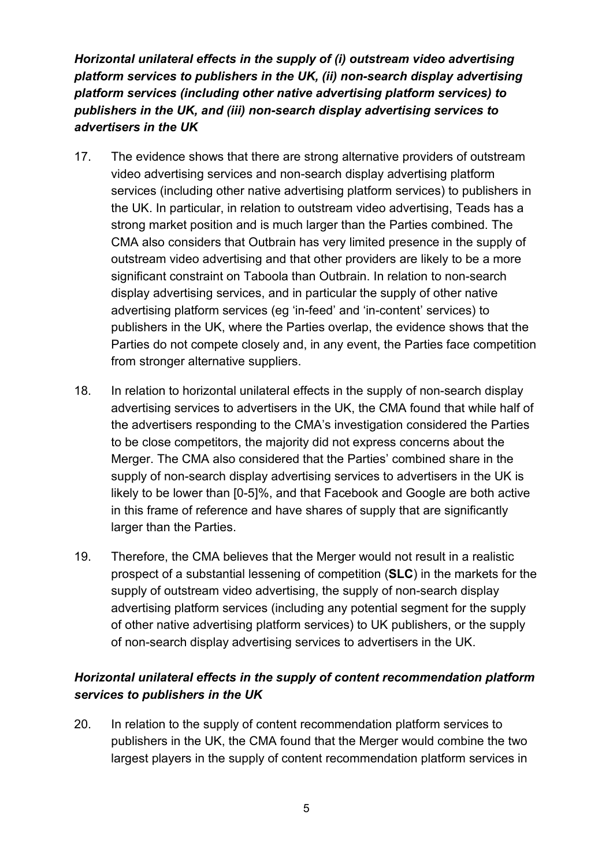*Horizontal unilateral effects in the supply of (i) outstream video advertising platform services to publishers in the UK, (ii) non-search display advertising platform services (including other native advertising platform services) to publishers in the UK, and (iii) non-search display advertising services to advertisers in the UK*

- 17. The evidence shows that there are strong alternative providers of outstream video advertising services and non-search display advertising platform services (including other native advertising platform services) to publishers in the UK. In particular, in relation to outstream video advertising, Teads has a strong market position and is much larger than the Parties combined. The CMA also considers that Outbrain has very limited presence in the supply of outstream video advertising and that other providers are likely to be a more significant constraint on Taboola than Outbrain. In relation to non-search display advertising services, and in particular the supply of other native advertising platform services (eg 'in-feed' and 'in-content' services) to publishers in the UK, where the Parties overlap, the evidence shows that the Parties do not compete closely and, in any event, the Parties face competition from stronger alternative suppliers.
- 18. In relation to horizontal unilateral effects in the supply of non-search display advertising services to advertisers in the UK, the CMA found that while half of the advertisers responding to the CMA's investigation considered the Parties to be close competitors, the majority did not express concerns about the Merger. The CMA also considered that the Parties' combined share in the supply of non-search display advertising services to advertisers in the UK is likely to be lower than [0-5]%, and that Facebook and Google are both active in this frame of reference and have shares of supply that are significantly larger than the Parties.
- 19. Therefore, the CMA believes that the Merger would not result in a realistic prospect of a substantial lessening of competition (**SLC**) in the markets for the supply of outstream video advertising, the supply of non-search display advertising platform services (including any potential segment for the supply of other native advertising platform services) to UK publishers, or the supply of non-search display advertising services to advertisers in the UK.

## *Horizontal unilateral effects in the supply of content recommendation platform services to publishers in the UK*

20. In relation to the supply of content recommendation platform services to publishers in the UK, the CMA found that the Merger would combine the two largest players in the supply of content recommendation platform services in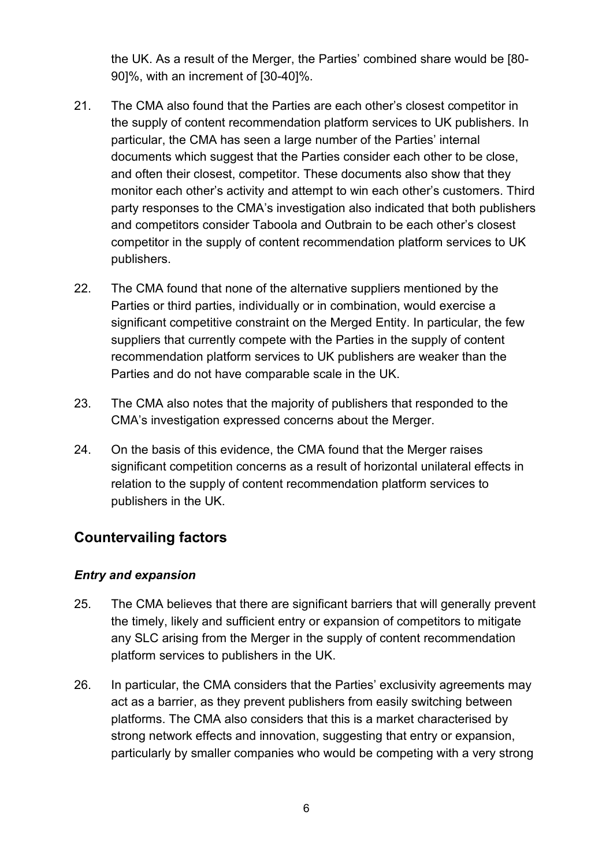the UK. As a result of the Merger, the Parties' combined share would be [80- 90]%, with an increment of [30-40]%.

- 21. The CMA also found that the Parties are each other's closest competitor in the supply of content recommendation platform services to UK publishers. In particular, the CMA has seen a large number of the Parties' internal documents which suggest that the Parties consider each other to be close, and often their closest, competitor. These documents also show that they monitor each other's activity and attempt to win each other's customers. Third party responses to the CMA's investigation also indicated that both publishers and competitors consider Taboola and Outbrain to be each other's closest competitor in the supply of content recommendation platform services to UK publishers.
- 22. The CMA found that none of the alternative suppliers mentioned by the Parties or third parties, individually or in combination, would exercise a significant competitive constraint on the Merged Entity. In particular, the few suppliers that currently compete with the Parties in the supply of content recommendation platform services to UK publishers are weaker than the Parties and do not have comparable scale in the UK.
- 23. The CMA also notes that the majority of publishers that responded to the CMA's investigation expressed concerns about the Merger.
- 24. On the basis of this evidence, the CMA found that the Merger raises significant competition concerns as a result of horizontal unilateral effects in relation to the supply of content recommendation platform services to publishers in the UK.

# **Countervailing factors**

#### *Entry and expansion*

- 25. The CMA believes that there are significant barriers that will generally prevent the timely, likely and sufficient entry or expansion of competitors to mitigate any SLC arising from the Merger in the supply of content recommendation platform services to publishers in the UK.
- 26. In particular, the CMA considers that the Parties' exclusivity agreements may act as a barrier, as they prevent publishers from easily switching between platforms. The CMA also considers that this is a market characterised by strong network effects and innovation, suggesting that entry or expansion, particularly by smaller companies who would be competing with a very strong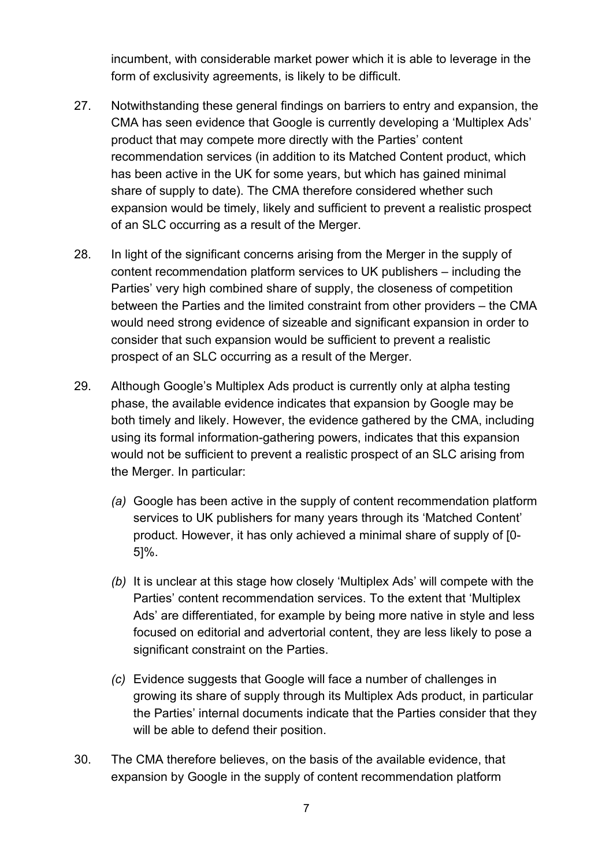incumbent, with considerable market power which it is able to leverage in the form of exclusivity agreements, is likely to be difficult.

- 27. Notwithstanding these general findings on barriers to entry and expansion, the CMA has seen evidence that Google is currently developing a 'Multiplex Ads' product that may compete more directly with the Parties' content recommendation services (in addition to its Matched Content product, which has been active in the UK for some years, but which has gained minimal share of supply to date). The CMA therefore considered whether such expansion would be timely, likely and sufficient to prevent a realistic prospect of an SLC occurring as a result of the Merger.
- 28. In light of the significant concerns arising from the Merger in the supply of content recommendation platform services to UK publishers – including the Parties' very high combined share of supply, the closeness of competition between the Parties and the limited constraint from other providers – the CMA would need strong evidence of sizeable and significant expansion in order to consider that such expansion would be sufficient to prevent a realistic prospect of an SLC occurring as a result of the Merger.
- 29. Although Google's Multiplex Ads product is currently only at alpha testing phase, the available evidence indicates that expansion by Google may be both timely and likely. However, the evidence gathered by the CMA, including using its formal information-gathering powers, indicates that this expansion would not be sufficient to prevent a realistic prospect of an SLC arising from the Merger. In particular:
	- *(a)* Google has been active in the supply of content recommendation platform services to UK publishers for many years through its 'Matched Content' product. However, it has only achieved a minimal share of supply of [0- 5]%.
	- *(b)* It is unclear at this stage how closely 'Multiplex Ads' will compete with the Parties' content recommendation services. To the extent that 'Multiplex Ads' are differentiated, for example by being more native in style and less focused on editorial and advertorial content, they are less likely to pose a significant constraint on the Parties.
	- *(c)* Evidence suggests that Google will face a number of challenges in growing its share of supply through its Multiplex Ads product, in particular the Parties' internal documents indicate that the Parties consider that they will be able to defend their position.
- 30. The CMA therefore believes, on the basis of the available evidence, that expansion by Google in the supply of content recommendation platform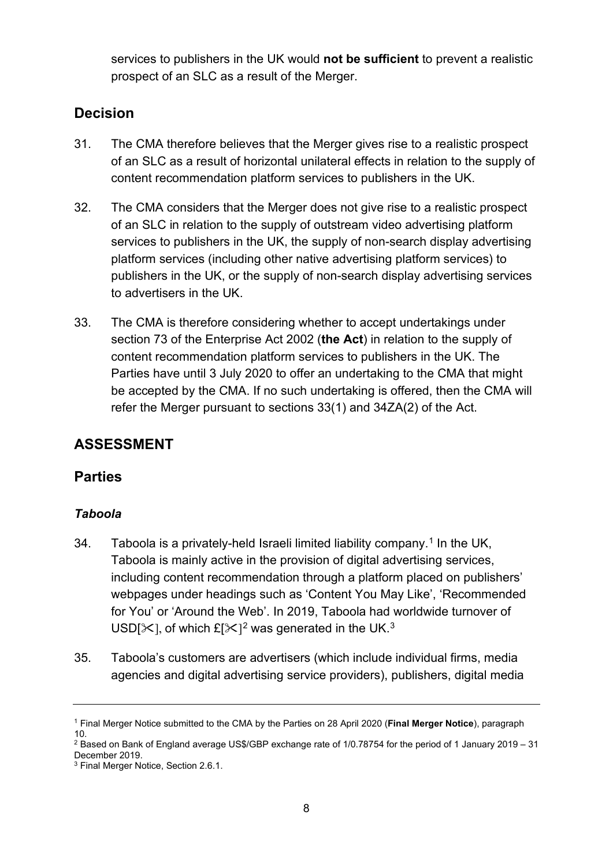services to publishers in the UK would **not be sufficient** to prevent a realistic prospect of an SLC as a result of the Merger.

# **Decision**

- 31. The CMA therefore believes that the Merger gives rise to a realistic prospect of an SLC as a result of horizontal unilateral effects in relation to the supply of content recommendation platform services to publishers in the UK.
- 32. The CMA considers that the Merger does not give rise to a realistic prospect of an SLC in relation to the supply of outstream video advertising platform services to publishers in the UK, the supply of non-search display advertising platform services (including other native advertising platform services) to publishers in the UK, or the supply of non-search display advertising services to advertisers in the UK.
- 33. The CMA is therefore considering whether to accept undertakings under section 73 of the Enterprise Act 2002 (**the Act**) in relation to the supply of content recommendation platform services to publishers in the UK. The Parties have until 3 July 2020 to offer an undertaking to the CMA that might be accepted by the CMA. If no such undertaking is offered, then the CMA will refer the Merger pursuant to sections 33(1) and 34ZA(2) of the Act.

# **ASSESSMENT**

## **Parties**

## *Taboola*

- 34. Taboola is a privately-held Israeli limited liability company.<sup>[1](#page-7-0)</sup> In the UK, Taboola is mainly active in the provision of digital advertising services, including content recommendation through a platform placed on publishers' webpages under headings such as 'Content You May Like', 'Recommended for You' or 'Around the Web'. In 2019, Taboola had worldwide turnover of USD[ $\times$ ], of which £[ $\times$ ]<sup>[2](#page-7-1)</sup> was generated in the UK.<sup>[3](#page-7-2)</sup>
- 35. Taboola's customers are advertisers (which include individual firms, media agencies and digital advertising service providers), publishers, digital media

<span id="page-7-0"></span><sup>1</sup> Final Merger Notice submitted to the CMA by the Parties on 28 April 2020 (**Final Merger Notice**), paragraph 10.

<span id="page-7-1"></span><sup>2</sup> Based on Bank of England average US\$/GBP exchange rate of 1/0.78754 for the period of 1 January 2019 – 31 December 2019.

<span id="page-7-2"></span><sup>3</sup> Final Merger Notice, Section 2.6.1.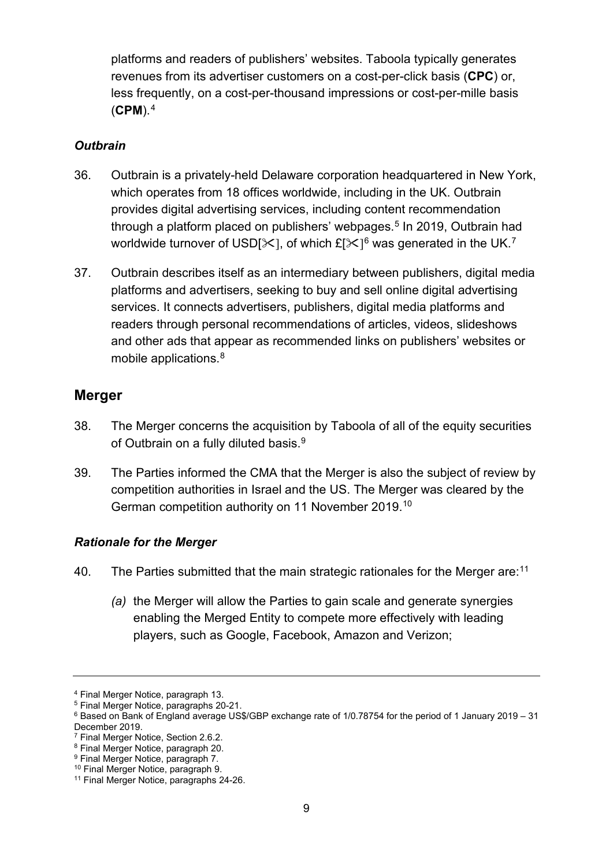platforms and readers of publishers' websites. Taboola typically generates revenues from its advertiser customers on a cost-per-click basis (**CPC**) or, less frequently, on a cost-per-thousand impressions or cost-per-mille basis (**CPM**).[4](#page-8-0)

#### *Outbrain*

- 36. Outbrain is a privately-held Delaware corporation headquartered in New York, which operates from 18 offices worldwide, including in the UK. Outbrain provides digital advertising services, including content recommendation through a platform placed on publishers' webpages. [5](#page-8-1) In 2019, Outbrain had worldwide turnover of USD[ $\times$ ], of which £[ $\times$ ]<sup>[6](#page-8-2)</sup> was generated in the UK.<sup>[7](#page-8-3)</sup>
- 37. Outbrain describes itself as an intermediary between publishers, digital media platforms and advertisers, seeking to buy and sell online digital advertising services. It connects advertisers, publishers, digital media platforms and readers through personal recommendations of articles, videos, slideshows and other ads that appear as recommended links on publishers' websites or mobile applications.<sup>[8](#page-8-4)</sup>

## **Merger**

- 38. The Merger concerns the acquisition by Taboola of all of the equity securities of Outbrain on a fully diluted basis.<sup>[9](#page-8-5)</sup>
- 39. The Parties informed the CMA that the Merger is also the subject of review by competition authorities in Israel and the US. The Merger was cleared by the German competition authority on 11 November 2019. [10](#page-8-6)

## *Rationale for the Merger*

- 40. The Parties submitted that the main strategic rationales for the Merger are:<sup>11</sup>
	- *(a)* the Merger will allow the Parties to gain scale and generate synergies enabling the Merged Entity to compete more effectively with leading players, such as Google, Facebook, Amazon and Verizon;

<span id="page-8-0"></span><sup>4</sup> Final Merger Notice, paragraph 13.

<span id="page-8-1"></span><sup>5</sup> Final Merger Notice, paragraphs 20-21.

<span id="page-8-2"></span><sup>6</sup> Based on Bank of England average US\$/GBP exchange rate of 1/0.78754 for the period of 1 January 2019 – 31 December 2019.

<span id="page-8-3"></span><sup>7</sup> Final Merger Notice, Section 2.6.2.

<span id="page-8-4"></span><sup>8</sup> Final Merger Notice, paragraph 20.

<span id="page-8-5"></span><sup>9</sup> Final Merger Notice, paragraph 7.

<sup>10</sup> Final Merger Notice, paragraph 9.

<span id="page-8-7"></span><span id="page-8-6"></span><sup>&</sup>lt;sup>11</sup> Final Merger Notice, paragraphs 24-26.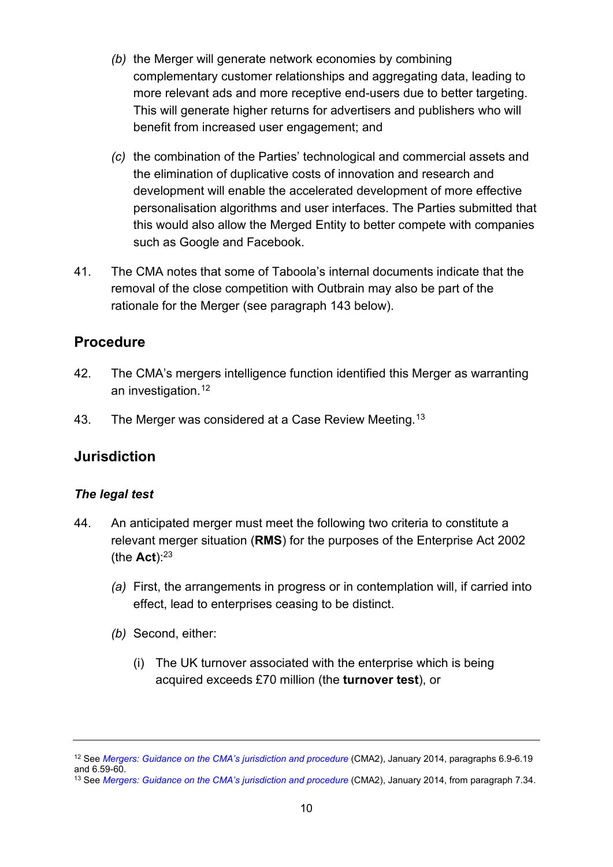- *(b)* the Merger will generate network economies by combining complementary customer relationships and aggregating data, leading to more relevant ads and more receptive end-users due to better targeting. This will generate higher returns for advertisers and publishers who will benefit from increased user engagement; and
- *(c)* the combination of the Parties' technological and commercial assets and the elimination of duplicative costs of innovation and research and development will enable the accelerated development of more effective personalisation algorithms and user interfaces. The Parties submitted that this would also allow the Merged Entity to better compete with companies such as Google and Facebook.
- 41. The CMA notes that some of Taboola's internal documents indicate that the removal of the close competition with Outbrain may also be part of the rationale for the Merger (see paragraph [143](#page-38-0) below).

## **Procedure**

- 42. The CMA's mergers intelligence function identified this Merger as warranting an investigation.<sup>[12](#page-9-0)</sup>
- 43. The Merger was considered at a Case Review Meeting.<sup>[13](#page-9-1)</sup>

## **Jurisdiction**

#### *The legal test*

- 44. An anticipated merger must meet the following two criteria to constitute a relevant merger situation (**RMS**) for the purposes of the Enterprise Act 2002 (the **Act**):23
	- *(a)* First, the arrangements in progress or in contemplation will, if carried into effect, lead to enterprises ceasing to be distinct.
	- *(b)* Second, either:
		- (i) The UK turnover associated with the enterprise which is being acquired exceeds £70 million (the **turnover test**), or

<span id="page-9-0"></span><sup>&</sup>lt;sup>12</sup> See *[Mergers: Guidance on the CMA's jurisdiction and procedure](https://www.gov.uk/government/publications/mergers-guidance-on-the-cmas-jurisdiction-and-procedure)* (CMA2), January 2014, paragraphs 6.9-6.19 and 6.59-60.

<span id="page-9-1"></span><sup>&</sup>lt;sup>13</sup> See *[Mergers: Guidance on the CMA's jurisdiction and procedure](https://www.gov.uk/government/publications/mergers-guidance-on-the-cmas-jurisdiction-and-procedure)* (CMA2), January 2014, from paragraph 7.34.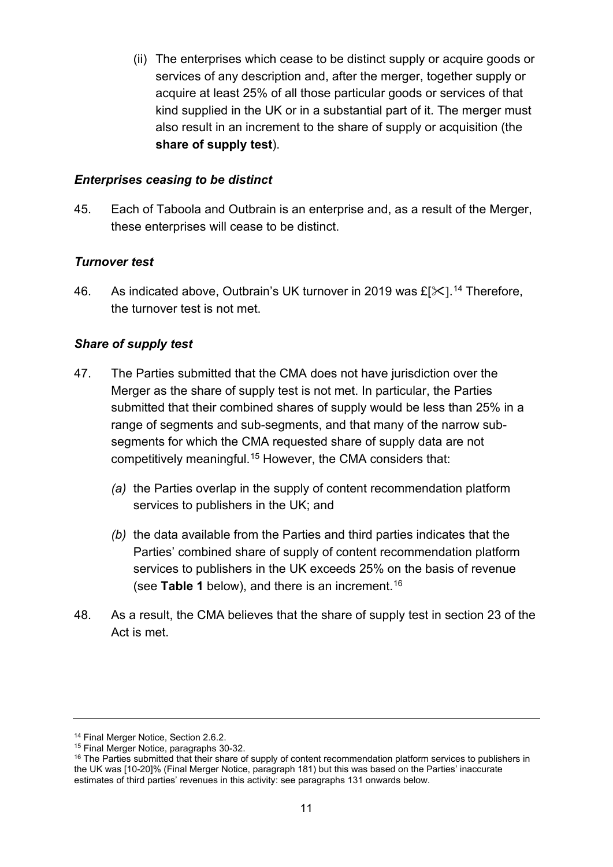(ii) The enterprises which cease to be distinct supply or acquire goods or services of any description and, after the merger, together supply or acquire at least 25% of all those particular goods or services of that kind supplied in the UK or in a substantial part of it. The merger must also result in an increment to the share of supply or acquisition (the **share of supply test**).

#### *Enterprises ceasing to be distinct*

45. Each of Taboola and Outbrain is an enterprise and, as a result of the Merger, these enterprises will cease to be distinct.

#### *Turnover test*

46. As indicated above, Outbrain's UK turnover in 2019 was £[ $\ll$ ].<sup>[14](#page-10-0)</sup> Therefore, the turnover test is not met.

#### *Share of supply test*

- 47. The Parties submitted that the CMA does not have jurisdiction over the Merger as the share of supply test is not met. In particular, the Parties submitted that their combined shares of supply would be less than 25% in a range of segments and sub-segments, and that many of the narrow subsegments for which the CMA requested share of supply data are not competitively meaningful.[15](#page-10-1) However, the CMA considers that:
	- *(a)* the Parties overlap in the supply of content recommendation platform services to publishers in the UK; and
	- *(b)* the data available from the Parties and third parties indicates that the Parties' combined share of supply of content recommendation platform services to publishers in the UK exceeds 25% on the basis of revenue (see **Table 1** below), and there is an increment.[16](#page-10-2)
- 48. As a result, the CMA believes that the share of supply test in section 23 of the Act is met.

<span id="page-10-0"></span><sup>&</sup>lt;sup>14</sup> Final Merger Notice, Section 2.6.2.<br><sup>15</sup> Final Merger Notice, paragraphs 30-32.

<span id="page-10-2"></span><span id="page-10-1"></span><sup>&</sup>lt;sup>16</sup> The Parties submitted that their share of supply of content recommendation platform services to publishers in the UK was [10-20]% (Final Merger Notice, paragraph 181) but this was based on the Parties' inaccurate estimates of third parties' revenues in this activity: see paragraphs [131](#page-33-0) onwards below.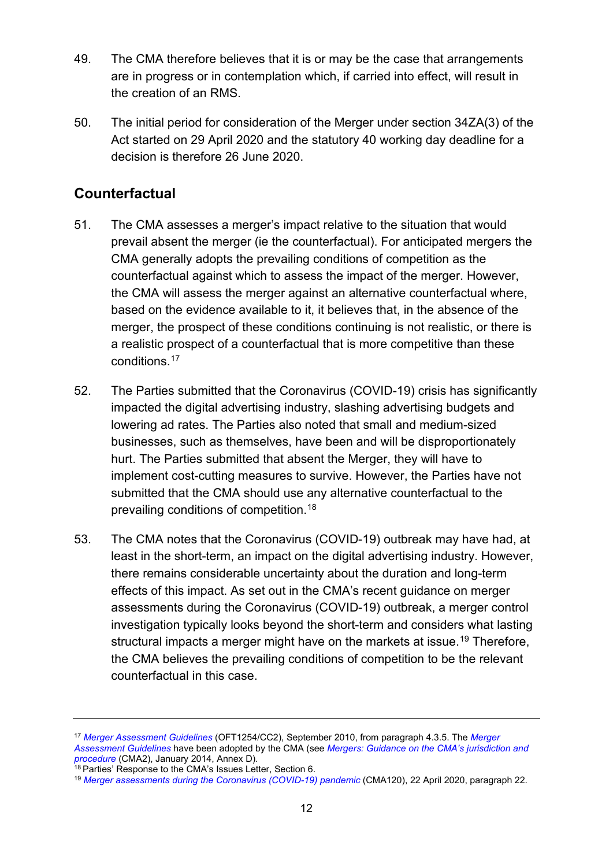- 49. The CMA therefore believes that it is or may be the case that arrangements are in progress or in contemplation which, if carried into effect, will result in the creation of an RMS.
- 50. The initial period for consideration of the Merger under section 34ZA(3) of the Act started on 29 April 2020 and the statutory 40 working day deadline for a decision is therefore 26 June 2020.

## **Counterfactual**

- 51. The CMA assesses a merger's impact relative to the situation that would prevail absent the merger (ie the counterfactual). For anticipated mergers the CMA generally adopts the prevailing conditions of competition as the counterfactual against which to assess the impact of the merger. However, the CMA will assess the merger against an alternative counterfactual where, based on the evidence available to it, it believes that, in the absence of the merger, the prospect of these conditions continuing is not realistic, or there is a realistic prospect of a counterfactual that is more competitive than these conditions. [17](#page-11-0)
- 52. The Parties submitted that the Coronavirus (COVID-19) crisis has significantly impacted the digital advertising industry, slashing advertising budgets and lowering ad rates. The Parties also noted that small and medium-sized businesses, such as themselves, have been and will be disproportionately hurt. The Parties submitted that absent the Merger, they will have to implement cost-cutting measures to survive. However, the Parties have not submitted that the CMA should use any alternative counterfactual to the prevailing conditions of competition. [18](#page-11-1)
- 53. The CMA notes that the Coronavirus (COVID-19) outbreak may have had, at least in the short-term, an impact on the digital advertising industry. However, there remains considerable uncertainty about the duration and long-term effects of this impact. As set out in the CMA's recent guidance on merger assessments during the Coronavirus (COVID-19) outbreak, a merger control investigation typically looks beyond the short-term and considers what lasting structural impacts a merger might have on the markets at issue. [19](#page-11-2) Therefore, the CMA believes the prevailing conditions of competition to be the relevant counterfactual in this case.

<span id="page-11-0"></span><sup>17</sup> *[Merger Assessment Guidelines](https://www.gov.uk/government/publications/merger-assessment-guidelines)* (OFT1254/CC2), September 2010, from paragraph 4.3.5. The *[Merger](https://www.gov.uk/government/publications/merger-assessment-guidelines)  [Assessment Guidelines](https://www.gov.uk/government/publications/merger-assessment-guidelines)* have been adopted by the CMA (see *[Mergers: Guidance on the CMA's jurisdiction and](https://www.gov.uk/government/publications/mergers-guidance-on-the-cmas-jurisdiction-and-procedure)  [procedure](https://www.gov.uk/government/publications/mergers-guidance-on-the-cmas-jurisdiction-and-procedure)* (CMA2), January 2014, Annex D).<br><sup>18</sup> Parties' Response to the CMA's Issues Letter, Section 6.

<span id="page-11-1"></span>

<span id="page-11-2"></span><sup>&</sup>lt;sup>19</sup> [Merger assessments during the Coronavirus \(COVID-19\) pandemic](https://assets.publishing.service.gov.uk/government/uploads/system/uploads/attachment_data/file/880570/Merger_assessments_during_the_Coronavirus__COVID-19__pandemic_.pdf) (CMA120), 22 April 2020, paragraph 22.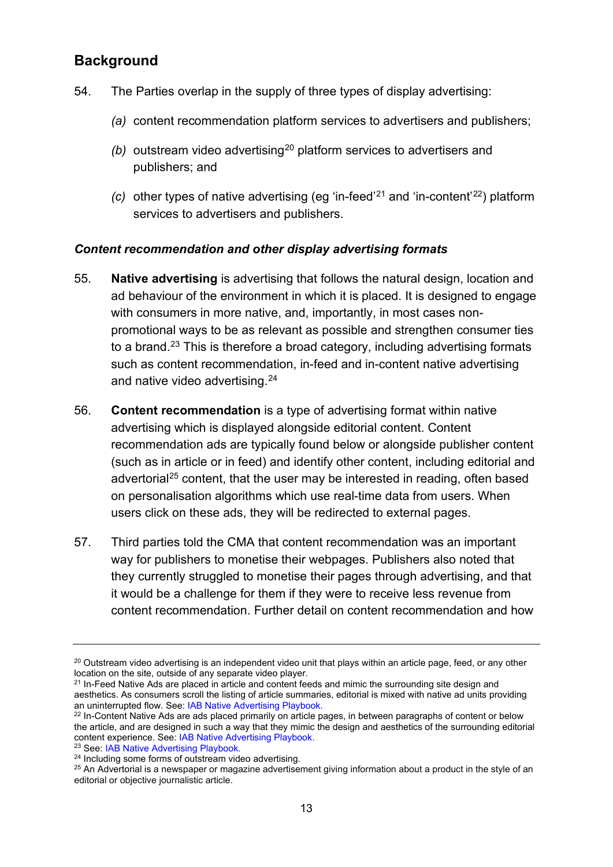## **Background**

- 54. The Parties overlap in the supply of three types of display advertising:
	- *(a)* content recommendation platform services to advertisers and publishers;
	- *(b)* outstream video advertising<sup>[20](#page-12-0)</sup> platform services to advertisers and publishers; and
	- (c) other types of native advertising (eg 'in-feed'<sup>[21](#page-12-1)</sup> and 'in-content'<sup>22</sup>) platform services to advertisers and publishers.

#### *Content recommendation and other display advertising formats*

- 55. **Native advertising** is advertising that follows the natural design, location and ad behaviour of the environment in which it is placed. It is designed to engage with consumers in more native, and, importantly, in most cases nonpromotional ways to be as relevant as possible and strengthen consumer ties to a brand.[23](#page-12-3) This is therefore a broad category, including advertising formats such as content recommendation, in-feed and in-content native advertising and native video advertising. [24](#page-12-4)
- 56. **Content recommendation** is a type of advertising format within native advertising which is displayed alongside editorial content. Content recommendation ads are typically found below or alongside publisher content (such as in article or in feed) and identify other content, including editorial and advertorial [25](#page-12-5) content, that the user may be interested in reading, often based on personalisation algorithms which use real-time data from users. When users click on these ads, they will be redirected to external pages.
- 57. Third parties told the CMA that content recommendation was an important way for publishers to monetise their webpages. Publishers also noted that they currently struggled to monetise their pages through advertising, and that it would be a challenge for them if they were to receive less revenue from content recommendation. Further detail on content recommendation and how

<span id="page-12-0"></span> $^{20}$  Outstream video advertising is an independent video unit that plays within an article page, feed, or any other location on the site. outside of any separate video player.

<span id="page-12-1"></span> $21$  In-Feed Native Ads are placed in article and content feeds and mimic the surrounding site design and aesthetics. As consumers scroll the listing of article summaries, editorial is mixed with native ad units providing an uninterrupted flow. See: [IAB Native Advertising Playbook.](https://www.iab.com/wp-content/uploads/2019/05/IAB-Native-Advertising-Playbook-2_0_Final.pdf)

<span id="page-12-2"></span><sup>&</sup>lt;sup>22</sup> In-Content Native Ads are ads placed primarily on article pages, in between paragraphs of content or below the article, and are designed in such a way that they mimic the design and aesthetics of the surrounding editorial content experience. See: [IAB Native Advertising](https://www.iab.com/wp-content/uploads/2019/05/IAB-Native-Advertising-Playbook-2_0_Final.pdf) Playbook. <sup>23</sup> See: [IAB Native Advertising Playbook.](https://www.iab.com/wp-content/uploads/2019/05/IAB-Native-Advertising-Playbook-2_0_Final.pdf)

<span id="page-12-5"></span><span id="page-12-4"></span><span id="page-12-3"></span><sup>&</sup>lt;sup>24</sup> Including some forms of outstream video advertising.<br><sup>25</sup> An Advertorial is a newspaper or magazine advertisement giving information about a product in the style of an editorial or objective journalistic article.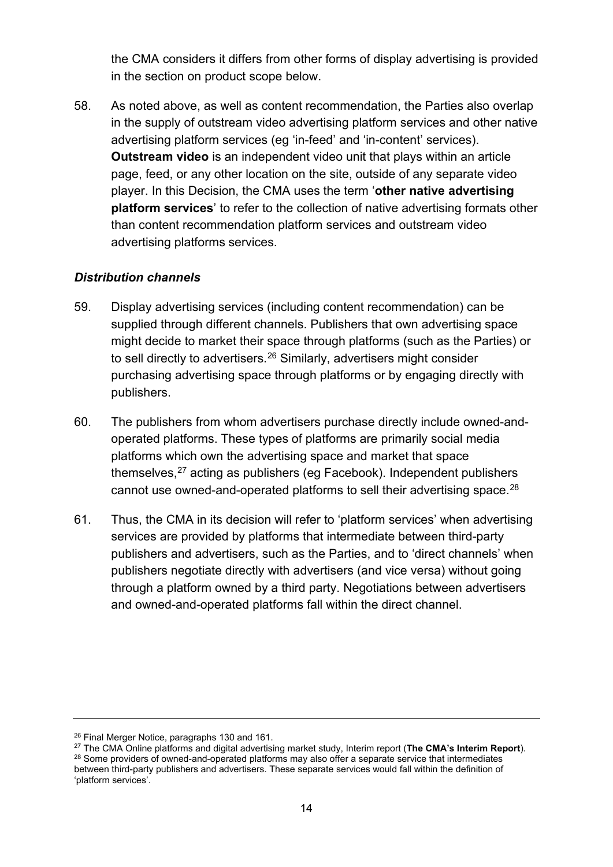the CMA considers it differs from other forms of display advertising is provided in the section on product scope below.

58. As noted above, as well as content recommendation, the Parties also overlap in the supply of outstream video advertising platform services and other native advertising platform services (eg 'in-feed' and 'in-content' services). **Outstream video** is an independent video unit that plays within an article page, feed, or any other location on the site, outside of any separate video player. In this Decision, the CMA uses the term '**other native advertising platform services**' to refer to the collection of native advertising formats other than content recommendation platform services and outstream video advertising platforms services.

#### *Distribution channels*

- 59. Display advertising services (including content recommendation) can be supplied through different channels. Publishers that own advertising space might decide to market their space through platforms (such as the Parties) or to sell directly to advertisers.[26](#page-13-0) Similarly, advertisers might consider purchasing advertising space through platforms or by engaging directly with publishers.
- 60. The publishers from whom advertisers purchase directly include owned-andoperated platforms. These types of platforms are primarily social media platforms which own the advertising space and market that space themselves,[27](#page-13-1) acting as publishers (eg Facebook). Independent publishers cannot use owned-and-operated platforms to sell their advertising space.<sup>[28](#page-13-2)</sup>
- 61. Thus, the CMA in its decision will refer to 'platform services' when advertising services are provided by platforms that intermediate between third-party publishers and advertisers, such as the Parties, and to 'direct channels' when publishers negotiate directly with advertisers (and vice versa) without going through a platform owned by a third party. Negotiations between advertisers and owned-and-operated platforms fall within the direct channel.

<span id="page-13-2"></span><span id="page-13-1"></span><span id="page-13-0"></span><sup>26</sup> Final Merger Notice, paragraphs 130 and 161.<br><sup>27</sup> The CMA Online platforms and digital advertising market study, Interim report (**The CMA's Interim Report**). <sup>28</sup> Some providers of owned-and-operated platforms may also offer a separate service that intermediates between third-party publishers and advertisers. These separate services would fall within the definition of 'platform services'.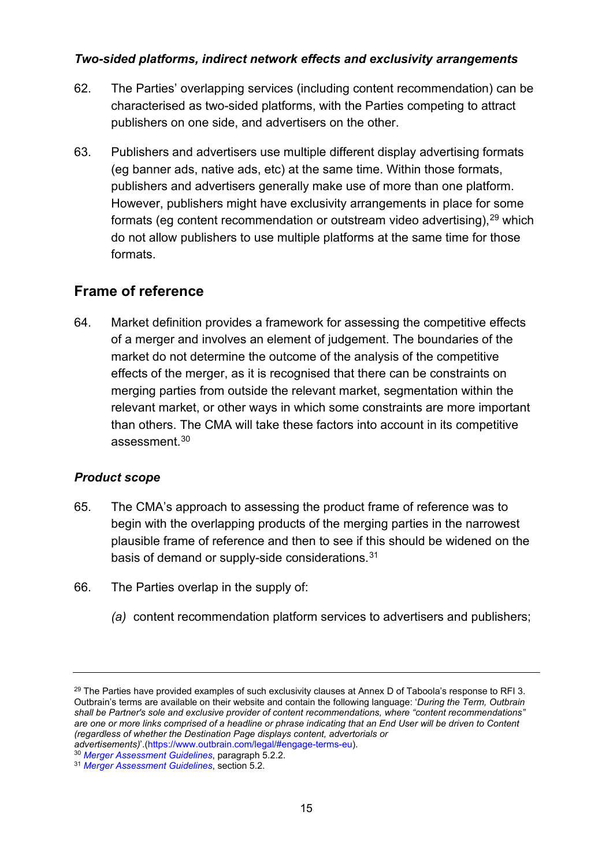#### *Two-sided platforms, indirect network effects and exclusivity arrangements*

- 62. The Parties' overlapping services (including content recommendation) can be characterised as two-sided platforms, with the Parties competing to attract publishers on one side, and advertisers on the other.
- 63. Publishers and advertisers use multiple different display advertising formats (eg banner ads, native ads, etc) at the same time. Within those formats, publishers and advertisers generally make use of more than one platform. However, publishers might have exclusivity arrangements in place for some formats (eg content recommendation or outstream video advertising), $^{29}$  $^{29}$  $^{29}$  which do not allow publishers to use multiple platforms at the same time for those formats.

## **Frame of reference**

64. Market definition provides a framework for assessing the competitive effects of a merger and involves an element of judgement. The boundaries of the market do not determine the outcome of the analysis of the competitive effects of the merger, as it is recognised that there can be constraints on merging parties from outside the relevant market, segmentation within the relevant market, or other ways in which some constraints are more important than others. The CMA will take these factors into account in its competitive assessment.[30](#page-14-1)

#### *Product scope*

- 65. The CMA's approach to assessing the product frame of reference was to begin with the overlapping products of the merging parties in the narrowest plausible frame of reference and then to see if this should be widened on the basis of demand or supply-side considerations.[31](#page-14-2)
- 66. The Parties overlap in the supply of:
	- *(a)* content recommendation platform services to advertisers and publishers;

<span id="page-14-0"></span> $29$  The Parties have provided examples of such exclusivity clauses at Annex D of Taboola's response to RFI 3. Outbrain's terms are available on their website and contain the following language: '*During the Term, Outbrain shall be Partner's sole and exclusive provider of content recommendations, where "content recommendations" are one or more links comprised of a headline or phrase indicating that an End User will be driven to Content (regardless of whether the Destination Page displays content, advertorials or* 

*advertisements)*'.[\(https://www.outbrain.com/legal/#engage-terms-eu\)](https://www.outbrain.com/legal/#engage-terms-eu). 30 *[Merger Assessment Guidelines](https://www.gov.uk/government/publications/merger-assessment-guidelines)*, paragraph 5.2.2.

<span id="page-14-2"></span><span id="page-14-1"></span><sup>31</sup> *[Merger Assessment Guidelines](https://www.gov.uk/government/publications/merger-assessment-guidelines)*, section 5.2.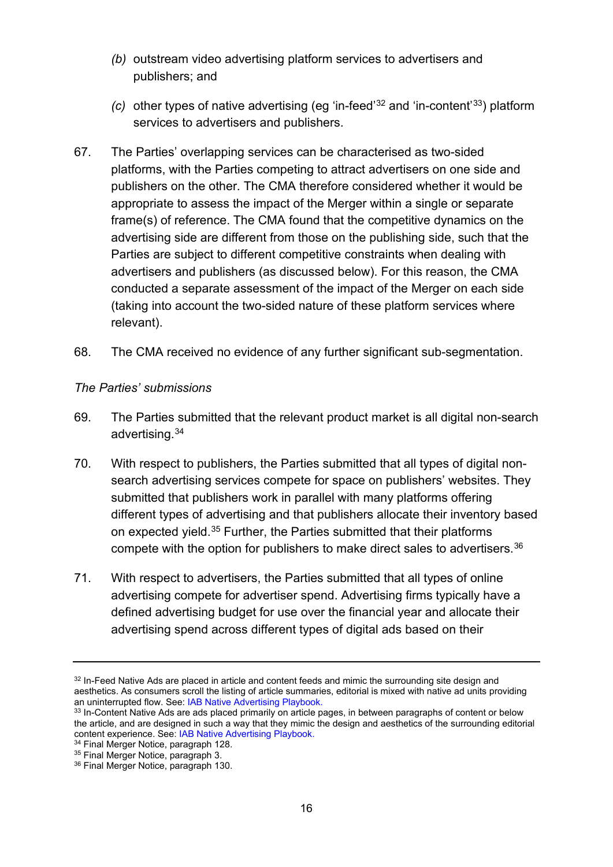- *(b)* outstream video advertising platform services to advertisers and publishers; and
- *(c)* other types of native advertising (eg 'in-feed' [32](#page-15-0) and 'in-content' [33\)](#page-15-1) platform services to advertisers and publishers.
- 67. The Parties' overlapping services can be characterised as two-sided platforms, with the Parties competing to attract advertisers on one side and publishers on the other. The CMA therefore considered whether it would be appropriate to assess the impact of the Merger within a single or separate frame(s) of reference. The CMA found that the competitive dynamics on the advertising side are different from those on the publishing side, such that the Parties are subject to different competitive constraints when dealing with advertisers and publishers (as discussed below). For this reason, the CMA conducted a separate assessment of the impact of the Merger on each side (taking into account the two-sided nature of these platform services where relevant).
- 68. The CMA received no evidence of any further significant sub-segmentation.

#### *The Parties' submissions*

- 69. The Parties submitted that the relevant product market is all digital non-search advertising.[34](#page-15-2)
- 70. With respect to publishers, the Parties submitted that all types of digital nonsearch advertising services compete for space on publishers' websites. They submitted that publishers work in parallel with many platforms offering different types of advertising and that publishers allocate their inventory based on expected yield.[35](#page-15-3) Further, the Parties submitted that their platforms compete with the option for publishers to make direct sales to advertisers.<sup>[36](#page-15-4)</sup>
- 71. With respect to advertisers, the Parties submitted that all types of online advertising compete for advertiser spend. Advertising firms typically have a defined advertising budget for use over the financial year and allocate their advertising spend across different types of digital ads based on their

<span id="page-15-0"></span><sup>&</sup>lt;sup>32</sup> In-Feed Native Ads are placed in article and content feeds and mimic the surrounding site design and aesthetics. As consumers scroll the listing of article summaries, editorial is mixed with native ad units providing an uninterrupted flow. See: [IAB Native Advertising Playbook.](https://www.iab.com/wp-content/uploads/2019/05/IAB-Native-Advertising-Playbook-2_0_Final.pdf)

<span id="page-15-1"></span><sup>33</sup> In-Content Native Ads are ads placed primarily on article pages, in between paragraphs of content or below the article, and are designed in such a way that they mimic the design and aesthetics of the surrounding editorial content experience. See: [IAB Native Advertising](https://www.iab.com/wp-content/uploads/2019/05/IAB-Native-Advertising-Playbook-2_0_Final.pdf) Playbook.<br><sup>34</sup> Final Merger Notice, paragraph 128.

<span id="page-15-3"></span><span id="page-15-2"></span> $35$  Final Merger Notice, paragraph 3.

<span id="page-15-4"></span><sup>36</sup> Final Merger Notice, paragraph 130.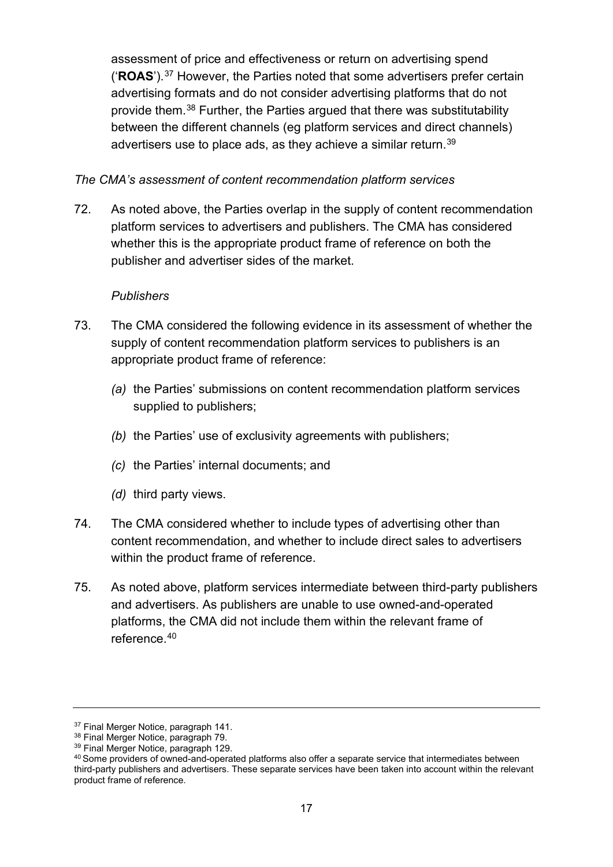assessment of price and effectiveness or return on advertising spend ('**ROAS**').[37](#page-16-0) However, the Parties noted that some advertisers prefer certain advertising formats and do not consider advertising platforms that do not provide them. [38](#page-16-1) Further, the Parties argued that there was substitutability between the different channels (eg platform services and direct channels) advertisers use to place ads, as they achieve a similar return.<sup>[39](#page-16-2)</sup>

#### *The CMA's assessment of content recommendation platform services*

72. As noted above, the Parties overlap in the supply of content recommendation platform services to advertisers and publishers. The CMA has considered whether this is the appropriate product frame of reference on both the publisher and advertiser sides of the market.

#### *Publishers*

- 73. The CMA considered the following evidence in its assessment of whether the supply of content recommendation platform services to publishers is an appropriate product frame of reference:
	- *(a)* the Parties' submissions on content recommendation platform services supplied to publishers;
	- *(b)* the Parties' use of exclusivity agreements with publishers;
	- *(c)* the Parties' internal documents; and
	- *(d)* third party views.
- 74. The CMA considered whether to include types of advertising other than content recommendation, and whether to include direct sales to advertisers within the product frame of reference.
- 75. As noted above, platform services intermediate between third-party publishers and advertisers. As publishers are unable to use owned-and-operated platforms, the CMA did not include them within the relevant frame of reference. [40](#page-16-3)

<span id="page-16-0"></span><sup>&</sup>lt;sup>37</sup> Final Merger Notice, paragraph 141.<br><sup>38</sup> Final Merger Notice, paragraph 79.

<span id="page-16-2"></span><span id="page-16-1"></span><sup>39</sup> Final Merger Notice, paragraph 129.

<span id="page-16-3"></span><sup>40</sup> Some providers of owned-and-operated platforms also offer a separate service that intermediates between third-party publishers and advertisers. These separate services have been taken into account within the relevant product frame of reference.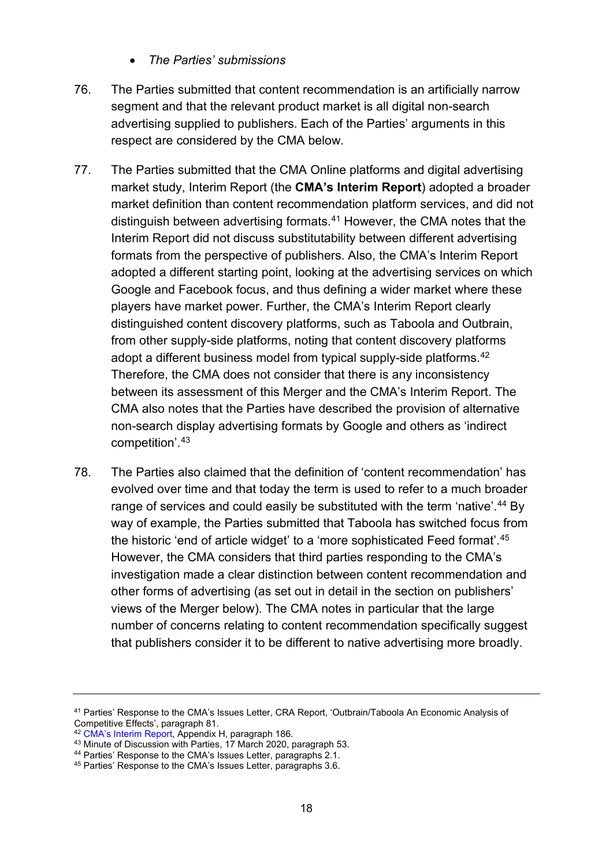- *The Parties' submissions*
- 76. The Parties submitted that content recommendation is an artificially narrow segment and that the relevant product market is all digital non-search advertising supplied to publishers. Each of the Parties' arguments in this respect are considered by the CMA below.
- 77. The Parties submitted that the CMA Online platforms and digital advertising market study, Interim Report (the **CMA's Interim Report**) adopted a broader market definition than content recommendation platform services, and did not distinguish between advertising formats.[41](#page-17-0) However, the CMA notes that the Interim Report did not discuss substitutability between different advertising formats from the perspective of publishers. Also, the CMA's Interim Report adopted a different starting point, looking at the advertising services on which Google and Facebook focus, and thus defining a wider market where these players have market power. Further, the CMA's Interim Report clearly distinguished content discovery platforms, such as Taboola and Outbrain, from other supply-side platforms, noting that content discovery platforms adopt a different business model from typical supply-side platforms.<sup>[42](#page-17-1)</sup> Therefore, the CMA does not consider that there is any inconsistency between its assessment of this Merger and the CMA's Interim Report. The CMA also notes that the Parties have described the provision of alternative non-search display advertising formats by Google and others as 'indirect competition'.[43](#page-17-2)
- 78. The Parties also claimed that the definition of 'content recommendation' has evolved over time and that today the term is used to refer to a much broader range of services and could easily be substituted with the term 'native'.<sup>[44](#page-17-3)</sup> By way of example, the Parties submitted that Taboola has switched focus from the historic 'end of article widget' to a 'more sophisticated Feed format'.[45](#page-17-4) However, the CMA considers that third parties responding to the CMA's investigation made a clear distinction between content recommendation and other forms of advertising (as set out in detail in the section on publishers' views of the Merger below). The CMA notes in particular that the large number of concerns relating to content recommendation specifically suggest that publishers consider it to be different to native advertising more broadly.

<span id="page-17-1"></span><sup>42</sup> [CMA's Interim Report,](https://assets.publishing.service.gov.uk/media/5ed0f75bd3bf7f4602e98330/Interim_report_---_web.pdf) Appendix H, paragraph 186.<br><sup>43</sup> Minute of Discussion with Parties, 17 March 2020, paragraph 53.

<span id="page-17-0"></span><sup>41</sup> Parties' Response to the CMA's Issues Letter, CRA Report, 'Outbrain/Taboola An Economic Analysis of Competitive Effects', paragraph 81.

<span id="page-17-3"></span><span id="page-17-2"></span><sup>&</sup>lt;sup>44</sup> Parties' Response to the CMA's Issues Letter, paragraphs 2.1.

<span id="page-17-4"></span><sup>45</sup> Parties' Response to the CMA's Issues Letter, paragraphs 3.6.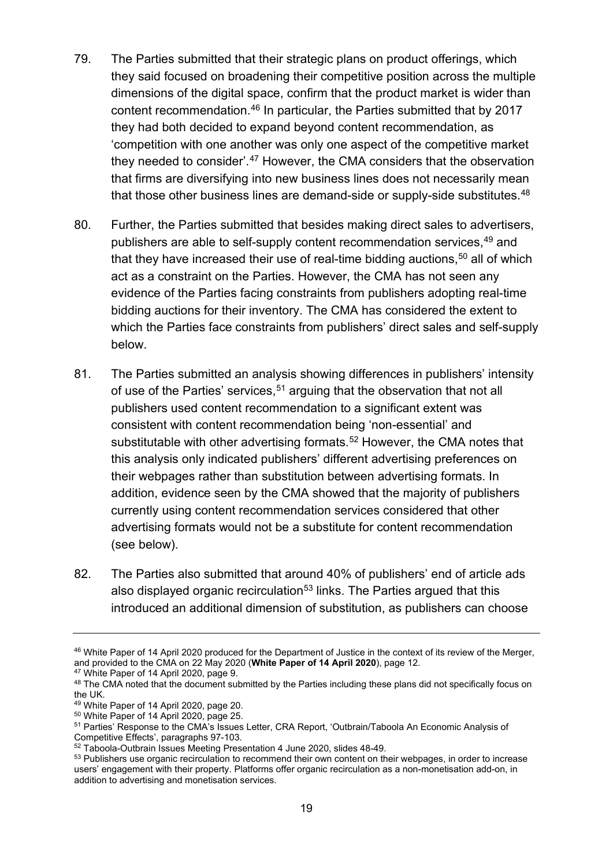- 79. The Parties submitted that their strategic plans on product offerings, which they said focused on broadening their competitive position across the multiple dimensions of the digital space, confirm that the product market is wider than content recommendation.[46](#page-18-0) In particular, the Parties submitted that by 2017 they had both decided to expand beyond content recommendation, as 'competition with one another was only one aspect of the competitive market they needed to consider'.<sup>[47](#page-18-1)</sup> However, the CMA considers that the observation that firms are diversifying into new business lines does not necessarily mean that those other business lines are demand-side or supply-side substitutes.<sup>[48](#page-18-2)</sup>
- 80. Further, the Parties submitted that besides making direct sales to advertisers, publishers are able to self-supply content recommendation services,<sup>[49](#page-18-3)</sup> and that they have increased their use of real-time bidding auctions,  $50$  all of which act as a constraint on the Parties. However, the CMA has not seen any evidence of the Parties facing constraints from publishers adopting real-time bidding auctions for their inventory. The CMA has considered the extent to which the Parties face constraints from publishers' direct sales and self-supply below.
- 81. The Parties submitted an analysis showing differences in publishers' intensity of use of the Parties' services,  $51$  arguing that the observation that not all publishers used content recommendation to a significant extent was consistent with content recommendation being 'non-essential' and substitutable with other advertising formats.<sup>[52](#page-18-6)</sup> However, the CMA notes that this analysis only indicated publishers' different advertising preferences on their webpages rather than substitution between advertising formats. In addition, evidence seen by the CMA showed that the majority of publishers currently using content recommendation services considered that other advertising formats would not be a substitute for content recommendation (see below).
- 82. The Parties also submitted that around 40% of publishers' end of article ads also displayed organic recirculation<sup>[53](#page-18-7)</sup> links. The Parties argued that this introduced an additional dimension of substitution, as publishers can choose

<span id="page-18-0"></span><sup>46</sup> White Paper of 14 April 2020 produced for the Department of Justice in the context of its review of the Merger, and provided to the CMA on 22 May 2020 (**White Paper of 14 April 2020**), page 12.

<span id="page-18-1"></span><sup>47</sup> White Paper of 14 April 2020, page 9.

<span id="page-18-2"></span><sup>48</sup> The CMA noted that the document submitted by the Parties including these plans did not specifically focus on the UK.

<span id="page-18-3"></span><sup>49</sup> White Paper of 14 April 2020, page 20.

<span id="page-18-4"></span><sup>50</sup> White Paper of 14 April 2020, page 25.

<span id="page-18-5"></span><sup>51</sup> Parties' Response to the CMA's Issues Letter, CRA Report, 'Outbrain/Taboola An Economic Analysis of Competitive Effects', paragraphs 97-103.

<span id="page-18-6"></span><sup>52</sup> Taboola-Outbrain Issues Meeting Presentation 4 June 2020, slides 48-49.

<span id="page-18-7"></span><sup>&</sup>lt;sup>53</sup> Publishers use organic recirculation to recommend their own content on their webpages, in order to increase users' engagement with their property. Platforms offer organic recirculation as a non-monetisation add-on, in addition to advertising and monetisation services.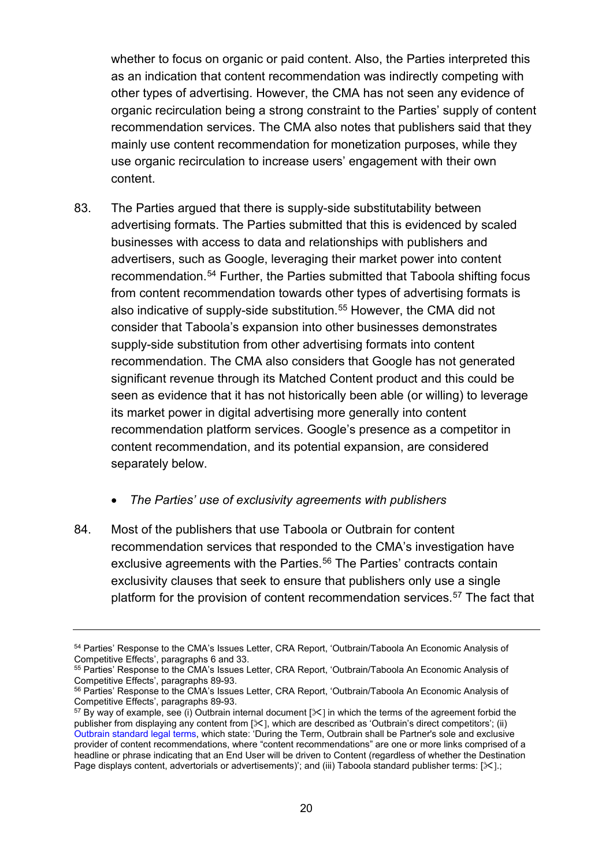whether to focus on organic or paid content. Also, the Parties interpreted this as an indication that content recommendation was indirectly competing with other types of advertising. However, the CMA has not seen any evidence of organic recirculation being a strong constraint to the Parties' supply of content recommendation services. The CMA also notes that publishers said that they mainly use content recommendation for monetization purposes, while they use organic recirculation to increase users' engagement with their own content.

- 83. The Parties argued that there is supply-side substitutability between advertising formats. The Parties submitted that this is evidenced by scaled businesses with access to data and relationships with publishers and advertisers, such as Google, leveraging their market power into content recommendation.[54](#page-19-0) Further, the Parties submitted that Taboola shifting focus from content recommendation towards other types of advertising formats is also indicative of supply-side substitution.<sup>[55](#page-19-1)</sup> However, the CMA did not consider that Taboola's expansion into other businesses demonstrates supply-side substitution from other advertising formats into content recommendation. The CMA also considers that Google has not generated significant revenue through its Matched Content product and this could be seen as evidence that it has not historically been able (or willing) to leverage its market power in digital advertising more generally into content recommendation platform services. Google's presence as a competitor in content recommendation, and its potential expansion, are considered separately below.
	- *The Parties' use of exclusivity agreements with publishers*
- 84. Most of the publishers that use Taboola or Outbrain for content recommendation services that responded to the CMA's investigation have exclusive agreements with the Parties.<sup>[56](#page-19-2)</sup> The Parties' contracts contain exclusivity clauses that seek to ensure that publishers only use a single platform for the provision of content recommendation services.<sup>[57](#page-19-3)</sup> The fact that

<span id="page-19-0"></span><sup>&</sup>lt;sup>54</sup> Parties' Response to the CMA's Issues Letter, CRA Report, 'Outbrain/Taboola An Economic Analysis of Competitive Effects', paragraphs 6 and 33.

<span id="page-19-1"></span><sup>&</sup>lt;sup>55</sup> Parties' Response to the CMA's Issues Letter, CRA Report, 'Outbrain/Taboola An Economic Analysis of Competitive Effects', paragraphs 89-93.

<span id="page-19-2"></span><sup>56</sup> Parties' Response to the CMA's Issues Letter, CRA Report, 'Outbrain/Taboola An Economic Analysis of Competitive Effects', paragraphs 89-93.

<span id="page-19-3"></span> $57$  By way of example, see (i) Outbrain internal document [ $\ll$ ] in which the terms of the agreement forbid the publisher from displaying any content from [ $\times$ ], which are described as 'Outbrain's direct competitors'; (ii) [Outbrain standard legal terms,](https://www.outbrain.com/legal/tos#engage-terms) which state: 'During the Term, Outbrain shall be Partner's sole and exclusive provider of content recommendations, where "content recommendations" are one or more links comprised of a headline or phrase indicating that an End User will be driven to Content (regardless of whether the Destination Page displays content, advertorials or advertisements)'; and (iii) Taboola standard publisher terms: [ $\&$ ].;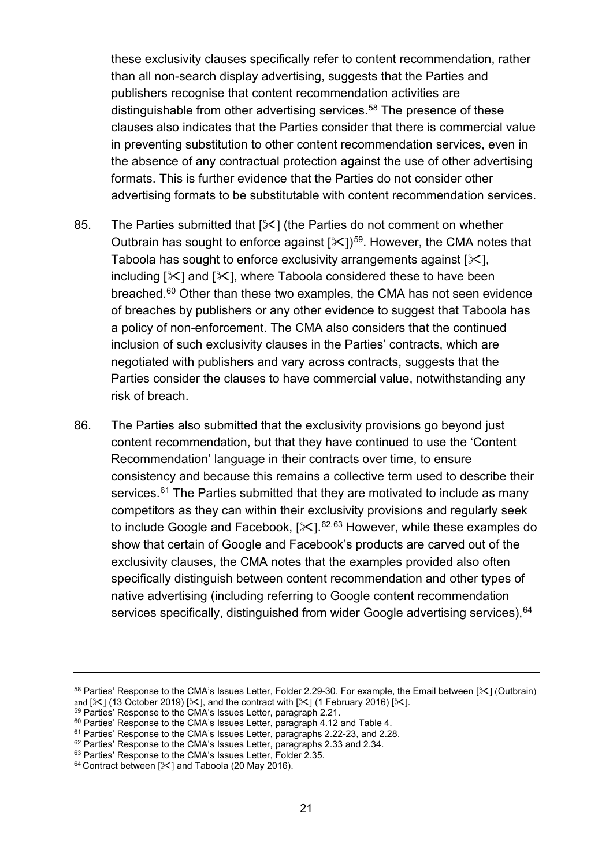these exclusivity clauses specifically refer to content recommendation, rather than all non-search display advertising, suggests that the Parties and publishers recognise that content recommendation activities are distinguishable from other advertising services.<sup>[58](#page-20-0)</sup> The presence of these clauses also indicates that the Parties consider that there is commercial value in preventing substitution to other content recommendation services, even in the absence of any contractual protection against the use of other advertising formats. This is further evidence that the Parties do not consider other advertising formats to be substitutable with content recommendation services.

- 85. The Parties submitted that  $[\frac{1}{1}]$  (the Parties do not comment on whether Outbrain has sought to enforce against  $[31]$ <sup>59</sup>. However, the CMA notes that Taboola has sought to enforce exclusivity arrangements against  $[\times]$ , including  $[\times]$  and  $[\times]$ , where Taboola considered these to have been breached. [60](#page-20-2) Other than these two examples, the CMA has not seen evidence of breaches by publishers or any other evidence to suggest that Taboola has a policy of non-enforcement. The CMA also considers that the continued inclusion of such exclusivity clauses in the Parties' contracts, which are negotiated with publishers and vary across contracts, suggests that the Parties consider the clauses to have commercial value, notwithstanding any risk of breach.
- 86. The Parties also submitted that the exclusivity provisions go beyond just content recommendation, but that they have continued to use the 'Content Recommendation' language in their contracts over time, to ensure consistency and because this remains a collective term used to describe their services.<sup>[61](#page-20-3)</sup> The Parties submitted that they are motivated to include as many competitors as they can within their exclusivity provisions and regularly seek to include Google and Facebook, [※].<sup>[62](#page-20-4),[63](#page-20-5)</sup> However, while these examples do show that certain of Google and Facebook's products are carved out of the exclusivity clauses, the CMA notes that the examples provided also often specifically distinguish between content recommendation and other types of native advertising (including referring to Google content recommendation services specifically, distinguished from wider Google advertising services). [64](#page-20-6)

<span id="page-20-0"></span><sup>58</sup> Parties' Response to the CMA's Issues Letter, Folder 2.29-30. For example, the Email between [ $\le$ ] (Outbrain) and  $[\frac{3}{7}]$  (13 October 2019)  $[\frac{3}{7}]$ , and the contract with  $[\frac{3}{7}]$  (1 February 2016)  $[\frac{3}{7}]$ .<br><sup>59</sup> Parties' Response to the CMA's Issues Letter, paragraph 2.21.<br><sup>60</sup> Parties' Response to the CMA's Issues Letter,

<span id="page-20-1"></span>

<span id="page-20-3"></span><span id="page-20-2"></span>

<span id="page-20-4"></span>

<span id="page-20-6"></span><span id="page-20-5"></span> $64$  Contract between [ $\le$ ] and Taboola (20 May 2016).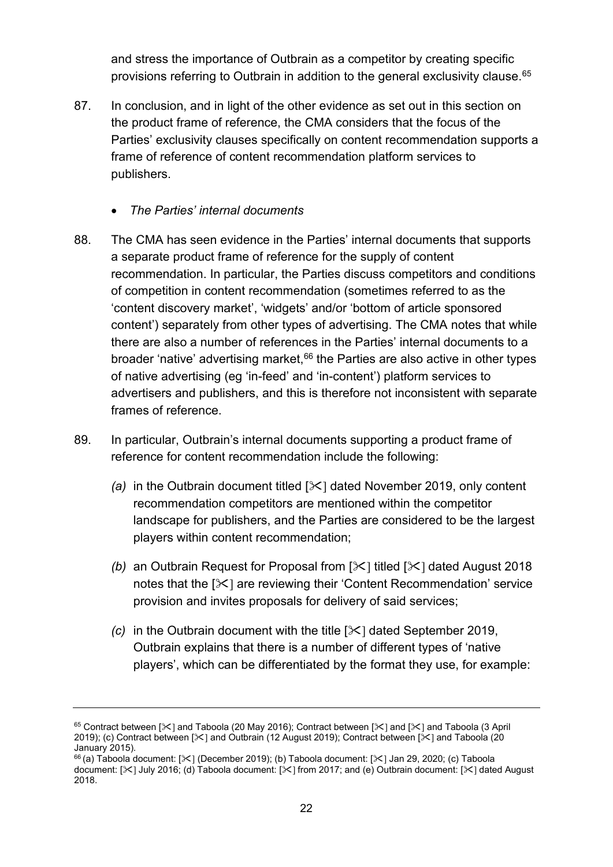and stress the importance of Outbrain as a competitor by creating specific provisions referring to Outbrain in addition to the general exclusivity clause.[65](#page-21-0)

- 87. In conclusion, and in light of the other evidence as set out in this section on the product frame of reference, the CMA considers that the focus of the Parties' exclusivity clauses specifically on content recommendation supports a frame of reference of content recommendation platform services to publishers.
	- *The Parties' internal documents*
- 88. The CMA has seen evidence in the Parties' internal documents that supports a separate product frame of reference for the supply of content recommendation. In particular, the Parties discuss competitors and conditions of competition in content recommendation (sometimes referred to as the 'content discovery market', 'widgets' and/or 'bottom of article sponsored content') separately from other types of advertising. The CMA notes that while there are also a number of references in the Parties' internal documents to a broader 'native' advertising market,<sup>[66](#page-21-1)</sup> the Parties are also active in other types of native advertising (eg 'in-feed' and 'in-content') platform services to advertisers and publishers, and this is therefore not inconsistent with separate frames of reference.
- 89. In particular, Outbrain's internal documents supporting a product frame of reference for content recommendation include the following:
	- *(a)* in the Outbrain document titled [ $\ll$ ] dated November 2019, only content recommendation competitors are mentioned within the competitor landscape for publishers, and the Parties are considered to be the largest players within content recommendation;
	- *(b)* an Outbrain Request for Proposal from  $[\times]$  titled  $[\times]$  dated August 2018 notes that the  $[\times]$  are reviewing their 'Content Recommendation' service provision and invites proposals for delivery of said services;
	- *(c)* in the Outbrain document with the title [ $\ge$ ] dated September 2019, Outbrain explains that there is a number of different types of 'native players', which can be differentiated by the format they use, for example:

<span id="page-21-0"></span><sup>65</sup> Contract between  $[\times]$  and Taboola (20 May 2016); Contract between  $[\times]$  and  $[\times]$  and Taboola (3 April 2019); (c) Contract between [ $\ge$ ] and Outbrain (12 August 2019); Contract between [ $\ge$ ] and Taboola (20 January 2015).

<span id="page-21-1"></span> $66$  (a) Taboola document: [ $\ll$ ] (December 2019); (b) Taboola document: [ $\ll$ ] Jan 29, 2020; (c) Taboola document: [ $\ge$ ] July 2016; (d) Taboola document: [ $\ge$ ] from 2017; and (e) Outbrain document: [ $\ge$ ] dated August 2018.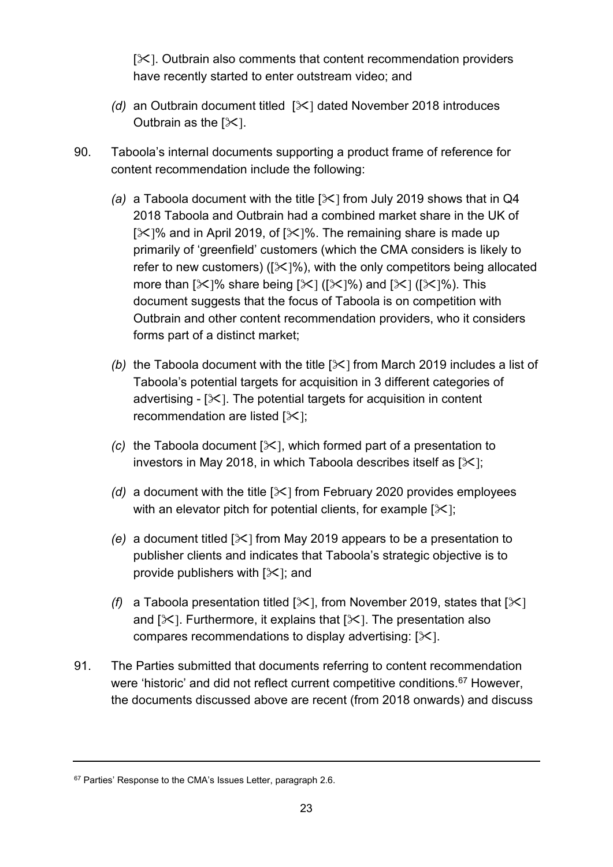$[\times]$ . Outbrain also comments that content recommendation providers have recently started to enter outstream video; and

- *(d)* an Outbrain document titled  $[\times]$  dated November 2018 introduces Outbrain as the  $[\times]$ .
- 90. Taboola's internal documents supporting a product frame of reference for content recommendation include the following:
	- *(a)* a Taboola document with the title [ $\angle$ ] from July 2019 shows that in Q4 2018 Taboola and Outbrain had a combined market share in the UK of  $[\times]$ % and in April 2019, of  $[\times]$ %. The remaining share is made up primarily of 'greenfield' customers (which the CMA considers is likely to refer to new customers) ( $[\times]$ %), with the only competitors being allocated more than  $[\mathcal{K}]$ % share being  $[\mathcal{K}]$  ( $[\mathcal{K}]$ %) and  $[\mathcal{K}]$  ( $[\mathcal{K}]$ %). This document suggests that the focus of Taboola is on competition with Outbrain and other content recommendation providers, who it considers forms part of a distinct market;
	- *(b)* the Taboola document with the title  $[\times]$  from March 2019 includes a list of Taboola's potential targets for acquisition in 3 different categories of advertising  $-[X]$ . The potential targets for acquisition in content recommendation are listed  $[\times]$ ;
	- *(c)* the Taboola document  $[\infty]$ , which formed part of a presentation to investors in May 2018, in which Taboola describes itself as  $[\times]$ ;
	- *(d)* a document with the title  $[\times]$  from February 2020 provides employees with an elevator pitch for potential clients, for example  $[\times]$ ;
	- *(e)* a document titled  $[\times]$  from May 2019 appears to be a presentation to publisher clients and indicates that Taboola's strategic objective is to provide publishers with  $[\times]$ ; and
	- *(f)* a Taboola presentation titled  $[\times]$ , from November 2019, states that  $[\times]$ and  $[\times]$ . Furthermore, it explains that  $[\times]$ . The presentation also compares recommendations to display advertising:  $[\times]$ .
- 91. The Parties submitted that documents referring to content recommendation were 'historic' and did not reflect current competitive conditions.<sup>[67](#page-22-0)</sup> However, the documents discussed above are recent (from 2018 onwards) and discuss

<span id="page-22-0"></span><sup>&</sup>lt;sup>67</sup> Parties' Response to the CMA's Issues Letter, paragraph 2.6.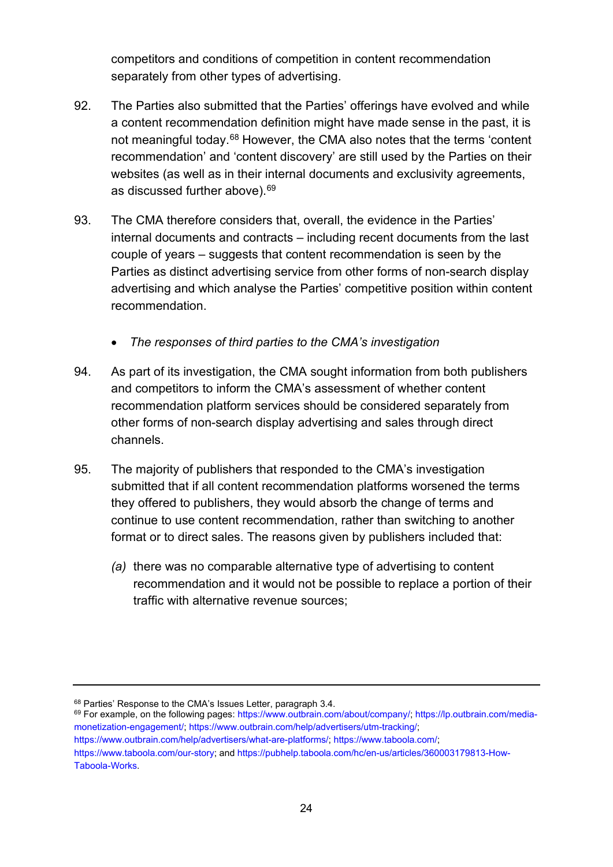competitors and conditions of competition in content recommendation separately from other types of advertising.

- 92. The Parties also submitted that the Parties' offerings have evolved and while a content recommendation definition might have made sense in the past, it is not meaningful today.[68](#page-23-0) However, the CMA also notes that the terms 'content recommendation' and 'content discovery' are still used by the Parties on their websites (as well as in their internal documents and exclusivity agreements, as discussed further above). [69](#page-23-1)
- 93. The CMA therefore considers that, overall, the evidence in the Parties' internal documents and contracts – including recent documents from the last couple of years – suggests that content recommendation is seen by the Parties as distinct advertising service from other forms of non-search display advertising and which analyse the Parties' competitive position within content recommendation.
	- *The responses of third parties to the CMA's investigation*
- 94. As part of its investigation, the CMA sought information from both publishers and competitors to inform the CMA's assessment of whether content recommendation platform services should be considered separately from other forms of non-search display advertising and sales through direct channels.
- 95. The majority of publishers that responded to the CMA's investigation submitted that if all content recommendation platforms worsened the terms they offered to publishers, they would absorb the change of terms and continue to use content recommendation, rather than switching to another format or to direct sales. The reasons given by publishers included that:
	- *(a)* there was no comparable alternative type of advertising to content recommendation and it would not be possible to replace a portion of their traffic with alternative revenue sources;

<span id="page-23-1"></span><span id="page-23-0"></span><sup>&</sup>lt;sup>68</sup> Parties' Response to the CMA's Issues Letter, paragraph 3.4.<br><sup>69</sup> For example, on the following pages: [https://www.outbrain.com/about/company/;](https://www.outbrain.com/about/company/) [https://lp.outbrain.com/media](https://lp.outbrain.com/media-monetization-engagement/)[monetization-engagement/;](https://lp.outbrain.com/media-monetization-engagement/) [https://www.outbrain.com/help/advertisers/utm-tracking/;](https://www.outbrain.com/help/advertisers/utm-tracking/) [https://www.outbrain.com/help/advertisers/what-are-platforms/;](https://www.outbrain.com/help/advertisers/what-are-platforms/) [https://www.taboola.com/;](https://www.taboola.com/)

https://www.taboola.com/our-story: an[d https://pubhelp.taboola.com/hc/en-us/articles/360003179813-How-](https://pubhelp.taboola.com/hc/en-us/articles/360003179813-How-Taboola-Works)[Taboola-Works.](https://pubhelp.taboola.com/hc/en-us/articles/360003179813-How-Taboola-Works)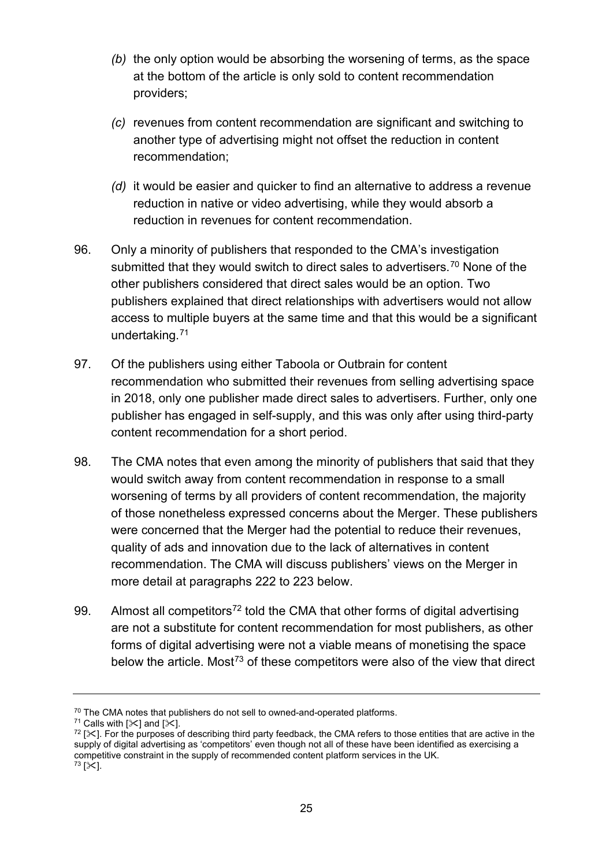- *(b)* the only option would be absorbing the worsening of terms, as the space at the bottom of the article is only sold to content recommendation providers;
- *(c)* revenues from content recommendation are significant and switching to another type of advertising might not offset the reduction in content recommendation;
- *(d)* it would be easier and quicker to find an alternative to address a revenue reduction in native or video advertising, while they would absorb a reduction in revenues for content recommendation.
- 96. Only a minority of publishers that responded to the CMA's investigation submitted that they would switch to direct sales to advertisers.<sup>[70](#page-24-0)</sup> None of the other publishers considered that direct sales would be an option. Two publishers explained that direct relationships with advertisers would not allow access to multiple buyers at the same time and that this would be a significant undertaking.[71](#page-24-1)
- 97. Of the publishers using either Taboola or Outbrain for content recommendation who submitted their revenues from selling advertising space in 2018, only one publisher made direct sales to advertisers. Further, only one publisher has engaged in self-supply, and this was only after using third-party content recommendation for a short period.
- 98. The CMA notes that even among the minority of publishers that said that they would switch away from content recommendation in response to a small worsening of terms by all providers of content recommendation, the majority of those nonetheless expressed concerns about the Merger. These publishers were concerned that the Merger had the potential to reduce their revenues, quality of ads and innovation due to the lack of alternatives in content recommendation. The CMA will discuss publishers' views on the Merger in more detail at paragraphs [222](#page-54-0) to [223](#page-54-1) below.
- 99. Almost all competitors<sup>[72](#page-24-2)</sup> told the CMA that other forms of digital advertising are not a substitute for content recommendation for most publishers, as other forms of digital advertising were not a viable means of monetising the space below the article. Most<sup>[73](#page-24-3)</sup> of these competitors were also of the view that direct

<span id="page-24-0"></span><sup>&</sup>lt;sup>70</sup> The CMA notes that publishers do not sell to owned-and-operated platforms.<br><sup>71</sup> Calls with  $[\<]$  and  $[\<]$ .

<span id="page-24-3"></span><span id="page-24-2"></span><span id="page-24-1"></span> $72$  [ $\le$ ]. For the purposes of describing third party feedback, the CMA refers to those entities that are active in the supply of digital advertising as 'competitors' even though not all of these have been identified as exercising a competitive constraint in the supply of recommended content platform services in the UK.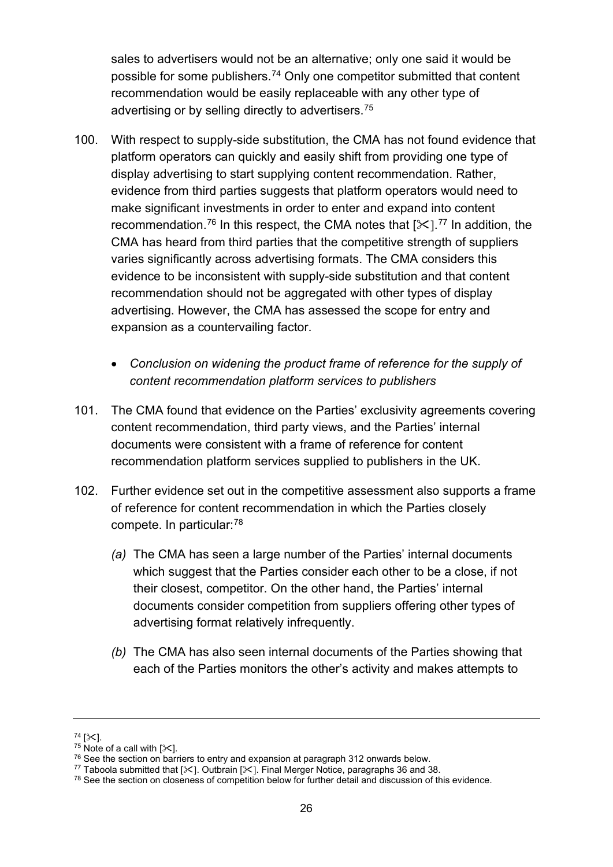sales to advertisers would not be an alternative; only one said it would be possible for some publishers.[74](#page-25-0) Only one competitor submitted that content recommendation would be easily replaceable with any other type of advertising or by selling directly to advertisers.<sup>[75](#page-25-1)</sup>

- 100. With respect to supply-side substitution, the CMA has not found evidence that platform operators can quickly and easily shift from providing one type of display advertising to start supplying content recommendation. Rather, evidence from third parties suggests that platform operators would need to make significant investments in order to enter and expand into content recommendation.<sup>[76](#page-25-2)</sup> In this respect, the CMA notes that [ $\mathcal{K}$ ].<sup>[77](#page-25-3)</sup> In addition, the CMA has heard from third parties that the competitive strength of suppliers varies significantly across advertising formats. The CMA considers this evidence to be inconsistent with supply-side substitution and that content recommendation should not be aggregated with other types of display advertising. However, the CMA has assessed the scope for entry and expansion as a countervailing factor.
	- *Conclusion on widening the product frame of reference for the supply of content recommendation platform services to publishers*
- 101. The CMA found that evidence on the Parties' exclusivity agreements covering content recommendation, third party views, and the Parties' internal documents were consistent with a frame of reference for content recommendation platform services supplied to publishers in the UK.
- 102. Further evidence set out in the competitive assessment also supports a frame of reference for content recommendation in which the Parties closely compete. In particular:[78](#page-25-4)
	- *(a)* The CMA has seen a large number of the Parties' internal documents which suggest that the Parties consider each other to be a close, if not their closest, competitor. On the other hand, the Parties' internal documents consider competition from suppliers offering other types of advertising format relatively infrequently.
	- *(b)* The CMA has also seen internal documents of the Parties showing that each of the Parties monitors the other's activity and makes attempts to

<span id="page-25-1"></span>

<span id="page-25-2"></span>

<span id="page-25-0"></span><sup>&</sup>lt;sup>74</sup> [ $\ll$ ].<br><sup>75</sup> Note of a call with [ $\ll$ ].<br><sup>76</sup> See the section on barriers to entry and expansion at paragraph 312 onwards below.<br><sup>77</sup> Taboola submitted that [ $\ll$ ]. Outbrain [ $\ll$ ]. Final Merger Notice, paragraphs 36

<span id="page-25-4"></span><span id="page-25-3"></span><sup>&</sup>lt;sup>78</sup> See the section on closeness of competition below for further detail and discussion of this evidence.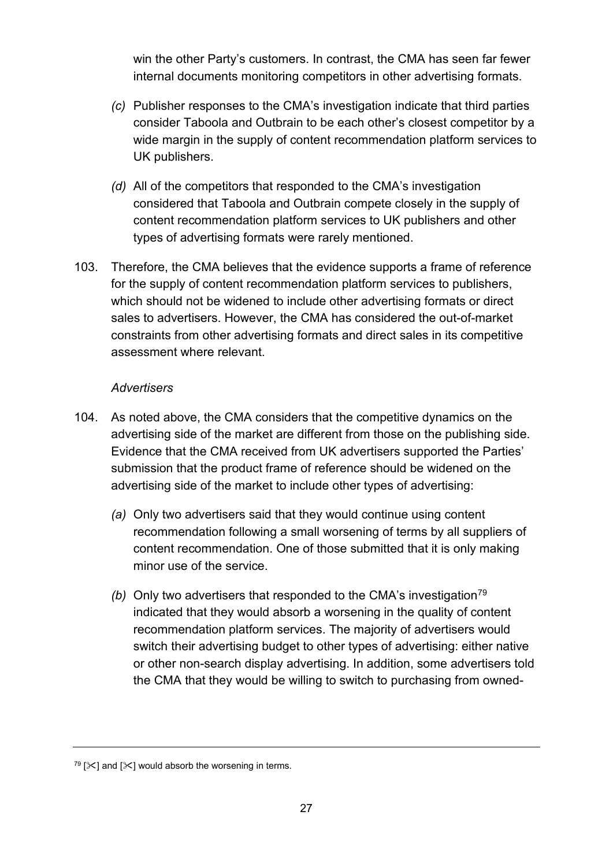win the other Party's customers. In contrast, the CMA has seen far fewer internal documents monitoring competitors in other advertising formats.

- *(c)* Publisher responses to the CMA's investigation indicate that third parties consider Taboola and Outbrain to be each other's closest competitor by a wide margin in the supply of content recommendation platform services to UK publishers.
- *(d)* All of the competitors that responded to the CMA's investigation considered that Taboola and Outbrain compete closely in the supply of content recommendation platform services to UK publishers and other types of advertising formats were rarely mentioned.
- 103. Therefore, the CMA believes that the evidence supports a frame of reference for the supply of content recommendation platform services to publishers, which should not be widened to include other advertising formats or direct sales to advertisers. However, the CMA has considered the out-of-market constraints from other advertising formats and direct sales in its competitive assessment where relevant.

#### *Advertisers*

- 104. As noted above, the CMA considers that the competitive dynamics on the advertising side of the market are different from those on the publishing side. Evidence that the CMA received from UK advertisers supported the Parties' submission that the product frame of reference should be widened on the advertising side of the market to include other types of advertising:
	- *(a)* Only two advertisers said that they would continue using content recommendation following a small worsening of terms by all suppliers of content recommendation. One of those submitted that it is only making minor use of the service.
	- *(b)* Only two advertisers that responded to the CMA's investigation<sup>[79](#page-26-0)</sup> indicated that they would absorb a worsening in the quality of content recommendation platform services. The majority of advertisers would switch their advertising budget to other types of advertising: either native or other non-search display advertising. In addition, some advertisers told the CMA that they would be willing to switch to purchasing from owned-

<span id="page-26-0"></span> $79$  [ $\ge$ ] and [ $\ge$ ] would absorb the worsening in terms.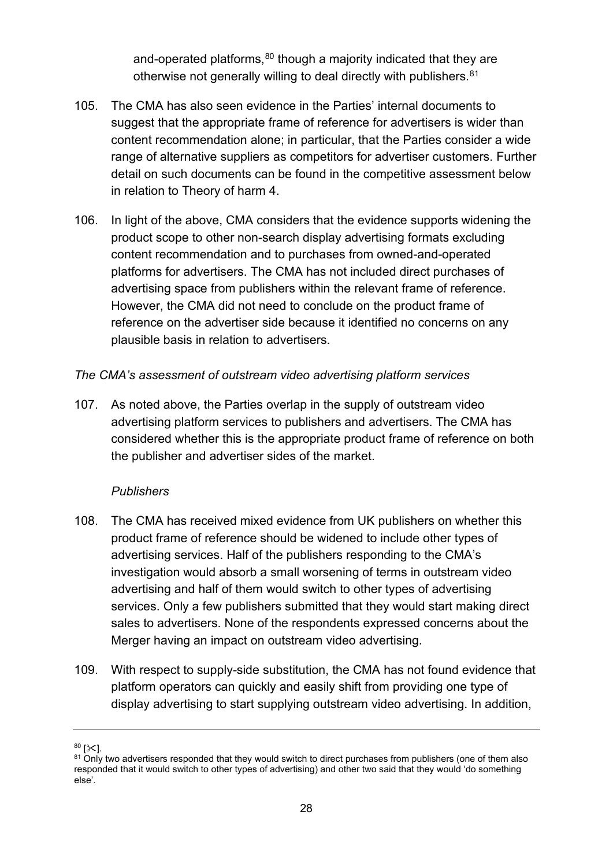and-operated platforms, $80$  though a majority indicated that they are otherwise not generally willing to deal directly with publishers.<sup>[81](#page-27-1)</sup>

- 105. The CMA has also seen evidence in the Parties' internal documents to suggest that the appropriate frame of reference for advertisers is wider than content recommendation alone; in particular, that the Parties consider a wide range of alternative suppliers as competitors for advertiser customers. Further detail on such documents can be found in the competitive assessment below in relation to Theory of harm 4.
- 106. In light of the above, CMA considers that the evidence supports widening the product scope to other non-search display advertising formats excluding content recommendation and to purchases from owned-and-operated platforms for advertisers. The CMA has not included direct purchases of advertising space from publishers within the relevant frame of reference. However, the CMA did not need to conclude on the product frame of reference on the advertiser side because it identified no concerns on any plausible basis in relation to advertisers.

#### *The CMA's assessment of outstream video advertising platform services*

107. As noted above, the Parties overlap in the supply of outstream video advertising platform services to publishers and advertisers. The CMA has considered whether this is the appropriate product frame of reference on both the publisher and advertiser sides of the market.

#### *Publishers*

- 108. The CMA has received mixed evidence from UK publishers on whether this product frame of reference should be widened to include other types of advertising services. Half of the publishers responding to the CMA's investigation would absorb a small worsening of terms in outstream video advertising and half of them would switch to other types of advertising services. Only a few publishers submitted that they would start making direct sales to advertisers. None of the respondents expressed concerns about the Merger having an impact on outstream video advertising.
- 109. With respect to supply-side substitution, the CMA has not found evidence that platform operators can quickly and easily shift from providing one type of display advertising to start supplying outstream video advertising. In addition,

<span id="page-27-1"></span><span id="page-27-0"></span> $80$  [ $\ll$ ].<br> $81$  Only two advertisers responded that they would switch to direct purchases from publishers (one of them also responded that it would switch to other types of advertising) and other two said that they would 'do something else'.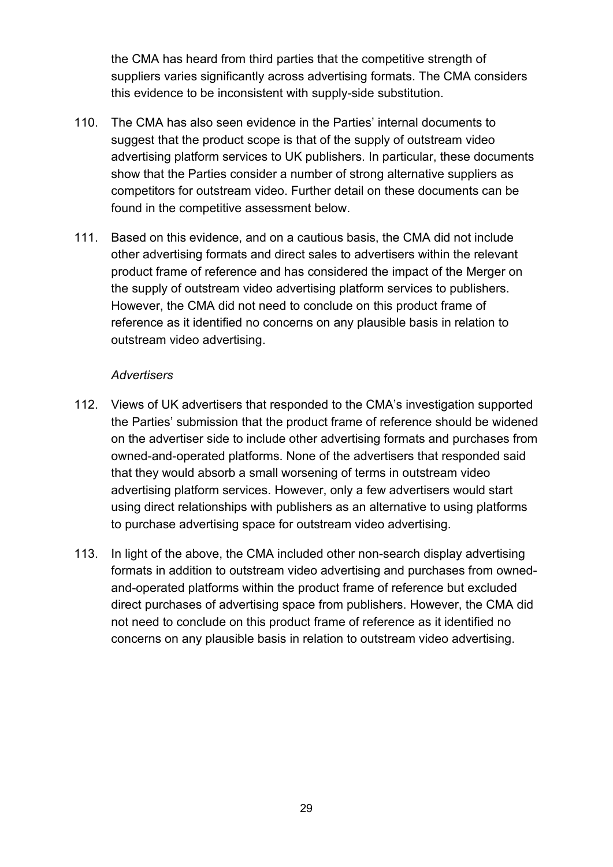the CMA has heard from third parties that the competitive strength of suppliers varies significantly across advertising formats. The CMA considers this evidence to be inconsistent with supply-side substitution.

- 110. The CMA has also seen evidence in the Parties' internal documents to suggest that the product scope is that of the supply of outstream video advertising platform services to UK publishers. In particular, these documents show that the Parties consider a number of strong alternative suppliers as competitors for outstream video. Further detail on these documents can be found in the competitive assessment below.
- 111. Based on this evidence, and on a cautious basis, the CMA did not include other advertising formats and direct sales to advertisers within the relevant product frame of reference and has considered the impact of the Merger on the supply of outstream video advertising platform services to publishers. However, the CMA did not need to conclude on this product frame of reference as it identified no concerns on any plausible basis in relation to outstream video advertising.

#### *Advertisers*

- 112. Views of UK advertisers that responded to the CMA's investigation supported the Parties' submission that the product frame of reference should be widened on the advertiser side to include other advertising formats and purchases from owned-and-operated platforms. None of the advertisers that responded said that they would absorb a small worsening of terms in outstream video advertising platform services. However, only a few advertisers would start using direct relationships with publishers as an alternative to using platforms to purchase advertising space for outstream video advertising.
- 113. In light of the above, the CMA included other non-search display advertising formats in addition to outstream video advertising and purchases from ownedand-operated platforms within the product frame of reference but excluded direct purchases of advertising space from publishers. However, the CMA did not need to conclude on this product frame of reference as it identified no concerns on any plausible basis in relation to outstream video advertising.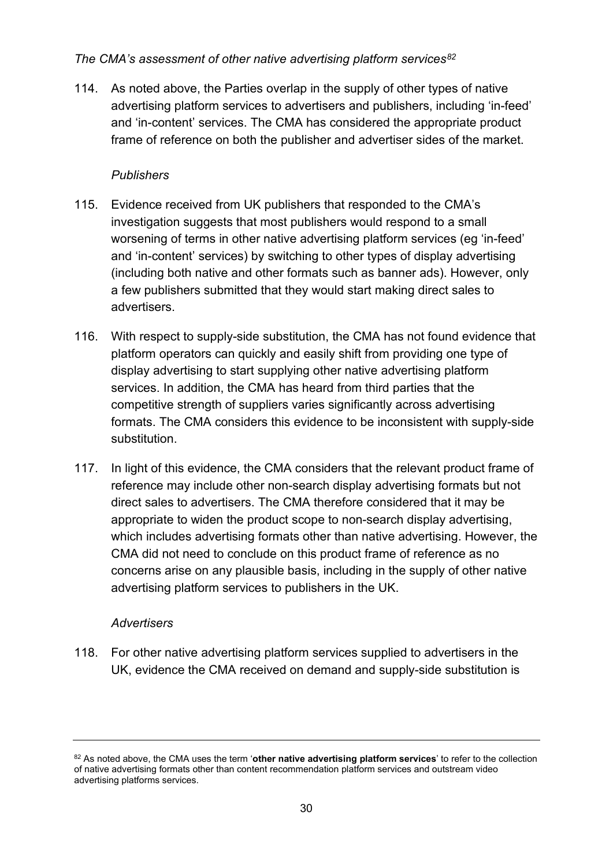#### *The CMA's assessment of other native advertising platform services[82](#page-29-0)*

114. As noted above, the Parties overlap in the supply of other types of native advertising platform services to advertisers and publishers, including 'in-feed' and 'in-content' services. The CMA has considered the appropriate product frame of reference on both the publisher and advertiser sides of the market.

#### *Publishers*

- 115. Evidence received from UK publishers that responded to the CMA's investigation suggests that most publishers would respond to a small worsening of terms in other native advertising platform services (eg 'in-feed' and 'in-content' services) by switching to other types of display advertising (including both native and other formats such as banner ads). However, only a few publishers submitted that they would start making direct sales to advertisers.
- 116. With respect to supply-side substitution, the CMA has not found evidence that platform operators can quickly and easily shift from providing one type of display advertising to start supplying other native advertising platform services. In addition, the CMA has heard from third parties that the competitive strength of suppliers varies significantly across advertising formats. The CMA considers this evidence to be inconsistent with supply-side substitution.
- 117. In light of this evidence, the CMA considers that the relevant product frame of reference may include other non-search display advertising formats but not direct sales to advertisers. The CMA therefore considered that it may be appropriate to widen the product scope to non-search display advertising, which includes advertising formats other than native advertising. However, the CMA did not need to conclude on this product frame of reference as no concerns arise on any plausible basis, including in the supply of other native advertising platform services to publishers in the UK.

#### *Advertisers*

118. For other native advertising platform services supplied to advertisers in the UK, evidence the CMA received on demand and supply-side substitution is

<span id="page-29-0"></span><sup>82</sup> As noted above, the CMA uses the term 'other native advertising platform services' to refer to the collection of native advertising formats other than content recommendation platform services and outstream video advertising platforms services.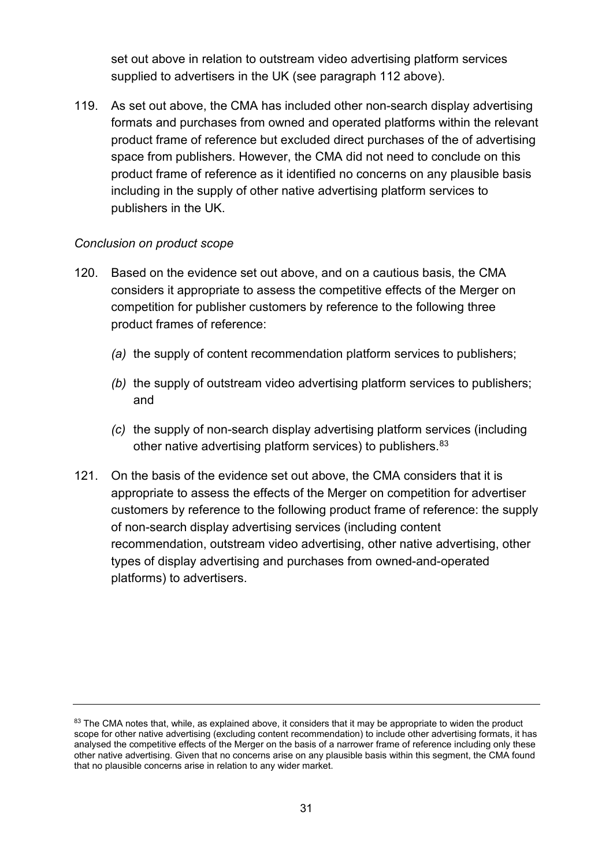set out above in relation to outstream video advertising platform services supplied to advertisers in the UK (see paragraph 112 above).

119. As set out above, the CMA has included other non-search display advertising formats and purchases from owned and operated platforms within the relevant product frame of reference but excluded direct purchases of the of advertising space from publishers. However, the CMA did not need to conclude on this product frame of reference as it identified no concerns on any plausible basis including in the supply of other native advertising platform services to publishers in the UK.

#### *Conclusion on product scope*

- 120. Based on the evidence set out above, and on a cautious basis, the CMA considers it appropriate to assess the competitive effects of the Merger on competition for publisher customers by reference to the following three product frames of reference:
	- *(a)* the supply of content recommendation platform services to publishers;
	- *(b)* the supply of outstream video advertising platform services to publishers; and
	- *(c)* the supply of non-search display advertising platform services (including other native advertising platform services) to publishers.<sup>[83](#page-30-0)</sup>
- 121. On the basis of the evidence set out above, the CMA considers that it is appropriate to assess the effects of the Merger on competition for advertiser customers by reference to the following product frame of reference: the supply of non-search display advertising services (including content recommendation, outstream video advertising, other native advertising, other types of display advertising and purchases from owned-and-operated platforms) to advertisers.

<span id="page-30-0"></span><sup>&</sup>lt;sup>83</sup> The CMA notes that, while, as explained above, it considers that it may be appropriate to widen the product scope for other native advertising (excluding content recommendation) to include other advertising formats, it has analysed the competitive effects of the Merger on the basis of a narrower frame of reference including only these other native advertising. Given that no concerns arise on any plausible basis within this segment, the CMA found that no plausible concerns arise in relation to any wider market.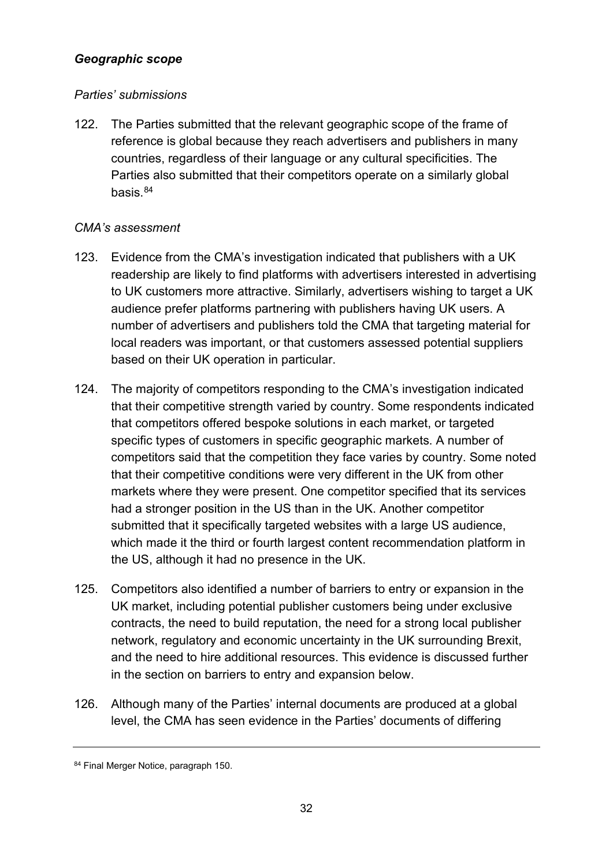#### *Geographic scope*

#### *Parties' submissions*

122. The Parties submitted that the relevant geographic scope of the frame of reference is global because they reach advertisers and publishers in many countries, regardless of their language or any cultural specificities. The Parties also submitted that their competitors operate on a similarly global basis.<sup>84</sup>

#### *CMA's assessment*

- 123. Evidence from the CMA's investigation indicated that publishers with a UK readership are likely to find platforms with advertisers interested in advertising to UK customers more attractive. Similarly, advertisers wishing to target a UK audience prefer platforms partnering with publishers having UK users. A number of advertisers and publishers told the CMA that targeting material for local readers was important, or that customers assessed potential suppliers based on their UK operation in particular.
- 124. The majority of competitors responding to the CMA's investigation indicated that their competitive strength varied by country. Some respondents indicated that competitors offered bespoke solutions in each market, or targeted specific types of customers in specific geographic markets. A number of competitors said that the competition they face varies by country. Some noted that their competitive conditions were very different in the UK from other markets where they were present. One competitor specified that its services had a stronger position in the US than in the UK. Another competitor submitted that it specifically targeted websites with a large US audience. which made it the third or fourth largest content recommendation platform in the US, although it had no presence in the UK.
- 125. Competitors also identified a number of barriers to entry or expansion in the UK market, including potential publisher customers being under exclusive contracts, the need to build reputation, the need for a strong local publisher network, regulatory and economic uncertainty in the UK surrounding Brexit, and the need to hire additional resources. This evidence is discussed further in the section on barriers to entry and expansion below.
- 126. Although many of the Parties' internal documents are produced at a global level, the CMA has seen evidence in the Parties' documents of differing

<span id="page-31-0"></span><sup>84</sup> Final Merger Notice, paragraph 150.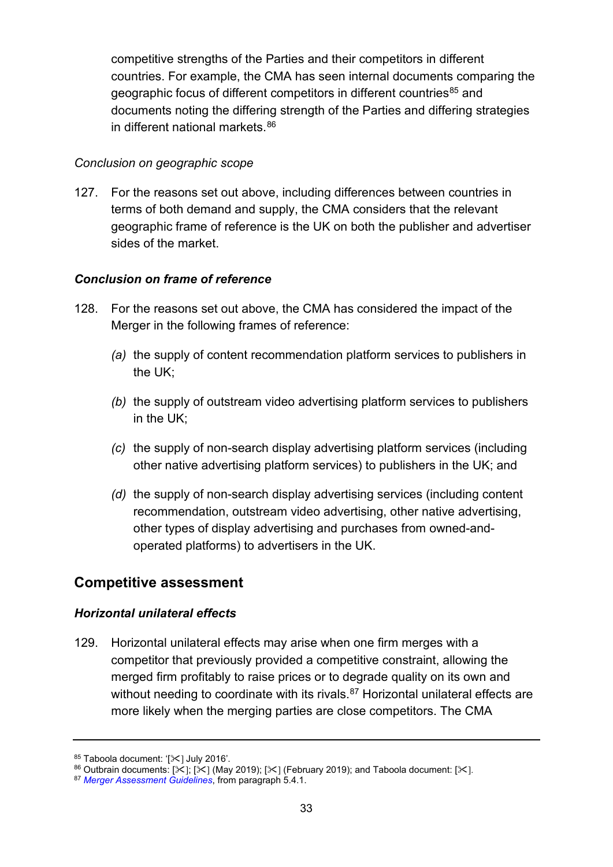competitive strengths of the Parties and their competitors in different countries. For example, the CMA has seen internal documents comparing the geographic focus of different competitors in different countries<sup>[85](#page-32-0)</sup> and documents noting the differing strength of the Parties and differing strategies in different national markets. [86](#page-32-1)

#### *Conclusion on geographic scope*

127. For the reasons set out above, including differences between countries in terms of both demand and supply, the CMA considers that the relevant geographic frame of reference is the UK on both the publisher and advertiser sides of the market.

#### *Conclusion on frame of reference*

- 128. For the reasons set out above, the CMA has considered the impact of the Merger in the following frames of reference:
	- *(a)* the supply of content recommendation platform services to publishers in the UK;
	- *(b)* the supply of outstream video advertising platform services to publishers in the UK;
	- *(c)* the supply of non-search display advertising platform services (including other native advertising platform services) to publishers in the UK; and
	- *(d)* the supply of non-search display advertising services (including content recommendation, outstream video advertising, other native advertising, other types of display advertising and purchases from owned-andoperated platforms) to advertisers in the UK.

## **Competitive assessment**

#### *Horizontal unilateral effects*

129. Horizontal unilateral effects may arise when one firm merges with a competitor that previously provided a competitive constraint, allowing the merged firm profitably to raise prices or to degrade quality on its own and without needing to coordinate with its rivals.<sup>[87](#page-32-2)</sup> Horizontal unilateral effects are more likely when the merging parties are close competitors. The CMA

<span id="page-32-1"></span><span id="page-32-0"></span><sup>85</sup> Taboola document: '[ $\ll$ ] July 2016'.<br><sup>86</sup> Outbrain documents: [ $\ll$ ] (May 2019); [ $\ll$ ] (February 2019); and Taboola document: [ $\ll$ ].<br><sup>87</sup> [Merger Assessment Guidelines](https://www.gov.uk/government/publications/merger-assessment-guidelines), from paragraph 5.4.1.

<span id="page-32-2"></span>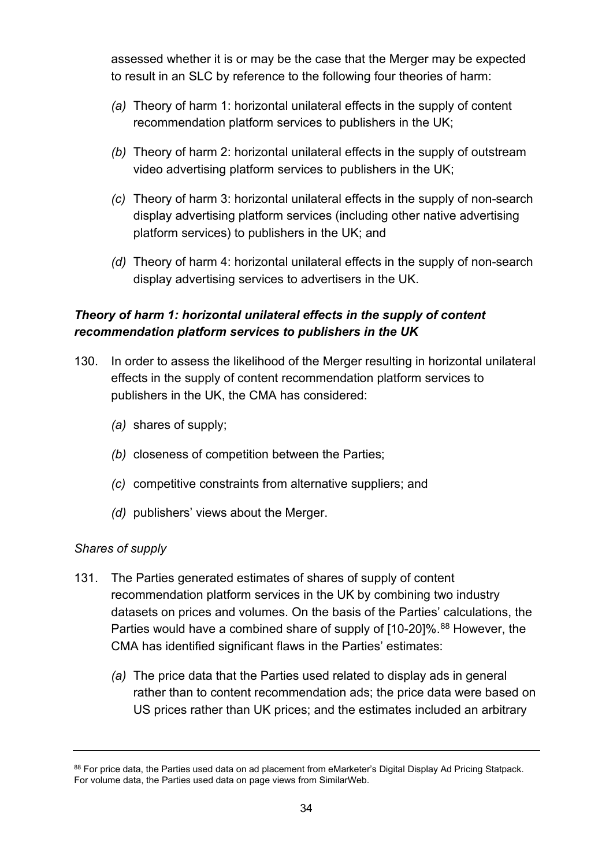assessed whether it is or may be the case that the Merger may be expected to result in an SLC by reference to the following four theories of harm:

- *(a)* Theory of harm 1: horizontal unilateral effects in the supply of content recommendation platform services to publishers in the UK;
- *(b)* Theory of harm 2: horizontal unilateral effects in the supply of outstream video advertising platform services to publishers in the UK;
- *(c)* Theory of harm 3: horizontal unilateral effects in the supply of non-search display advertising platform services (including other native advertising platform services) to publishers in the UK; and
- *(d)* Theory of harm 4: horizontal unilateral effects in the supply of non-search display advertising services to advertisers in the UK.

## *Theory of harm 1: horizontal unilateral effects in the supply of content recommendation platform services to publishers in the UK*

- 130. In order to assess the likelihood of the Merger resulting in horizontal unilateral effects in the supply of content recommendation platform services to publishers in the UK, the CMA has considered:
	- *(a)* shares of supply;
	- *(b)* closeness of competition between the Parties;
	- *(c)* competitive constraints from alternative suppliers; and
	- *(d)* publishers' views about the Merger.

#### *Shares of supply*

- <span id="page-33-0"></span>131. The Parties generated estimates of shares of supply of content recommendation platform services in the UK by combining two industry datasets on prices and volumes. On the basis of the Parties' calculations, the Parties would have a combined share of supply of [10-20]%.<sup>[88](#page-33-1)</sup> However, the CMA has identified significant flaws in the Parties' estimates:
	- *(a)* The price data that the Parties used related to display ads in general rather than to content recommendation ads; the price data were based on US prices rather than UK prices; and the estimates included an arbitrary

<span id="page-33-1"></span><sup>88</sup> For price data, the Parties used data on ad placement from eMarketer's Digital Display Ad Pricing Statpack. For volume data, the Parties used data on page views from SimilarWeb.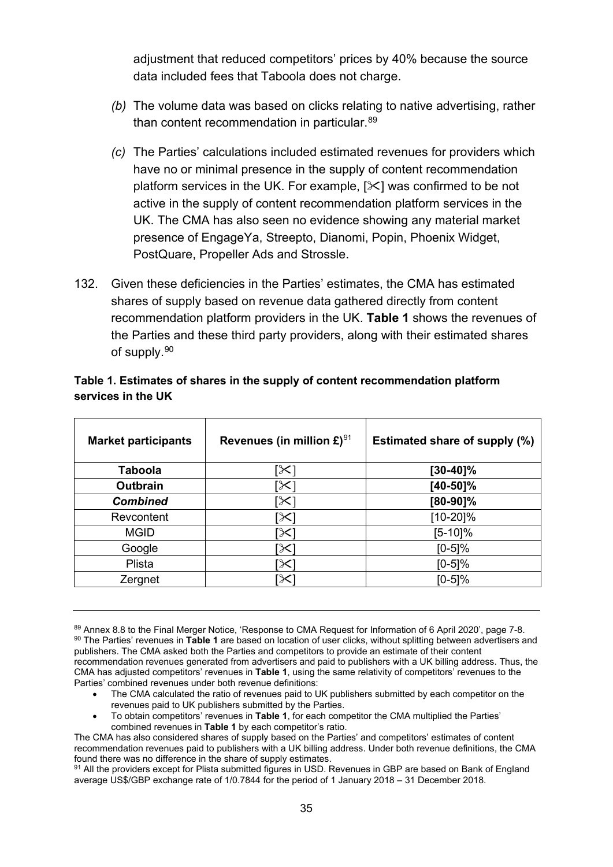adjustment that reduced competitors' prices by 40% because the source data included fees that Taboola does not charge.

- *(b)* The volume data was based on clicks relating to native advertising, rather than content recommendation in particular.<sup>[89](#page-34-1)</sup>
- *(c)* The Parties' calculations included estimated revenues for providers which have no or minimal presence in the supply of content recommendation platform services in the UK. For example,  $[\times]$  was confirmed to be not active in the supply of content recommendation platform services in the UK. The CMA has also seen no evidence showing any material market presence of EngageYa, Streepto, Dianomi, Popin, Phoenix Widget, PostQuare, Propeller Ads and Strossle.
- 132. Given these deficiencies in the Parties' estimates, the CMA has estimated shares of supply based on revenue data gathered directly from content recommendation platform providers in the UK. **[Table 1](#page-34-0)** shows the revenues of the Parties and these third party providers, along with their estimated shares of supply.<sup>[90](#page-34-2)</sup>

| <b>Market participants</b> | Revenues (in million $\mathbf{E}$ ) <sup>91</sup> | Estimated share of supply (%) |
|----------------------------|---------------------------------------------------|-------------------------------|
| <b>Taboola</b>             | $\approx$                                         | $[30-40]\%$                   |
| Outbrain                   | [X]                                               | [40-50]%                      |
| <b>Combined</b>            | $\propto$                                         | $[80-90]\%$                   |
| Revcontent                 | [X]                                               | $[10-20]\%$                   |
| <b>MGID</b>                | [X]                                               | $[5-10]\%$                    |
| Google                     | $\propto$                                         | $[0-5]%$                      |
| Plista                     | $\propto$                                         | $[0-5]\%$                     |
| Zergnet                    | $\boldsymbol{\times}$                             | $[0-5]%$                      |

#### <span id="page-34-0"></span>**Table 1. Estimates of shares in the supply of content recommendation platform services in the UK**

- The CMA calculated the ratio of revenues paid to UK publishers submitted by each competitor on the revenues paid to UK publishers submitted by the Parties.
- To obtain competitors' revenues in **Table 1**, for each competitor the CMA multiplied the Parties' combined revenues in **Table 1** by each competitor's ratio.

<span id="page-34-3"></span>91 All the providers except for Plista submitted figures in USD. Revenues in GBP are based on Bank of England average US\$/GBP exchange rate of 1/0.7844 for the period of 1 January 2018 – 31 December 2018.

<span id="page-34-2"></span><span id="page-34-1"></span><sup>89</sup> Annex 8.8 to the Final Merger Notice, 'Response to CMA Request for Information of 6 April 2020', page 7-8. <sup>90</sup> The Parties' revenues in **Table 1** are based on location of user clicks, without splitting between advertisers and publishers. The CMA asked both the Parties and competitors to provide an estimate of their content recommendation revenues generated from advertisers and paid to publishers with a UK billing address. Thus, the CMA has adjusted competitors' revenues in **Table 1**, using the same relativity of competitors' revenues to the Parties' combined revenues under both revenue definitions:

The CMA has also considered shares of supply based on the Parties' and competitors' estimates of content recommendation revenues paid to publishers with a UK billing address. Under both revenue definitions, the CMA found there was no difference in the share of supply estimates.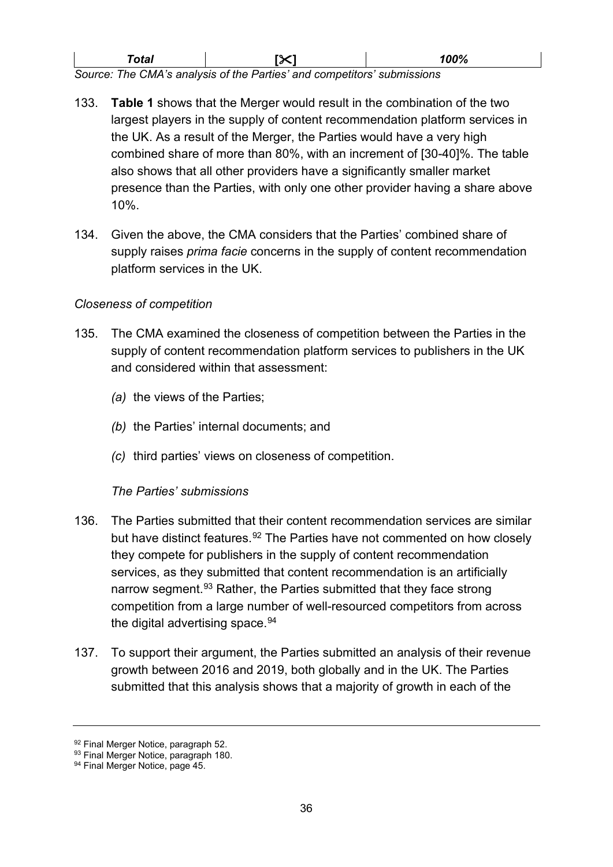| ™otal                                                                   | <b>IX1</b> | 100% |  |
|-------------------------------------------------------------------------|------------|------|--|
| Source: The CMA's analysis of the Parties' and competitors' submissions |            |      |  |

133. **[Table 1](#page-34-0)** shows that the Merger would result in the combination of the two largest players in the supply of content recommendation platform services in the UK. As a result of the Merger, the Parties would have a very high combined share of more than 80%, with an increment of [30-40]%. The table also shows that all other providers have a significantly smaller market presence than the Parties, with only one other provider having a share above 10%.

134. Given the above, the CMA considers that the Parties' combined share of supply raises *prima facie* concerns in the supply of content recommendation platform services in the UK.

#### *Closeness of competition*

- 135. The CMA examined the closeness of competition between the Parties in the supply of content recommendation platform services to publishers in the UK and considered within that assessment:
	- *(a)* the views of the Parties;
	- *(b)* the Parties' internal documents; and
	- *(c)* third parties' views on closeness of competition.

#### *The Parties' submissions*

- 136. The Parties submitted that their content recommendation services are similar but have distinct features.<sup>[92](#page-35-0)</sup> The Parties have not commented on how closely they compete for publishers in the supply of content recommendation services, as they submitted that content recommendation is an artificially narrow segment.<sup>[93](#page-35-1)</sup> Rather, the Parties submitted that they face strong competition from a large number of well-resourced competitors from across the digital advertising space.  $94$
- 137. To support their argument, the Parties submitted an analysis of their revenue growth between 2016 and 2019, both globally and in the UK. The Parties submitted that this analysis shows that a majority of growth in each of the

<span id="page-35-0"></span><sup>92</sup> Final Merger Notice, paragraph 52.

<span id="page-35-1"></span><sup>93</sup> Final Merger Notice, paragraph 180.

<span id="page-35-2"></span><sup>94</sup> Final Merger Notice, page 45.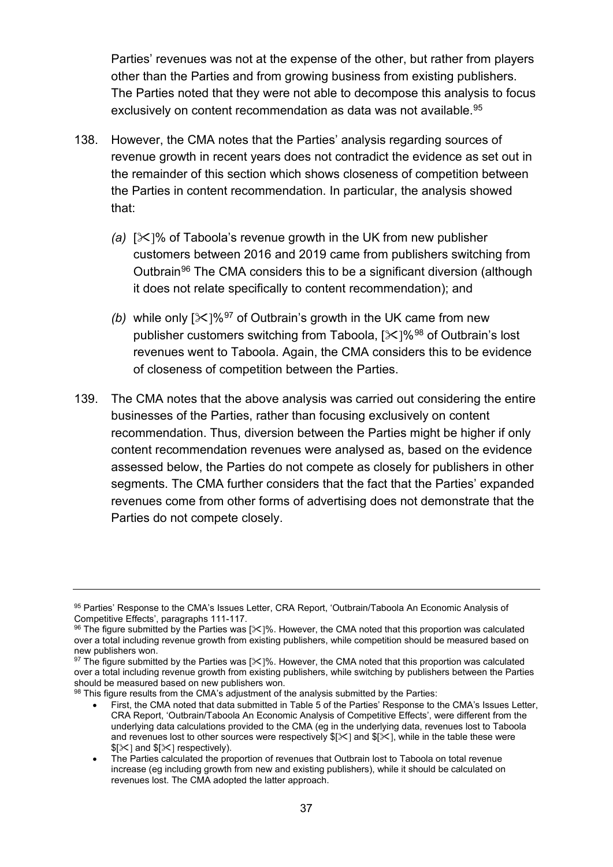Parties' revenues was not at the expense of the other, but rather from players other than the Parties and from growing business from existing publishers. The Parties noted that they were not able to decompose this analysis to focus exclusively on content recommendation as data was not available.<sup>[95](#page-36-0)</sup>

- 138. However, the CMA notes that the Parties' analysis regarding sources of revenue growth in recent years does not contradict the evidence as set out in the remainder of this section which shows closeness of competition between the Parties in content recommendation. In particular, the analysis showed that:
	- *(a)* []% of Taboola's revenue growth in the UK from new publisher customers between 2016 and 2019 came from publishers switching from Outbrain<sup>[96](#page-36-1)</sup> The CMA considers this to be a significant diversion (although it does not relate specifically to content recommendation); and
	- *(b)* while only  $[35]$   $[36]$ <sup>[97](#page-36-2)</sup> of Outbrain's growth in the UK came from new publisher customers switching from Taboola,  $[\frac{1}{8}]\%$ <sup>[98](#page-36-3)</sup> of Outbrain's lost revenues went to Taboola. Again, the CMA considers this to be evidence of closeness of competition between the Parties.
- 139. The CMA notes that the above analysis was carried out considering the entire businesses of the Parties, rather than focusing exclusively on content recommendation. Thus, diversion between the Parties might be higher if only content recommendation revenues were analysed as, based on the evidence assessed below, the Parties do not compete as closely for publishers in other segments. The CMA further considers that the fact that the Parties' expanded revenues come from other forms of advertising does not demonstrate that the Parties do not compete closely.

<span id="page-36-0"></span><sup>95</sup> Parties' Response to the CMA's Issues Letter, CRA Report, 'Outbrain/Taboola An Economic Analysis of Competitive Effects', paragraphs 111-117.

<span id="page-36-1"></span> $96$  The figure submitted by the Parties was [ $\%/$ %. However, the CMA noted that this proportion was calculated over a total including revenue growth from existing publishers, while competition should be measured based on new publishers won.

<span id="page-36-2"></span> $97$  The figure submitted by the Parties was [ $\angle$ ]%. However, the CMA noted that this proportion was calculated over a total including revenue growth from existing publishers, while switching by publishers between the Parties should be measured based on new publishers won.

<span id="page-36-3"></span><sup>98</sup> This figure results from the CMA's adjustment of the analysis submitted by the Parties:

<sup>•</sup> First, the CMA noted that data submitted in Table 5 of the Parties' Response to the CMA's Issues Letter, CRA Report, 'Outbrain/Taboola An Economic Analysis of Competitive Effects', were different from the underlying data calculations provided to the CMA (eg in the underlying data, revenues lost to Taboola and revenues lost to other sources were respectively  $$[\times]$  and  $$[\times]$ , while in the table these were  $$[\times]$  and  $$[\times]$  respectively).

<sup>•</sup> The Parties calculated the proportion of revenues that Outbrain lost to Taboola on total revenue increase (eg including growth from new and existing publishers), while it should be calculated on revenues lost. The CMA adopted the latter approach.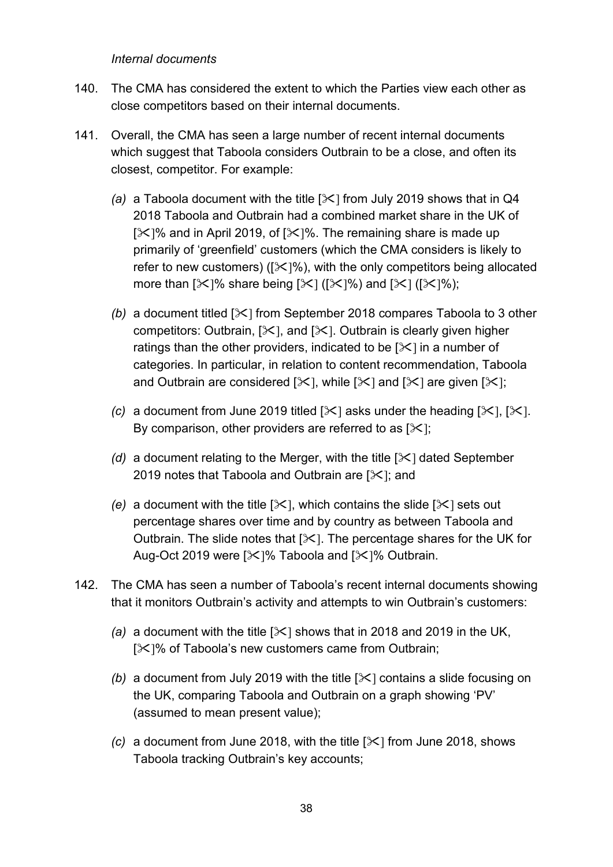*Internal documents*

- 140. The CMA has considered the extent to which the Parties view each other as close competitors based on their internal documents.
- 141. Overall, the CMA has seen a large number of recent internal documents which suggest that Taboola considers Outbrain to be a close, and often its closest, competitor. For example:
	- *(a)* a Taboola document with the title [ $\angle$ ] from July 2019 shows that in Q4 2018 Taboola and Outbrain had a combined market share in the UK of  $[\times]$ % and in April 2019, of  $[\times]$ %. The remaining share is made up primarily of 'greenfield' customers (which the CMA considers is likely to refer to new customers) ( $\sqrt{2}$ ]%), with the only competitors being allocated more than  $[\times]$ % share being  $[\times]$  ( $[\times]$ %) and  $[\times]$  ( $[\times]$ %);
	- *(b)* a document titled  $[\times]$  from September 2018 compares Taboola to 3 other competitors: Outbrain,  $[\times]$ , and  $[\times]$ . Outbrain is clearly given higher ratings than the other providers, indicated to be  $[\times]$  in a number of categories. In particular, in relation to content recommendation, Taboola and Outbrain are considered  $[\times]$ , while  $[\times]$  and  $[\times]$  are given  $[\times]$ ;
	- *(c)* a document from June 2019 titled  $[\times]$  asks under the heading  $[\times]$ ,  $[\times]$ . By comparison, other providers are referred to as  $[\times]$ ;
	- *(d)* a document relating to the Merger, with the title  $[\times]$  dated September 2019 notes that Taboola and Outbrain are  $[\times]$ ; and
	- *(e)* a document with the title  $[\times]$ , which contains the slide  $[\times]$  sets out percentage shares over time and by country as between Taboola and Outbrain. The slide notes that  $[\times]$ . The percentage shares for the UK for Aug-Oct 2019 were  $[\times]$ % Taboola and  $[\times]$ % Outbrain.
- 142. The CMA has seen a number of Taboola's recent internal documents showing that it monitors Outbrain's activity and attempts to win Outbrain's customers:
	- *(a)* a document with the title  $[\times]$  shows that in 2018 and 2019 in the UK, [ $|X|$ % of Taboola's new customers came from Outbrain;
	- *(b)* a document from July 2019 with the title  $[\times]$  contains a slide focusing on the UK, comparing Taboola and Outbrain on a graph showing 'PV' (assumed to mean present value);
	- *(c)* a document from June 2018, with the title  $[\times]$  from June 2018, shows Taboola tracking Outbrain's key accounts;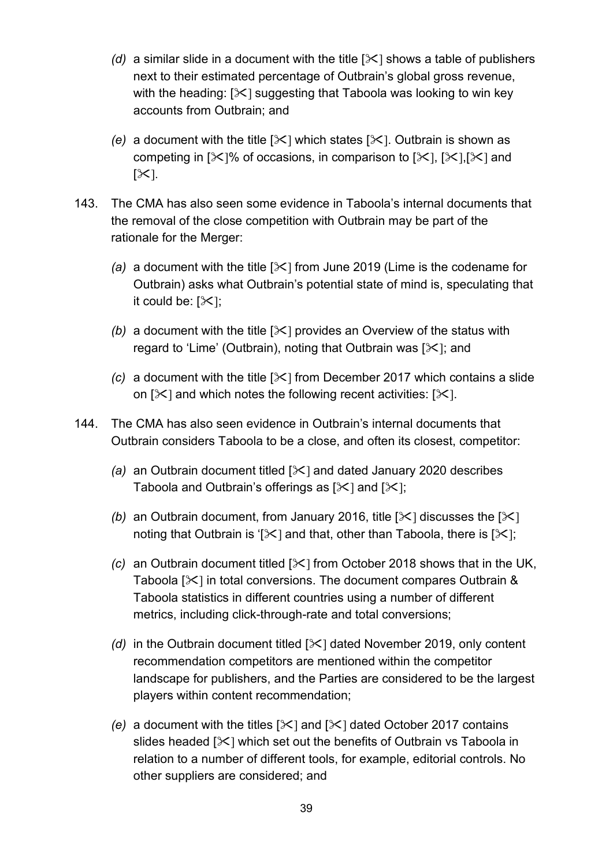- *(d)* a similar slide in a document with the title  $[\times]$  shows a table of publishers next to their estimated percentage of Outbrain's global gross revenue, with the heading:  $[\times]$  suggesting that Taboola was looking to win key accounts from Outbrain; and
- *(e)* a document with the title  $[\times]$  which states  $[\times]$ . Outbrain is shown as competing in  $[\times]$ % of occasions, in comparison to  $[\times]$ ,  $[\times]$ ,  $[\times]$  and  $[\mathcal{K}]$ .
- 143. The CMA has also seen some evidence in Taboola's internal documents that the removal of the close competition with Outbrain may be part of the rationale for the Merger:
	- *(a)* a document with the title  $[\times]$  from June 2019 (Lime is the codename for Outbrain) asks what Outbrain's potential state of mind is, speculating that it could be:  $[\mathcal{K}]$ ;
	- *(b)* a document with the title  $[\times]$  provides an Overview of the status with regard to 'Lime' (Outbrain), noting that Outbrain was  $[\times]$ ; and
	- *(c)* a document with the title  $[\times]$  from December 2017 which contains a slide on  $[\times]$  and which notes the following recent activities:  $[\times]$ .
- 144. The CMA has also seen evidence in Outbrain's internal documents that Outbrain considers Taboola to be a close, and often its closest, competitor:
	- *(a)* an Outbrain document titled [ $\ge$ ] and dated January 2020 describes Taboola and Outbrain's offerings as  $[\times]$  and  $[\times]$ ;
	- *(b)* an Outbrain document, from January 2016, title  $[\times]$  discusses the  $[\times]$ noting that Outbrain is '[ $\angle$ ] and that, other than Taboola, there is [ $\angle$ ];
	- *(c)* an Outbrain document titled [ $\angle$ ] from October 2018 shows that in the UK, Taboola [ $\ll$ ] in total conversions. The document compares Outbrain & Taboola statistics in different countries using a number of different metrics, including click-through-rate and total conversions;
	- *(d)* in the Outbrain document titled  $[\times]$  dated November 2019, only content recommendation competitors are mentioned within the competitor landscape for publishers, and the Parties are considered to be the largest players within content recommendation;
	- *(e)* a document with the titles  $[\times]$  and  $[\times]$  dated October 2017 contains slides headed  $[\times]$  which set out the benefits of Outbrain vs Taboola in relation to a number of different tools, for example, editorial controls. No other suppliers are considered; and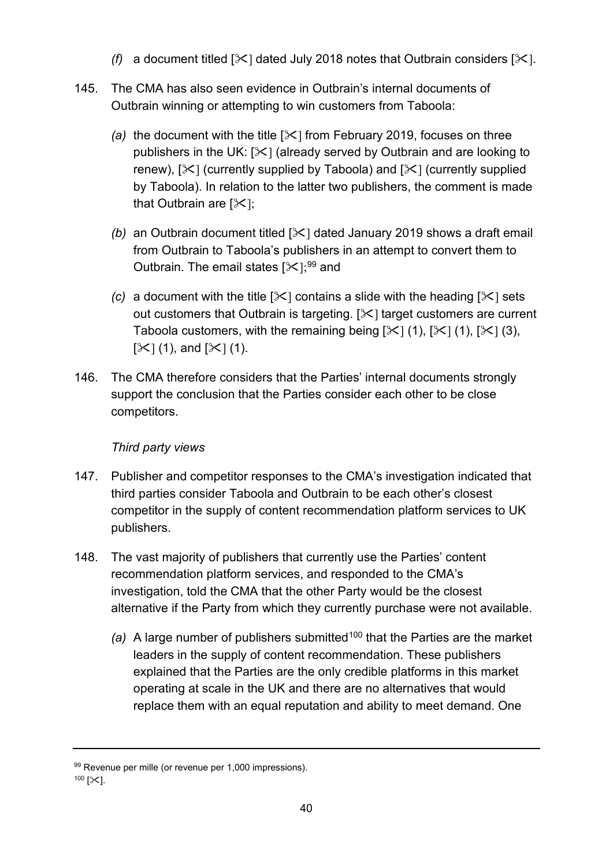- *(f)* a document titled  $[\times]$  dated July 2018 notes that Outbrain considers  $[\times]$ .
- 145. The CMA has also seen evidence in Outbrain's internal documents of Outbrain winning or attempting to win customers from Taboola:
	- *(a)* the document with the title  $[\times]$  from February 2019, focuses on three publishers in the UK:  $[\times]$  (already served by Outbrain and are looking to renew),  $[\times]$  (currently supplied by Taboola) and  $[\times]$  (currently supplied by Taboola). In relation to the latter two publishers, the comment is made that Outbrain are  $[\times]$ ;
	- *(b)* an Outbrain document titled [ $\angle$ ] dated January 2019 shows a draft email from Outbrain to Taboola's publishers in an attempt to convert them to Outbrain. The email states  $[35]$ ;<sup>[99](#page-39-0)</sup> and
	- *(c)* a document with the title  $[\times]$  contains a slide with the heading  $[\times]$  sets out customers that Outbrain is targeting.  $[3]$  target customers are current Taboola customers, with the remaining being  $[\times]$  (1),  $[\times]$  (1),  $[\times]$  (3),  $[\times] (1)$ , and  $[\times] (1)$ .
- 146. The CMA therefore considers that the Parties' internal documents strongly support the conclusion that the Parties consider each other to be close competitors.

# *Third party views*

- <span id="page-39-2"></span>147. Publisher and competitor responses to the CMA's investigation indicated that third parties consider Taboola and Outbrain to be each other's closest competitor in the supply of content recommendation platform services to UK publishers.
- <span id="page-39-3"></span>148. The vast majority of publishers that currently use the Parties' content recommendation platform services, and responded to the CMA's investigation, told the CMA that the other Party would be the closest alternative if the Party from which they currently purchase were not available.
	- *(a)* A large number of publishers submitted<sup>[100](#page-39-1)</sup> that the Parties are the market leaders in the supply of content recommendation. These publishers explained that the Parties are the only credible platforms in this market operating at scale in the UK and there are no alternatives that would replace them with an equal reputation and ability to meet demand. One

<span id="page-39-0"></span><sup>99</sup> Revenue per mille (or revenue per 1,000 impressions).

<span id="page-39-1"></span> $100$  [ $\ge$ ].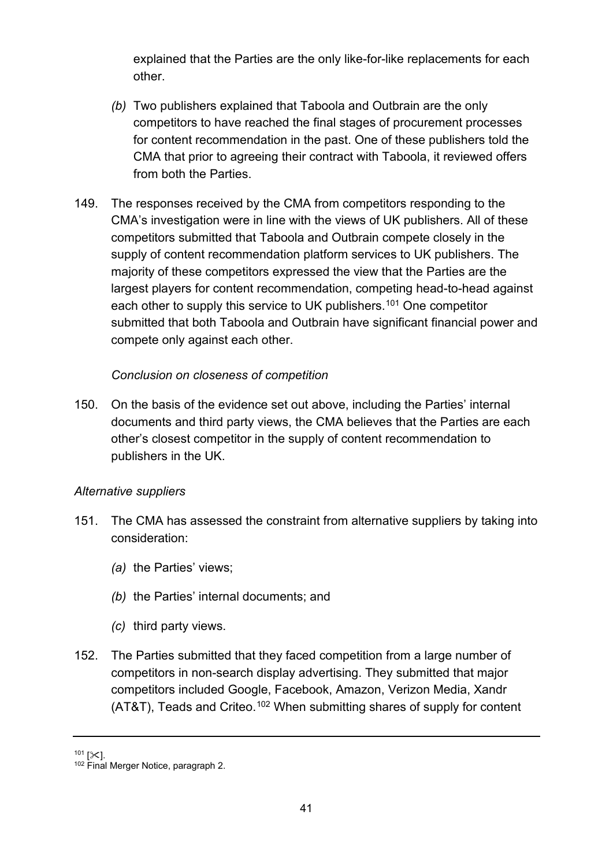explained that the Parties are the only like-for-like replacements for each other.

- *(b)* Two publishers explained that Taboola and Outbrain are the only competitors to have reached the final stages of procurement processes for content recommendation in the past. One of these publishers told the CMA that prior to agreeing their contract with Taboola, it reviewed offers from both the Parties.
- 149. The responses received by the CMA from competitors responding to the CMA's investigation were in line with the views of UK publishers. All of these competitors submitted that Taboola and Outbrain compete closely in the supply of content recommendation platform services to UK publishers. The majority of these competitors expressed the view that the Parties are the largest players for content recommendation, competing head-to-head against each other to supply this service to UK publishers.<sup>[101](#page-40-0)</sup> One competitor submitted that both Taboola and Outbrain have significant financial power and compete only against each other.

### *Conclusion on closeness of competition*

150. On the basis of the evidence set out above, including the Parties' internal documents and third party views, the CMA believes that the Parties are each other's closest competitor in the supply of content recommendation to publishers in the UK.

#### *Alternative suppliers*

- 151. The CMA has assessed the constraint from alternative suppliers by taking into consideration:
	- *(a)* the Parties' views;
	- *(b)* the Parties' internal documents; and
	- *(c)* third party views.
- 152. The Parties submitted that they faced competition from a large number of competitors in non-search display advertising. They submitted that major competitors included Google, Facebook, Amazon, Verizon Media, Xandr  $(AT&T)$ , Teads and Criteo.<sup>[102](#page-40-1)</sup> When submitting shares of supply for content

<span id="page-40-1"></span><span id="page-40-0"></span> $101$  [ $\angle$ ].<br> $102$  Final Merger Notice, paragraph 2.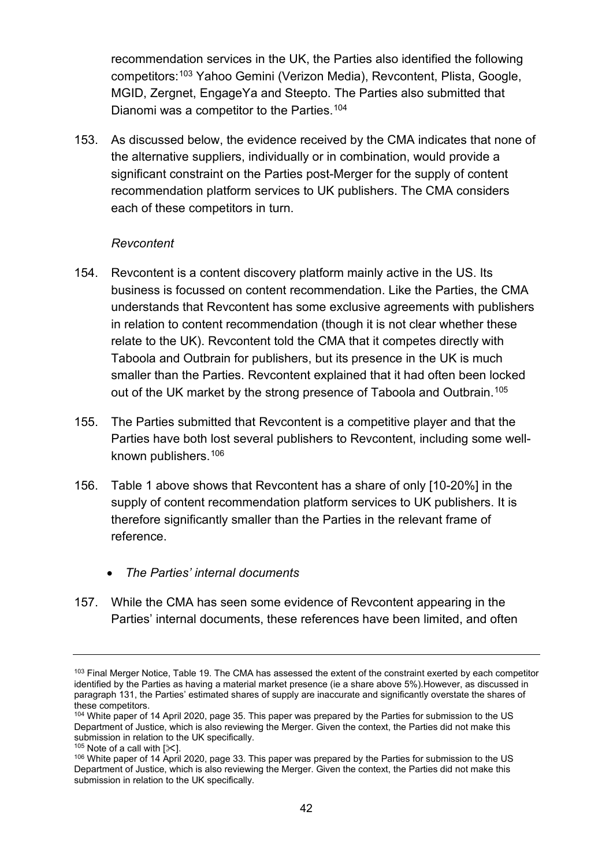recommendation services in the UK, the Parties also identified the following competitors:[103](#page-41-0) Yahoo Gemini (Verizon Media), Revcontent, Plista, Google, MGID, Zergnet, EngageYa and Steepto. The Parties also submitted that Dianomi was a competitor to the Parties.<sup>[104](#page-41-1)</sup>

153. As discussed below, the evidence received by the CMA indicates that none of the alternative suppliers, individually or in combination, would provide a significant constraint on the Parties post-Merger for the supply of content recommendation platform services to UK publishers. The CMA considers each of these competitors in turn.

#### *Revcontent*

- 154. Revcontent is a content discovery platform mainly active in the US. Its business is focussed on content recommendation. Like the Parties, the CMA understands that Revcontent has some exclusive agreements with publishers in relation to content recommendation (though it is not clear whether these relate to the UK). Revcontent told the CMA that it competes directly with Taboola and Outbrain for publishers, but its presence in the UK is much smaller than the Parties. Revcontent explained that it had often been locked out of the UK market by the strong presence of Taboola and Outbrain. [105](#page-41-2)
- 155. The Parties submitted that Revcontent is a competitive player and that the Parties have both lost several publishers to Revcontent, including some wellknown publishers.[106](#page-41-3)
- 156. Table 1 above shows that Revcontent has a share of only [10-20%] in the supply of content recommendation platform services to UK publishers. It is therefore significantly smaller than the Parties in the relevant frame of reference.
	- *The Parties' internal documents*
- 157. While the CMA has seen some evidence of Revcontent appearing in the Parties' internal documents, these references have been limited, and often

<span id="page-41-0"></span> $103$  Final Merger Notice, Table 19. The CMA has assessed the extent of the constraint exerted by each competitor identified by the Parties as having a material market presence (ie a share above 5%).However, as discussed in paragrap[h 131,](#page-33-0) the Parties' estimated shares of supply are inaccurate and significantly overstate the shares of

<span id="page-41-1"></span><sup>104</sup> White paper of 14 April 2020, page 35. This paper was prepared by the Parties for submission to the US Department of Justice, which is also reviewing the Merger. Given the context, the Parties did not make this submission in relation to the UK specifically.<br> $105$  Note of a call with  $[\%]$ .

<span id="page-41-3"></span><span id="page-41-2"></span><sup>106</sup> White paper of 14 April 2020, page 33. This paper was prepared by the Parties for submission to the US Department of Justice, which is also reviewing the Merger. Given the context, the Parties did not make this submission in relation to the UK specifically.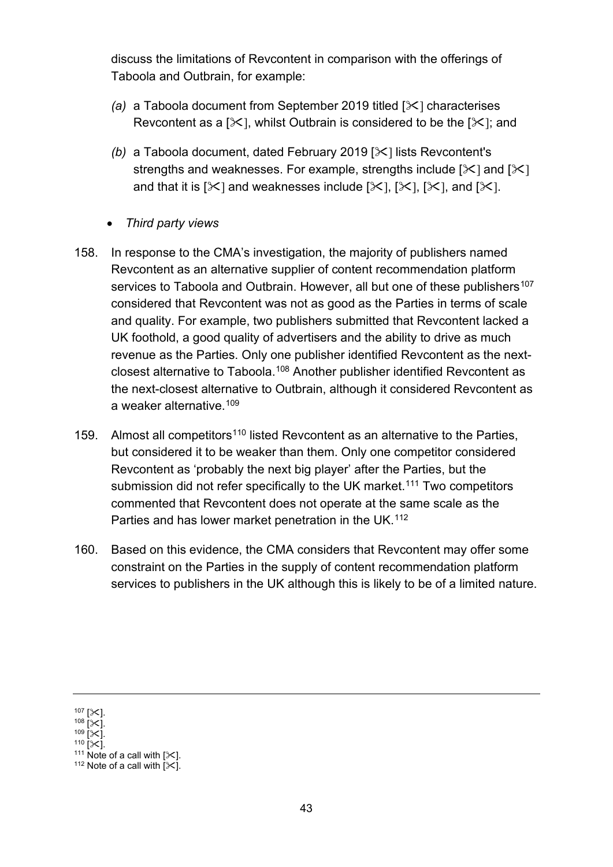discuss the limitations of Revcontent in comparison with the offerings of Taboola and Outbrain, for example:

- *(a)* a Taboola document from September 2019 titled [ $\angle$ ] characterises Revcontent as a [ $\angle$ ], whilst Outbrain is considered to be the [ $\angle$ ]; and
- *(b)* a Taboola document, dated February 2019 [ $\angle$ ] lists Revcontent's strengths and weaknesses. For example, strengths include  $[\times]$  and  $[\times]$ and that it is  $[\times]$  and weaknesses include  $[\times]$ ,  $[\times]$ ,  $[\times]$ , and  $[\times]$ .
- *Third party views*
- 158. In response to the CMA's investigation, the majority of publishers named Revcontent as an alternative supplier of content recommendation platform services to Taboola and Outbrain. However, all but one of these publishers<sup>[107](#page-42-0)</sup> considered that Revcontent was not as good as the Parties in terms of scale and quality. For example, two publishers submitted that Revcontent lacked a UK foothold, a good quality of advertisers and the ability to drive as much revenue as the Parties. Only one publisher identified Revcontent as the nextclosest alternative to Taboola.[108](#page-42-1) Another publisher identified Revcontent as the next-closest alternative to Outbrain, although it considered Revcontent as a weaker alternative.[109](#page-42-2)
- 159. Almost all competitors<sup>[110](#page-42-3)</sup> listed Revcontent as an alternative to the Parties, but considered it to be weaker than them. Only one competitor considered Revcontent as 'probably the next big player' after the Parties, but the submission did not refer specifically to the UK market.<sup>[111](#page-42-4)</sup> Two competitors commented that Revcontent does not operate at the same scale as the Parties and has lower market penetration in the UK.<sup>[112](#page-42-5)</sup>
- 160. Based on this evidence, the CMA considers that Revcontent may offer some constraint on the Parties in the supply of content recommendation platform services to publishers in the UK although this is likely to be of a limited nature.

<span id="page-42-2"></span>

<span id="page-42-3"></span>

<span id="page-42-1"></span><span id="page-42-0"></span><sup>107 [</sup> $\times$ ].<br>
108 [ $\times$ ].<br>
110 [ $\times$ ].<br>
111 Note of a call with [ $\times$ ].<br>
112 Note of a call with [ $\times$ ].

<span id="page-42-5"></span><span id="page-42-4"></span>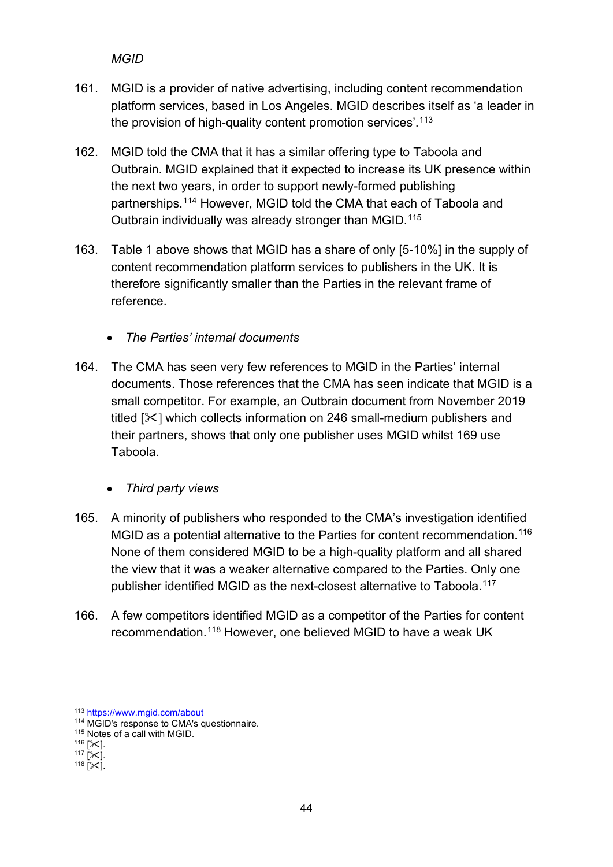## *MGID*

- 161. MGID is a provider of native advertising, including content recommendation platform services, based in Los Angeles. MGID describes itself as 'a leader in the provision of high-quality content promotion services'.<sup>[113](#page-43-0)</sup>
- 162. MGID told the CMA that it has a similar offering type to Taboola and Outbrain. MGID explained that it expected to increase its UK presence within the next two years, in order to support newly-formed publishing partnerships.[114](#page-43-1) However, MGID told the CMA that each of Taboola and Outbrain individually was already stronger than MGID.[115](#page-43-2)
- 163. Table 1 above shows that MGID has a share of only [5-10%] in the supply of content recommendation platform services to publishers in the UK. It is therefore significantly smaller than the Parties in the relevant frame of reference.
	- *The Parties' internal documents*
- 164. The CMA has seen very few references to MGID in the Parties' internal documents. Those references that the CMA has seen indicate that MGID is a small competitor. For example, an Outbrain document from November 2019 titled  $[\times]$  which collects information on 246 small-medium publishers and their partners, shows that only one publisher uses MGID whilst 169 use Taboola.
	- *Third party views*
- 165. A minority of publishers who responded to the CMA's investigation identified MGID as a potential alternative to the Parties for content recommendation.<sup>[116](#page-43-3)</sup> None of them considered MGID to be a high-quality platform and all shared the view that it was a weaker alternative compared to the Parties. Only one publisher identified MGID as the next-closest alternative to Taboola.<sup>[117](#page-43-4)</sup>
- 166. A few competitors identified MGID as a competitor of the Parties for content recommendation.[118](#page-43-5) However, one believed MGID to have a weak UK

<span id="page-43-0"></span><sup>113</sup> <https://www.mgid.com/about>

<sup>114</sup> MGID's response to CMA's questionnaire.

<span id="page-43-3"></span><span id="page-43-2"></span><span id="page-43-1"></span><sup>115</sup> Notes of a call with MGID.<br>
116 [ $\!\times$ ].<br>
117 [ $\!\times$ ].<br>
118 [ $\!\times$ ].

<span id="page-43-5"></span><span id="page-43-4"></span>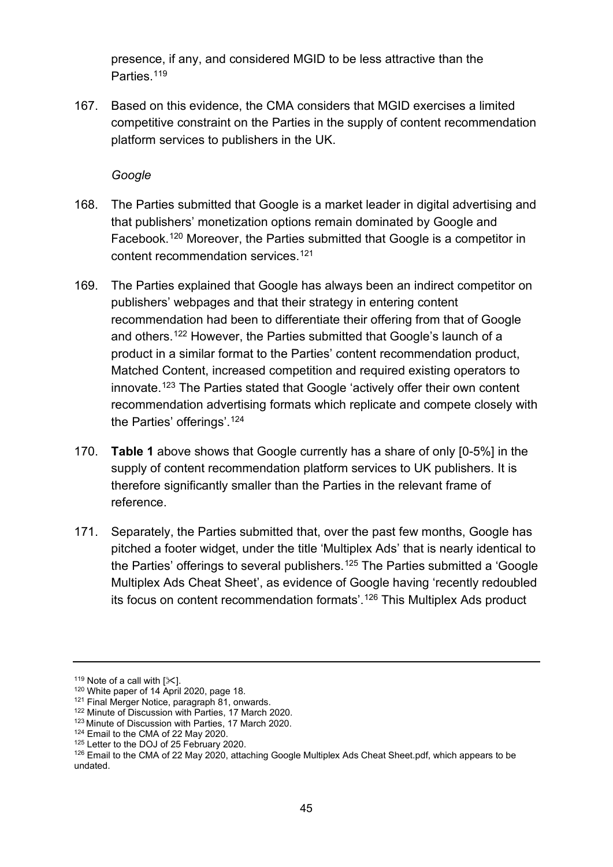presence, if any, and considered MGID to be less attractive than the Parties.<sup>[119](#page-44-0)</sup>

167. Based on this evidence, the CMA considers that MGID exercises a limited competitive constraint on the Parties in the supply of content recommendation platform services to publishers in the UK.

*Google*

- 168. The Parties submitted that Google is a market leader in digital advertising and that publishers' monetization options remain dominated by Google and Facebook.[120](#page-44-1) Moreover, the Parties submitted that Google is a competitor in content recommendation services.[121](#page-44-2)
- 169. The Parties explained that Google has always been an indirect competitor on publishers' webpages and that their strategy in entering content recommendation had been to differentiate their offering from that of Google and others.[122](#page-44-3) However, the Parties submitted that Google's launch of a product in a similar format to the Parties' content recommendation product, Matched Content, increased competition and required existing operators to innovate. [123](#page-44-4) The Parties stated that Google 'actively offer their own content recommendation advertising formats which replicate and compete closely with the Parties' offerings'.[124](#page-44-5)
- 170. **Table 1** above shows that Google currently has a share of only [0-5%] in the supply of content recommendation platform services to UK publishers. It is therefore significantly smaller than the Parties in the relevant frame of reference.
- 171. Separately, the Parties submitted that, over the past few months, Google has pitched a footer widget, under the title 'Multiplex Ads' that is nearly identical to the Parties' offerings to several publishers. [125](#page-44-6) The Parties submitted a 'Google Multiplex Ads Cheat Sheet', as evidence of Google having 'recently redoubled its focus on content recommendation formats'.[126](#page-44-7) This Multiplex Ads product

<span id="page-44-2"></span>

<span id="page-44-1"></span><span id="page-44-0"></span><sup>&</sup>lt;sup>119</sup> Note of a call with [ $\ll$ ].<br><sup>120</sup> White paper of 14 April 2020, page 18.<br><sup>121</sup> Final Merger Notice, paragraph 81, onwards.<br><sup>122</sup> Minute of Discussion with Parties, 17 March 2020.

<span id="page-44-3"></span><sup>123</sup> Minute of Discussion with Parties, 17 March 2020.

<span id="page-44-5"></span><span id="page-44-4"></span> $124$  Email to the CMA of 22 May 2020.<br> $125$  Letter to the DOJ of 25 February 2020.

<span id="page-44-7"></span><span id="page-44-6"></span> $126$  Email to the CMA of 22 May 2020, attaching Google Multiplex Ads Cheat Sheet.pdf, which appears to be undated.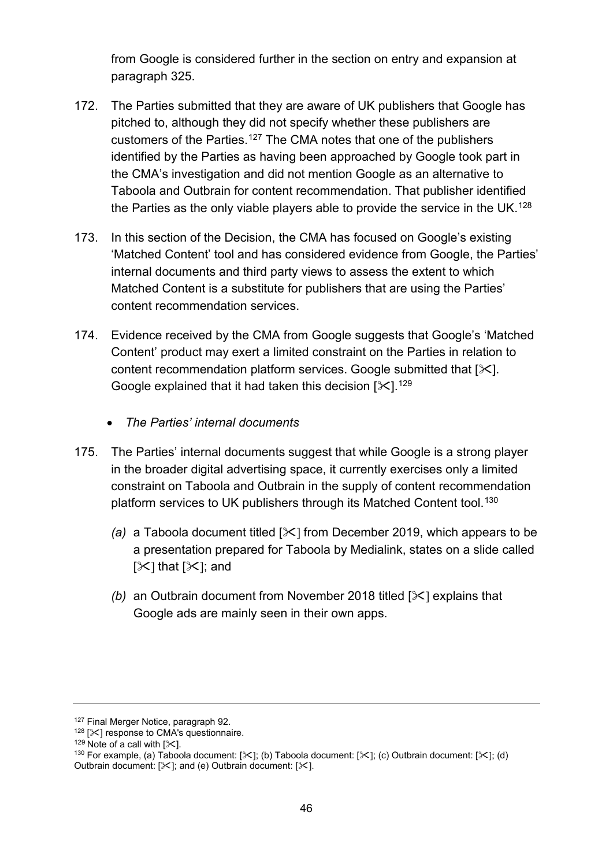from Google is considered further in the section on entry and expansion at paragraph [325.](#page-76-0)

- 172. The Parties submitted that they are aware of UK publishers that Google has pitched to, although they did not specify whether these publishers are customers of the Parties.[127](#page-45-0) The CMA notes that one of the publishers identified by the Parties as having been approached by Google took part in the CMA's investigation and did not mention Google as an alternative to Taboola and Outbrain for content recommendation. That publisher identified the Parties as the only viable players able to provide the service in the UK.<sup>128</sup>
- 173. In this section of the Decision, the CMA has focused on Google's existing 'Matched Content' tool and has considered evidence from Google, the Parties' internal documents and third party views to assess the extent to which Matched Content is a substitute for publishers that are using the Parties' content recommendation services.
- 174. Evidence received by the CMA from Google suggests that Google's 'Matched Content' product may exert a limited constraint on the Parties in relation to content recommendation platform services. Google submitted that  $[\times]$ . Google explained that it had taken this decision  $[\times]$ .<sup>[129](#page-45-2)</sup>
	- *The Parties' internal documents*
- 175. The Parties' internal documents suggest that while Google is a strong player in the broader digital advertising space, it currently exercises only a limited constraint on Taboola and Outbrain in the supply of content recommendation platform services to UK publishers through its Matched Content tool. [130](#page-45-3)
	- *(a)* a Taboola document titled [ $\angle$ ] from December 2019, which appears to be a presentation prepared for Taboola by Medialink, states on a slide called  $[\mathcal{K}]$  that  $[\mathcal{K}]$ ; and
	- *(b)* an Outbrain document from November 2018 titled [ $\ge$ ] explains that Google ads are mainly seen in their own apps.

<span id="page-45-0"></span><sup>127</sup> Final Merger Notice, paragraph 92.

<span id="page-45-1"></span><sup>&</sup>lt;sup>128</sup> [ $\times$ ] response to CMA's questionnaire.<br><sup>129</sup> Note of a call with [ $\times$ ].

<span id="page-45-3"></span><span id="page-45-2"></span><sup>&</sup>lt;sup>130</sup> For example, (a) Taboola document: [ $\&$ ]; (b) Taboola document: [ $\&$ ]; (c) Outbrain document: [ $\&$ ]; (d) Outbrain document:  $[31]$ ; and (e) Outbrain document:  $[31]$ .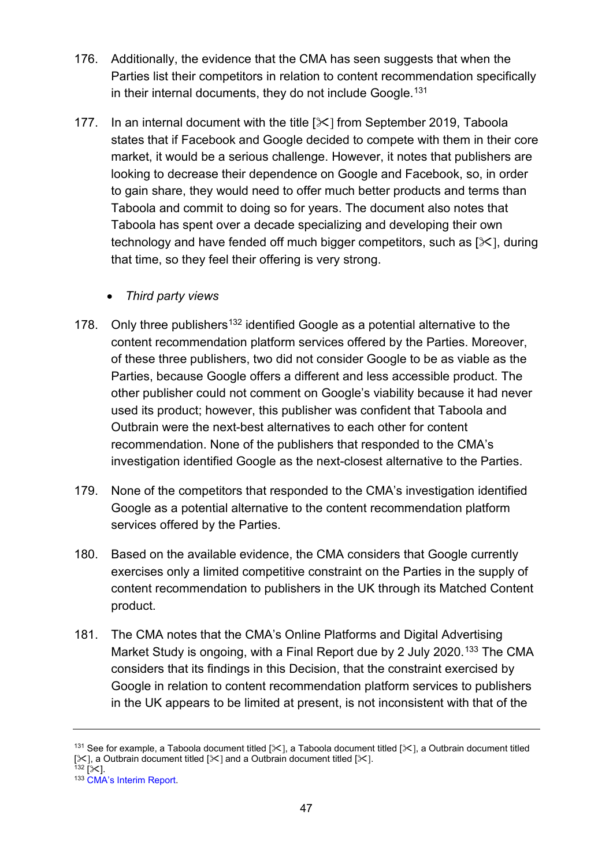- 176. Additionally, the evidence that the CMA has seen suggests that when the Parties list their competitors in relation to content recommendation specifically in their internal documents, they do not include Google.<sup>[131](#page-46-0)</sup>
- 177. In an internal document with the title [ $\&$ ] from September 2019, Taboola states that if Facebook and Google decided to compete with them in their core market, it would be a serious challenge. However, it notes that publishers are looking to decrease their dependence on Google and Facebook, so, in order to gain share, they would need to offer much better products and terms than Taboola and commit to doing so for years. The document also notes that Taboola has spent over a decade specializing and developing their own technology and have fended off much bigger competitors, such as  $[\times]$ , during that time, so they feel their offering is very strong.
	- *Third party views*
- 178. Only three publishers<sup>[132](#page-46-1)</sup> identified Google as a potential alternative to the content recommendation platform services offered by the Parties. Moreover, of these three publishers, two did not consider Google to be as viable as the Parties, because Google offers a different and less accessible product. The other publisher could not comment on Google's viability because it had never used its product; however, this publisher was confident that Taboola and Outbrain were the next-best alternatives to each other for content recommendation. None of the publishers that responded to the CMA's investigation identified Google as the next-closest alternative to the Parties.
- 179. None of the competitors that responded to the CMA's investigation identified Google as a potential alternative to the content recommendation platform services offered by the Parties.
- 180. Based on the available evidence, the CMA considers that Google currently exercises only a limited competitive constraint on the Parties in the supply of content recommendation to publishers in the UK through its Matched Content product.
- 181. The CMA notes that the CMA's Online Platforms and Digital Advertising Market Study is ongoing, with a Final Report due by 2 July 2020.<sup>[133](#page-46-2)</sup> The CMA considers that its findings in this Decision, that the constraint exercised by Google in relation to content recommendation platform services to publishers in the UK appears to be limited at present, is not inconsistent with that of the

<span id="page-46-0"></span><sup>&</sup>lt;sup>131</sup> See for example, a Taboola document titled [ $\ll$ ], a Taboola document titled [ $\ll$ ], a Outbrain document titled [ $\le$ ], a Outbrain document titled [ $\le$ ] and a Outbrain document titled [ $\le$ ].<br><sup>132</sup> [ $\le$ ]. 133 [CMA's Interim Report.](https://assets.publishing.service.gov.uk/media/5ed0f75bd3bf7f4602e98330/Interim_report_---_web.pdf)

<span id="page-46-1"></span>

<span id="page-46-2"></span>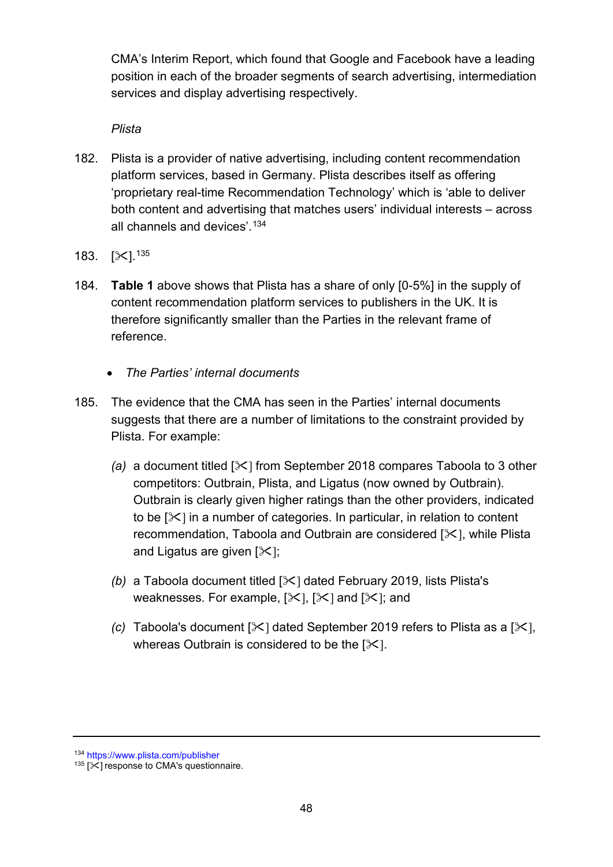CMA's Interim Report, which found that Google and Facebook have a leading position in each of the broader segments of search advertising, intermediation services and display advertising respectively.

## *Plista*

- 182. Plista is a provider of native advertising, including content recommendation platform services, based in Germany. Plista describes itself as offering 'proprietary real-time Recommendation Technology' which is 'able to deliver both content and advertising that matches users' individual interests – across all channels and devices'.[134](#page-47-0)
- 183.  $[\times]^{135}$  $[\times]^{135}$  $[\times]^{135}$
- 184. **Table 1** above shows that Plista has a share of only [0-5%] in the supply of content recommendation platform services to publishers in the UK. It is therefore significantly smaller than the Parties in the relevant frame of reference.
	- *The Parties' internal documents*
- 185. The evidence that the CMA has seen in the Parties' internal documents suggests that there are a number of limitations to the constraint provided by Plista. For example:
	- *(a)* a document titled  $[\times]$  from September 2018 compares Taboola to 3 other competitors: Outbrain, Plista, and Ligatus (now owned by Outbrain). Outbrain is clearly given higher ratings than the other providers, indicated to be  $[\times]$  in a number of categories. In particular, in relation to content recommendation, Taboola and Outbrain are considered  $[\times]$ , while Plista and Ligatus are given  $[\&]$ ;
	- *(b)* a Taboola document titled [ $\angle$ ] dated February 2019, lists Plista's weaknesses. For example,  $[\times]$ ,  $[\times]$  and  $[\times]$ ; and
	- *(c)* Taboola's document  $[\times]$  dated September 2019 refers to Plista as a  $[\times]$ . whereas Outbrain is considered to be the  $[\times]$ .

<span id="page-47-0"></span><sup>134</sup> <https://www.plista.com/publisher>

<span id="page-47-1"></span> $135$  [ $\times$ ] response to CMA's questionnaire.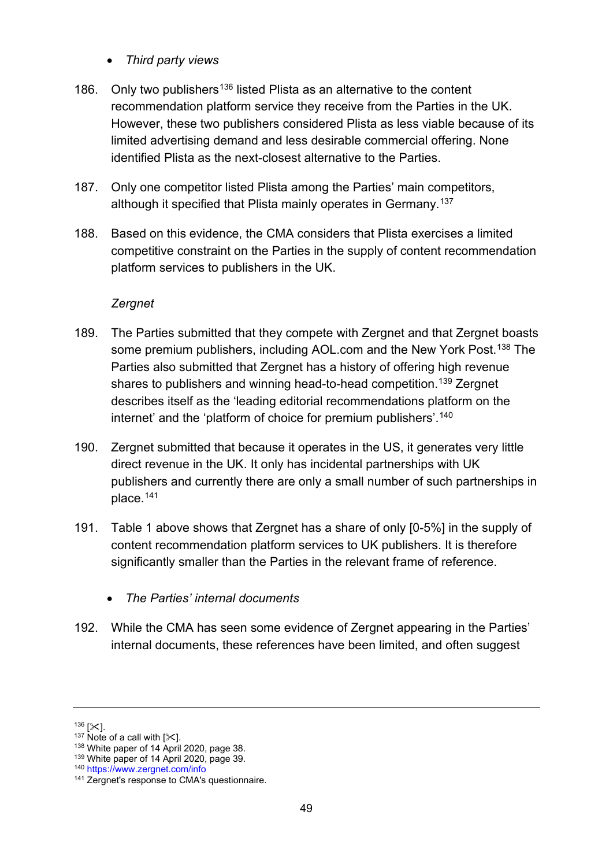- *Third party views*
- 186. Only two publishers<sup>[136](#page-48-0)</sup> listed Plista as an alternative to the content recommendation platform service they receive from the Parties in the UK. However, these two publishers considered Plista as less viable because of its limited advertising demand and less desirable commercial offering. None identified Plista as the next-closest alternative to the Parties.
- 187. Only one competitor listed Plista among the Parties' main competitors, although it specified that Plista mainly operates in Germany.<sup>[137](#page-48-1)</sup>
- 188. Based on this evidence, the CMA considers that Plista exercises a limited competitive constraint on the Parties in the supply of content recommendation platform services to publishers in the UK.

### *Zergnet*

- 189. The Parties submitted that they compete with Zergnet and that Zergnet boasts some premium publishers, including AOL.com and the New York Post.<sup>[138](#page-48-2)</sup> The Parties also submitted that Zergnet has a history of offering high revenue shares to publishers and winning head-to-head competition.<sup>[139](#page-48-3)</sup> Zergnet describes itself as the 'leading editorial recommendations platform on the internet' and the 'platform of choice for premium publishers'.<sup>[140](#page-48-4)</sup>
- 190. Zergnet submitted that because it operates in the US, it generates very little direct revenue in the UK. It only has incidental partnerships with UK publishers and currently there are only a small number of such partnerships in place. [141](#page-48-5)
- 191. Table 1 above shows that Zergnet has a share of only [0-5%] in the supply of content recommendation platform services to UK publishers. It is therefore significantly smaller than the Parties in the relevant frame of reference.
	- *The Parties' internal documents*
- 192. While the CMA has seen some evidence of Zergnet appearing in the Parties' internal documents, these references have been limited, and often suggest

<span id="page-48-2"></span>

<span id="page-48-1"></span><span id="page-48-0"></span><sup>&</sup>lt;sup>136</sup> [ $\times$ ].<br><sup>137</sup> Note of a call with [ $\times$ ].<br><sup>138</sup> White paper of 14 April 2020, page 38.<br><sup>139</sup> White paper of 14 April 2020, page 39.<br><sup>140</sup> <https://www.zergnet.com/info>

<span id="page-48-3"></span>

<span id="page-48-5"></span><span id="page-48-4"></span><sup>&</sup>lt;sup>141</sup> Zergnet's response to CMA's questionnaire.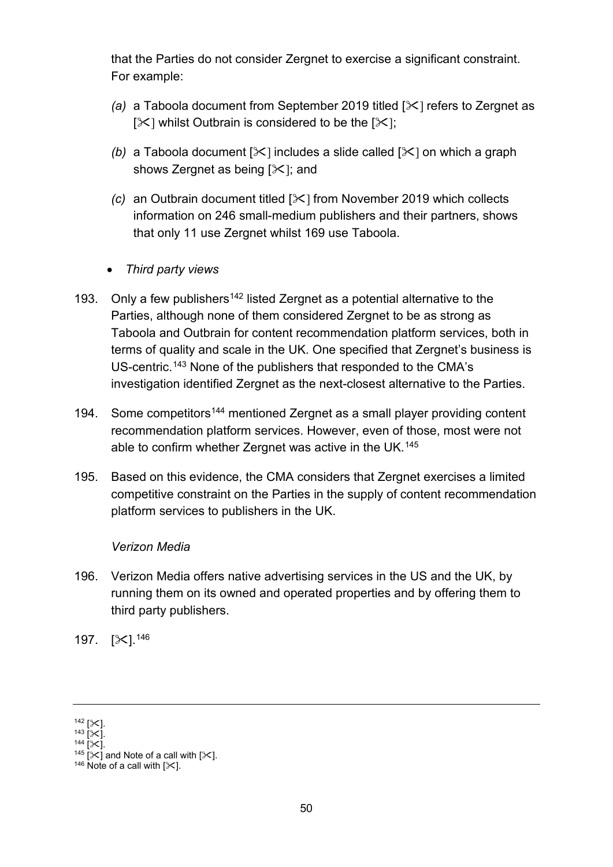that the Parties do not consider Zergnet to exercise a significant constraint. For example:

- *(a)* a Taboola document from September 2019 titled [ $\angle$ ] refers to Zergnet as  $[\times]$  whilst Outbrain is considered to be the  $[\times]$ ;
- *(b)* a Taboola document  $[\&]$  includes a slide called  $[\&]$  on which a graph shows Zergnet as being  $[\&]$ ; and
- *(c)* an Outbrain document titled [ $\angle$ ] from November 2019 which collects information on 246 small-medium publishers and their partners, shows that only 11 use Zergnet whilst 169 use Taboola.
- *Third party views*
- 193. Only a few publishers<sup>[142](#page-49-0)</sup> listed Zergnet as a potential alternative to the Parties, although none of them considered Zergnet to be as strong as Taboola and Outbrain for content recommendation platform services, both in terms of quality and scale in the UK. One specified that Zergnet's business is US-centric.[143](#page-49-1) None of the publishers that responded to the CMA's investigation identified Zergnet as the next-closest alternative to the Parties.
- 194. Some competitors<sup>[144](#page-49-2)</sup> mentioned Zergnet as a small player providing content recommendation platform services. However, even of those, most were not able to confirm whether Zergnet was active in the UK.<sup>145</sup>
- 195. Based on this evidence, the CMA considers that Zergnet exercises a limited competitive constraint on the Parties in the supply of content recommendation platform services to publishers in the UK.

## *Verizon Media*

- 196. Verizon Media offers native advertising services in the US and the UK, by running them on its owned and operated properties and by offering them to third party publishers.
- 197.  $[\times]$ . 146

<span id="page-49-2"></span>

<span id="page-49-1"></span><span id="page-49-0"></span><sup>142 [</sup> $\times$ ].<br>
143 [ $\times$ ].<br>
145 [ $\times$ ] and Note of a call with [ $\times$ ].<br>
146 Note of a call with [ $\times$ ].

<span id="page-49-4"></span><span id="page-49-3"></span>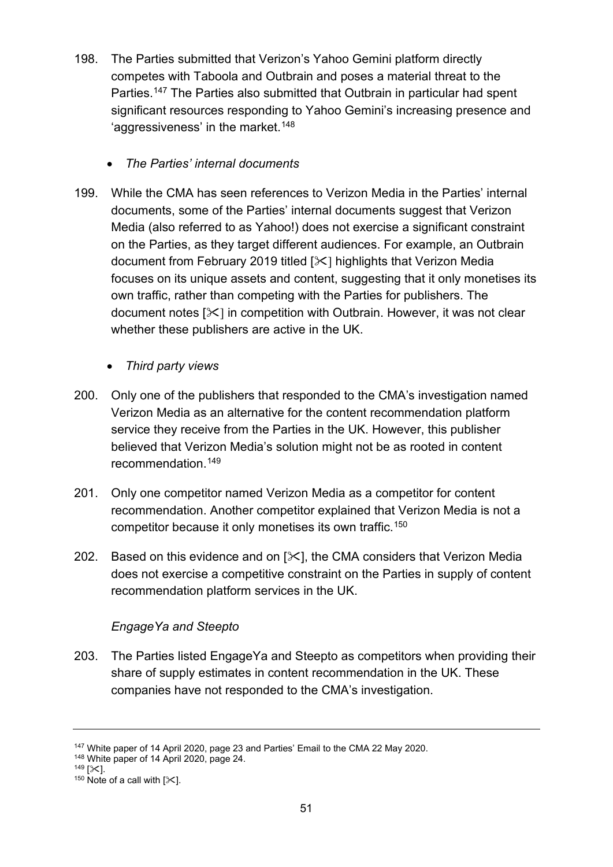- 198. The Parties submitted that Verizon's Yahoo Gemini platform directly competes with Taboola and Outbrain and poses a material threat to the Parties.<sup>[147](#page-50-0)</sup> The Parties also submitted that Outbrain in particular had spent significant resources responding to Yahoo Gemini's increasing presence and 'aggressiveness' in the market.<sup>148</sup>
	- *The Parties' internal documents*
- 199. While the CMA has seen references to Verizon Media in the Parties' internal documents, some of the Parties' internal documents suggest that Verizon Media (also referred to as Yahoo!) does not exercise a significant constraint on the Parties, as they target different audiences. For example, an Outbrain document from February 2019 titled [ $\angle$ ] highlights that Verizon Media focuses on its unique assets and content, suggesting that it only monetises its own traffic, rather than competing with the Parties for publishers. The document notes  $[\times]$  in competition with Outbrain. However, it was not clear whether these publishers are active in the UK.
	- *Third party views*
- 200. Only one of the publishers that responded to the CMA's investigation named Verizon Media as an alternative for the content recommendation platform service they receive from the Parties in the UK. However, this publisher believed that Verizon Media's solution might not be as rooted in content recommendation.[149](#page-50-2)
- 201. Only one competitor named Verizon Media as a competitor for content recommendation. Another competitor explained that Verizon Media is not a competitor because it only monetises its own traffic.[150](#page-50-3)
- 202. Based on this evidence and on  $[\&]$ , the CMA considers that Verizon Media does not exercise a competitive constraint on the Parties in supply of content recommendation platform services in the UK.

# *EngageYa and Steepto*

203. The Parties listed EngageYa and Steepto as competitors when providing their share of supply estimates in content recommendation in the UK. These companies have not responded to the CMA's investigation.

<span id="page-50-2"></span>

<span id="page-50-1"></span><span id="page-50-0"></span><sup>&</sup>lt;sup>147</sup> White paper of 14 April 2020, page 23 and Parties' Email to the CMA 22 May 2020.<br><sup>148</sup> White paper of 14 April 2020, page 24.<br><sup>149</sup> [ $\times$ ].<br><sup>150</sup> Note of a call with [ $\times$ ].

<span id="page-50-3"></span>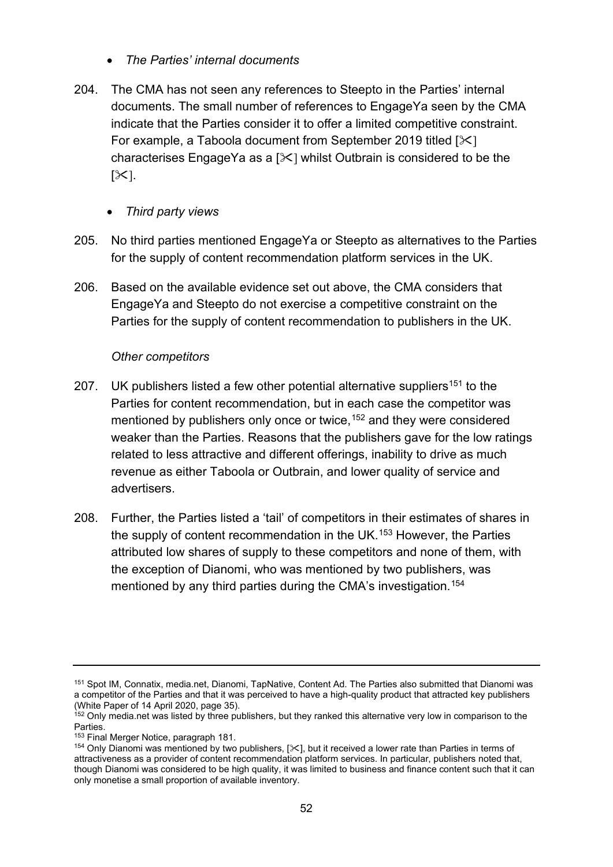- *The Parties' internal documents*
- 204. The CMA has not seen any references to Steepto in the Parties' internal documents. The small number of references to EngageYa seen by the CMA indicate that the Parties consider it to offer a limited competitive constraint. For example, a Taboola document from September 2019 titled  $[\times]$ characterises EngageYa as a  $[\times]$  whilst Outbrain is considered to be the  $[\mathcal{K}]$ .
	- *Third party views*
- 205. No third parties mentioned EngageYa or Steepto as alternatives to the Parties for the supply of content recommendation platform services in the UK.
- 206. Based on the available evidence set out above, the CMA considers that EngageYa and Steepto do not exercise a competitive constraint on the Parties for the supply of content recommendation to publishers in the UK.

## *Other competitors*

- 207. UK publishers listed a few other potential alternative suppliers<sup>[151](#page-51-0)</sup> to the Parties for content recommendation, but in each case the competitor was mentioned by publishers only once or twice,<sup>[152](#page-51-1)</sup> and they were considered weaker than the Parties. Reasons that the publishers gave for the low ratings related to less attractive and different offerings, inability to drive as much revenue as either Taboola or Outbrain, and lower quality of service and advertisers.
- 208. Further, the Parties listed a 'tail' of competitors in their estimates of shares in the supply of content recommendation in the UK.[153](#page-51-2) However, the Parties attributed low shares of supply to these competitors and none of them, with the exception of Dianomi, who was mentioned by two publishers, was mentioned by any third parties during the CMA's investigation. [154](#page-51-3)

<span id="page-51-0"></span><sup>151</sup> Spot IM, Connatix, media.net, Dianomi, TapNative, Content Ad. The Parties also submitted that Dianomi was a competitor of the Parties and that it was perceived to have a high-quality product that attracted key publishers (White Paper of 14 April 2020, page 35).

<span id="page-51-1"></span><sup>&</sup>lt;sup>152</sup> Only media.net was listed by three publishers, but they ranked this alternative very low in comparison to the Parties.

<sup>&</sup>lt;sup>153</sup> Final Merger Notice, paragraph 181.

<span id="page-51-3"></span><span id="page-51-2"></span><sup>154</sup> Only Dianomi was mentioned by two publishers,  $[\times]$ , but it received a lower rate than Parties in terms of attractiveness as a provider of content recommendation platform services. In particular, publishers noted that, though Dianomi was considered to be high quality, it was limited to business and finance content such that it can only monetise a small proportion of available inventory.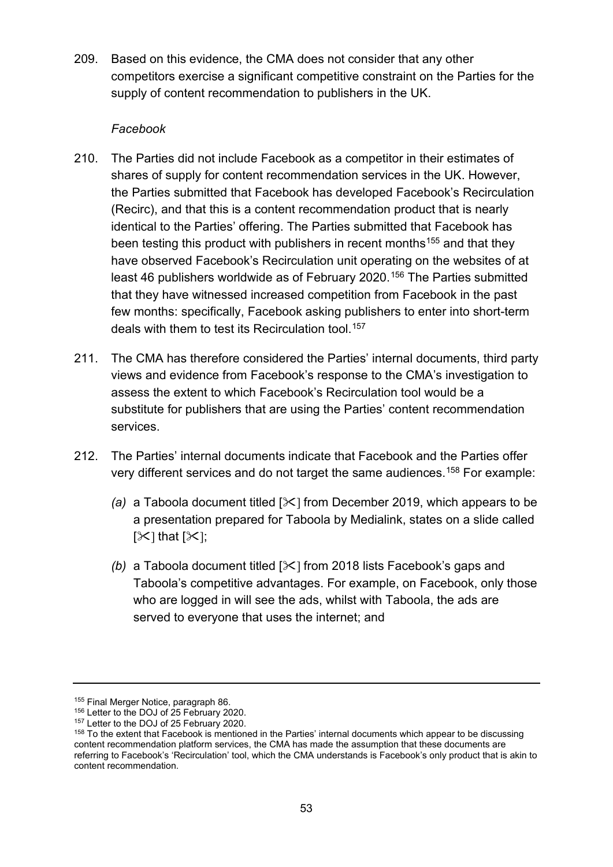209. Based on this evidence, the CMA does not consider that any other competitors exercise a significant competitive constraint on the Parties for the supply of content recommendation to publishers in the UK.

### *Facebook*

- 210. The Parties did not include Facebook as a competitor in their estimates of shares of supply for content recommendation services in the UK. However, the Parties submitted that Facebook has developed Facebook's Recirculation (Recirc), and that this is a content recommendation product that is nearly identical to the Parties' offering. The Parties submitted that Facebook has been testing this product with publishers in recent months<sup>[155](#page-52-0)</sup> and that they have observed Facebook's Recirculation unit operating on the websites of at least 46 publishers worldwide as of February 2020.<sup>[156](#page-52-1)</sup> The Parties submitted that they have witnessed increased competition from Facebook in the past few months: specifically, Facebook asking publishers to enter into short-term deals with them to test its Recirculation tool.[157](#page-52-2)
- 211. The CMA has therefore considered the Parties' internal documents, third party views and evidence from Facebook's response to the CMA's investigation to assess the extent to which Facebook's Recirculation tool would be a substitute for publishers that are using the Parties' content recommendation services.
- 212. The Parties' internal documents indicate that Facebook and the Parties offer very different services and do not target the same audiences.[158](#page-52-3) For example:
	- *(a)* a Taboola document titled [ $\angle$ ] from December 2019, which appears to be a presentation prepared for Taboola by Medialink, states on a slide called  $[\mathcal{K}]$  that  $[\mathcal{K}]$ ;
	- *(b)* a Taboola document titled [ $\angle$ ] from 2018 lists Facebook's gaps and Taboola's competitive advantages. For example, on Facebook, only those who are logged in will see the ads, whilst with Taboola, the ads are served to everyone that uses the internet; and

<span id="page-52-0"></span><sup>&</sup>lt;sup>155</sup> Final Merger Notice, paragraph 86.

<span id="page-52-1"></span> $156$  Letter to the DOJ of 25 February 2020.<br> $157$  Letter to the DOJ of 25 February 2020.

<span id="page-52-3"></span><span id="page-52-2"></span><sup>&</sup>lt;sup>158</sup> To the extent that Facebook is mentioned in the Parties' internal documents which appear to be discussing content recommendation platform services, the CMA has made the assumption that these documents are referring to Facebook's 'Recirculation' tool, which the CMA understands is Facebook's only product that is akin to content recommendation.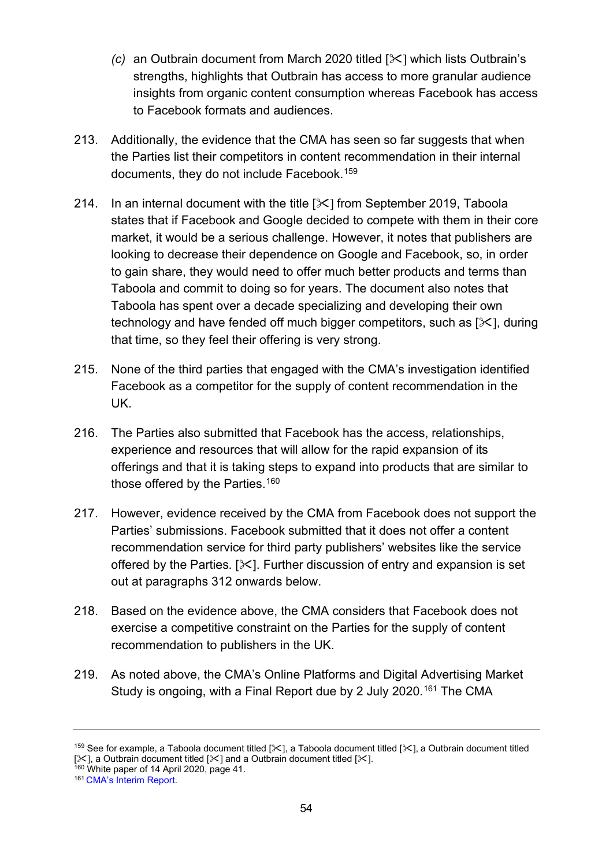- *(c)* an Outbrain document from March 2020 titled [ $\ll$ ] which lists Outbrain's strengths, highlights that Outbrain has access to more granular audience insights from organic content consumption whereas Facebook has access to Facebook formats and audiences.
- 213. Additionally, the evidence that the CMA has seen so far suggests that when the Parties list their competitors in content recommendation in their internal documents, they do not include Facebook.[159](#page-53-0)
- 214. In an internal document with the title  $[\frac{1}{2}]$  from September 2019, Taboola states that if Facebook and Google decided to compete with them in their core market, it would be a serious challenge. However, it notes that publishers are looking to decrease their dependence on Google and Facebook, so, in order to gain share, they would need to offer much better products and terms than Taboola and commit to doing so for years. The document also notes that Taboola has spent over a decade specializing and developing their own technology and have fended off much bigger competitors, such as  $[\times]$ , during that time, so they feel their offering is very strong.
- 215. None of the third parties that engaged with the CMA's investigation identified Facebook as a competitor for the supply of content recommendation in the UK.
- 216. The Parties also submitted that Facebook has the access, relationships, experience and resources that will allow for the rapid expansion of its offerings and that it is taking steps to expand into products that are similar to those offered by the Parties.<sup>160</sup>
- 217. However, evidence received by the CMA from Facebook does not support the Parties' submissions. Facebook submitted that it does not offer a content recommendation service for third party publishers' websites like the service offered by the Parties.  $[\times]$ . Further discussion of entry and expansion is set out at paragraphs [312](#page-72-0) onwards below.
- 218. Based on the evidence above, the CMA considers that Facebook does not exercise a competitive constraint on the Parties for the supply of content recommendation to publishers in the UK.
- 219. As noted above, the CMA's Online Platforms and Digital Advertising Market Study is ongoing, with a Final Report due by 2 July 2020.<sup>[161](#page-53-2)</sup> The CMA

<span id="page-53-0"></span><sup>159</sup> See for example, a Taboola document titled [ $\times$ ], a Taboola document titled [ $\times$ ], a Outbrain document titled [ $\times$ ], a Outbrain document titled [ $\times$ ] and a Outbrain document titled [ $\times$ ].

<span id="page-53-2"></span><span id="page-53-1"></span> $160$  White paper of 14 April 2020, page 41.<br> $161$  [CMA's Interim Report.](https://assets.publishing.service.gov.uk/media/5ed0f75bd3bf7f4602e98330/Interim_report_---_web.pdf)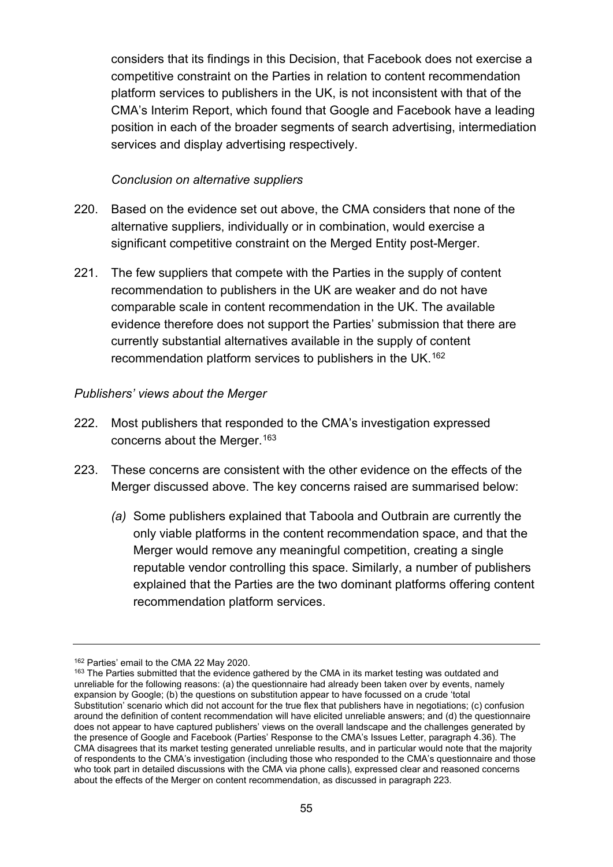considers that its findings in this Decision, that Facebook does not exercise a competitive constraint on the Parties in relation to content recommendation platform services to publishers in the UK, is not inconsistent with that of the CMA's Interim Report, which found that Google and Facebook have a leading position in each of the broader segments of search advertising, intermediation services and display advertising respectively.

### *Conclusion on alternative suppliers*

- 220. Based on the evidence set out above, the CMA considers that none of the alternative suppliers, individually or in combination, would exercise a significant competitive constraint on the Merged Entity post-Merger.
- 221. The few suppliers that compete with the Parties in the supply of content recommendation to publishers in the UK are weaker and do not have comparable scale in content recommendation in the UK. The available evidence therefore does not support the Parties' submission that there are currently substantial alternatives available in the supply of content recommendation platform services to publishers in the UK.[162](#page-54-1)

### *Publishers' views about the Merger*

- 222. Most publishers that responded to the CMA's investigation expressed concerns about the Merger.[163](#page-54-2)
- <span id="page-54-0"></span>223. These concerns are consistent with the other evidence on the effects of the Merger discussed above. The key concerns raised are summarised below:
	- *(a)* Some publishers explained that Taboola and Outbrain are currently the only viable platforms in the content recommendation space, and that the Merger would remove any meaningful competition, creating a single reputable vendor controlling this space. Similarly, a number of publishers explained that the Parties are the two dominant platforms offering content recommendation platform services.

<sup>162</sup> Parties' email to the CMA 22 May 2020.

<span id="page-54-2"></span><span id="page-54-1"></span><sup>&</sup>lt;sup>163</sup> The Parties submitted that the evidence gathered by the CMA in its market testing was outdated and unreliable for the following reasons: (a) the questionnaire had already been taken over by events, namely expansion by Google; (b) the questions on substitution appear to have focussed on a crude 'total Substitution' scenario which did not account for the true flex that publishers have in negotiations; (c) confusion around the definition of content recommendation will have elicited unreliable answers; and (d) the questionnaire does not appear to have captured publishers' views on the overall landscape and the challenges generated by the presence of Google and Facebook (Parties' Response to the CMA's Issues Letter, paragraph 4.36). The CMA disagrees that its market testing generated unreliable results, and in particular would note that the majority of respondents to the CMA's investigation (including those who responded to the CMA's questionnaire and those who took part in detailed discussions with the CMA via phone calls), expressed clear and reasoned concerns about the effects of the Merger on content recommendation, as discussed in paragraph [223.](#page-54-0)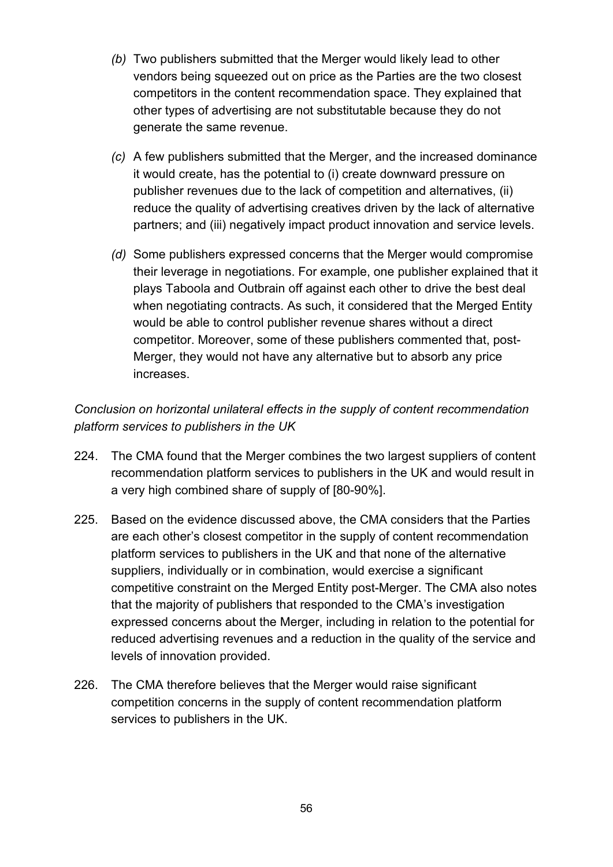- *(b)* Two publishers submitted that the Merger would likely lead to other vendors being squeezed out on price as the Parties are the two closest competitors in the content recommendation space. They explained that other types of advertising are not substitutable because they do not generate the same revenue.
- *(c)* A few publishers submitted that the Merger, and the increased dominance it would create, has the potential to (i) create downward pressure on publisher revenues due to the lack of competition and alternatives, (ii) reduce the quality of advertising creatives driven by the lack of alternative partners; and (iii) negatively impact product innovation and service levels.
- *(d)* Some publishers expressed concerns that the Merger would compromise their leverage in negotiations. For example, one publisher explained that it plays Taboola and Outbrain off against each other to drive the best deal when negotiating contracts. As such, it considered that the Merged Entity would be able to control publisher revenue shares without a direct competitor. Moreover, some of these publishers commented that, post-Merger, they would not have any alternative but to absorb any price increases.

# *Conclusion on horizontal unilateral effects in the supply of content recommendation platform services to publishers in the UK*

- 224. The CMA found that the Merger combines the two largest suppliers of content recommendation platform services to publishers in the UK and would result in a very high combined share of supply of [80-90%].
- 225. Based on the evidence discussed above, the CMA considers that the Parties are each other's closest competitor in the supply of content recommendation platform services to publishers in the UK and that none of the alternative suppliers, individually or in combination, would exercise a significant competitive constraint on the Merged Entity post-Merger. The CMA also notes that the majority of publishers that responded to the CMA's investigation expressed concerns about the Merger, including in relation to the potential for reduced advertising revenues and a reduction in the quality of the service and levels of innovation provided.
- 226. The CMA therefore believes that the Merger would raise significant competition concerns in the supply of content recommendation platform services to publishers in the UK.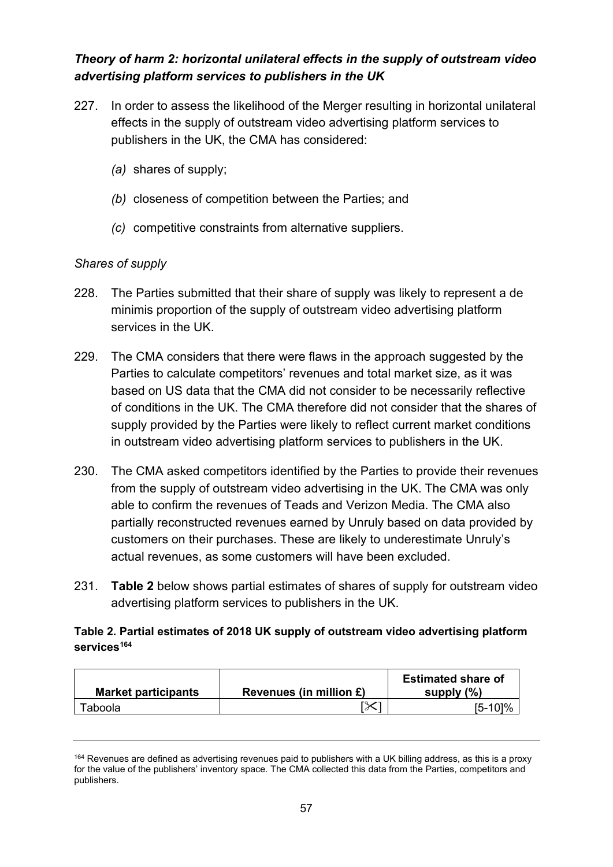# *Theory of harm 2: horizontal unilateral effects in the supply of outstream video advertising platform services to publishers in the UK*

- 227. In order to assess the likelihood of the Merger resulting in horizontal unilateral effects in the supply of outstream video advertising platform services to publishers in the UK, the CMA has considered:
	- *(a)* shares of supply;
	- *(b)* closeness of competition between the Parties; and
	- *(c)* competitive constraints from alternative suppliers.

# *Shares of supply*

- 228. The Parties submitted that their share of supply was likely to represent a de minimis proportion of the supply of outstream video advertising platform services in the UK.
- 229. The CMA considers that there were flaws in the approach suggested by the Parties to calculate competitors' revenues and total market size, as it was based on US data that the CMA did not consider to be necessarily reflective of conditions in the UK. The CMA therefore did not consider that the shares of supply provided by the Parties were likely to reflect current market conditions in outstream video advertising platform services to publishers in the UK.
- 230. The CMA asked competitors identified by the Parties to provide their revenues from the supply of outstream video advertising in the UK. The CMA was only able to confirm the revenues of Teads and Verizon Media. The CMA also partially reconstructed revenues earned by Unruly based on data provided by customers on their purchases. These are likely to underestimate Unruly's actual revenues, as some customers will have been excluded.
- 231. **Table 2** below shows partial estimates of shares of supply for outstream video advertising platform services to publishers in the UK.

## **Table 2. Partial estimates of 2018 UK supply of outstream video advertising platform services[164](#page-56-0)**

| <b>Market participants</b> | Revenues (in million £) | <b>Estimated share of</b><br>supply $(\% )$ |
|----------------------------|-------------------------|---------------------------------------------|
| ⊺aboola                    | l T                     | 5-101%                                      |

<span id="page-56-0"></span><sup>&</sup>lt;sup>164</sup> Revenues are defined as advertising revenues paid to publishers with a UK billing address, as this is a proxy for the value of the publishers' inventory space. The CMA collected this data from the Parties, competitors and publishers.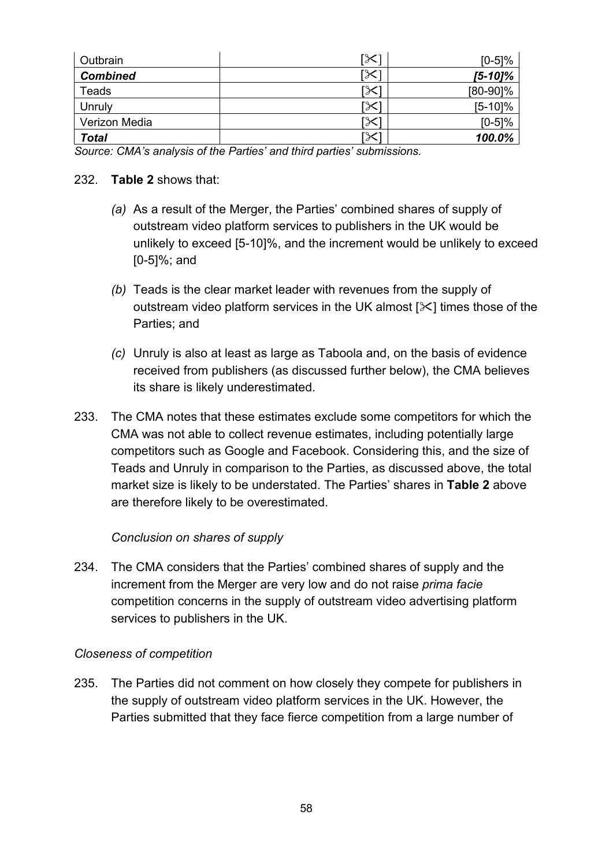| Outbrain        | [╳] | $[0-5]%$   |
|-----------------|-----|------------|
| <b>Combined</b> | [╳] | $[5-10]\%$ |
| Teads           | ℅   | [80-90]%   |
| Unruly          | [╳  | $[5-10]$ % |
| Verizon Media   | ℅   | $[0-5]%$   |
| <b>Total</b>    | 「╳  | 100.0%     |

*Source: CMA's analysis of the Parties' and third parties' submissions.*

### 232. **Table 2** shows that:

- *(a)* As a result of the Merger, the Parties' combined shares of supply of outstream video platform services to publishers in the UK would be unlikely to exceed [5-10]%, and the increment would be unlikely to exceed [0-5]%; and
- *(b)* Teads is the clear market leader with revenues from the supply of outstream video platform services in the UK almost  $[\times]$  times those of the Parties; and
- *(c)* Unruly is also at least as large as Taboola and, on the basis of evidence received from publishers (as discussed further below), the CMA believes its share is likely underestimated.
- 233. The CMA notes that these estimates exclude some competitors for which the CMA was not able to collect revenue estimates, including potentially large competitors such as Google and Facebook. Considering this, and the size of Teads and Unruly in comparison to the Parties, as discussed above, the total market size is likely to be understated. The Parties' shares in **Table 2** above are therefore likely to be overestimated.

## *Conclusion on shares of supply*

234. The CMA considers that the Parties' combined shares of supply and the increment from the Merger are very low and do not raise *prima facie* competition concerns in the supply of outstream video advertising platform services to publishers in the UK.

#### *Closeness of competition*

235. The Parties did not comment on how closely they compete for publishers in the supply of outstream video platform services in the UK. However, the Parties submitted that they face fierce competition from a large number of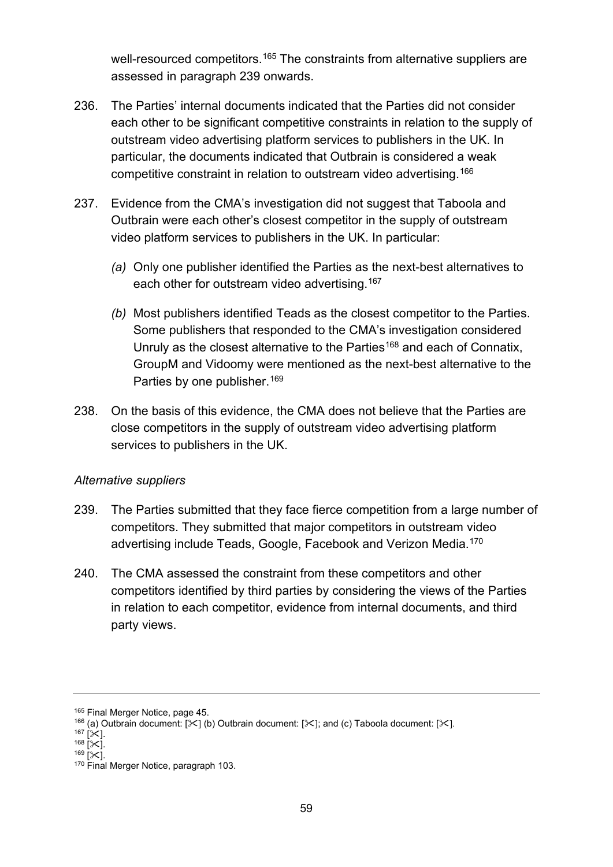well-resourced competitors.<sup>[165](#page-58-1)</sup> The constraints from alternative suppliers are assessed in paragraph [239](#page-58-0) onwards.

- 236. The Parties' internal documents indicated that the Parties did not consider each other to be significant competitive constraints in relation to the supply of outstream video advertising platform services to publishers in the UK. In particular, the documents indicated that Outbrain is considered a weak competitive constraint in relation to outstream video advertising. [166](#page-58-2)
- 237. Evidence from the CMA's investigation did not suggest that Taboola and Outbrain were each other's closest competitor in the supply of outstream video platform services to publishers in the UK. In particular:
	- *(a)* Only one publisher identified the Parties as the next-best alternatives to each other for outstream video advertising. [167](#page-58-3)
	- *(b)* Most publishers identified Teads as the closest competitor to the Parties. Some publishers that responded to the CMA's investigation considered Unruly as the closest alternative to the Parties<sup>[168](#page-58-4)</sup> and each of Connatix, GroupM and Vidoomy were mentioned as the next-best alternative to the Parties by one publisher.<sup>[169](#page-58-5)</sup>
- 238. On the basis of this evidence, the CMA does not believe that the Parties are close competitors in the supply of outstream video advertising platform services to publishers in the UK.

## *Alternative suppliers*

- <span id="page-58-0"></span>239. The Parties submitted that they face fierce competition from a large number of competitors. They submitted that major competitors in outstream video advertising include Teads, Google, Facebook and Verizon Media.[170](#page-58-6)
- 240. The CMA assessed the constraint from these competitors and other competitors identified by third parties by considering the views of the Parties in relation to each competitor, evidence from internal documents, and third party views.

<sup>&</sup>lt;sup>165</sup> Final Merger Notice, page 45.

<span id="page-58-2"></span><span id="page-58-1"></span><sup>166 (</sup>a) Outbrain document:  $[35]$  (b) Outbrain document:  $[35]$ ; and (c) Taboola document:  $[35]$ .<br>167  $[35]$ 

<span id="page-58-6"></span>

<span id="page-58-5"></span><span id="page-58-4"></span><span id="page-58-3"></span><sup>168</sup>  $\left[\infty\right]$ .<br><sup>168</sup> [ $\infty$ ].<br><sup>170</sup> Final Merger Notice, paragraph 103.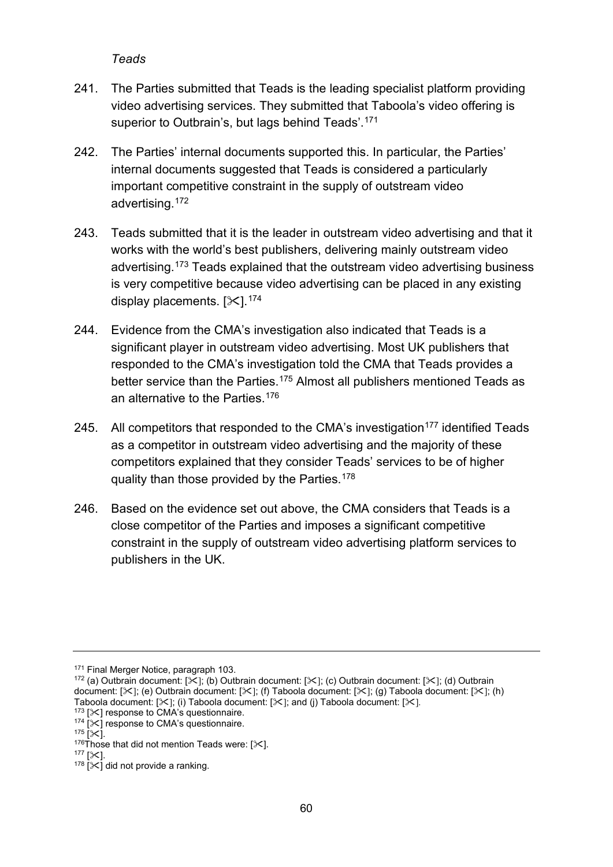### *Teads*

- 241. The Parties submitted that Teads is the leading specialist platform providing video advertising services. They submitted that Taboola's video offering is superior to Outbrain's, but lags behind Teads'.<sup>[171](#page-59-0)</sup>
- 242. The Parties' internal documents supported this. In particular, the Parties' internal documents suggested that Teads is considered a particularly important competitive constraint in the supply of outstream video advertising. [172](#page-59-1)
- 243. Teads submitted that it is the leader in outstream video advertising and that it works with the world's best publishers, delivering mainly outstream video advertising.[173](#page-59-2) Teads explained that the outstream video advertising business is very competitive because video advertising can be placed in any existing display placements.  $[31]$ .  $174$
- 244. Evidence from the CMA's investigation also indicated that Teads is a significant player in outstream video advertising. Most UK publishers that responded to the CMA's investigation told the CMA that Teads provides a better service than the Parties.<sup>[175](#page-59-4)</sup> Almost all publishers mentioned Teads as an alternative to the Parties. [176](#page-59-5)
- 245. All competitors that responded to the CMA's investigation<sup>[177](#page-59-6)</sup> identified Teads as a competitor in outstream video advertising and the majority of these competitors explained that they consider Teads' services to be of higher quality than those provided by the Parties.[178](#page-59-7)
- 246. Based on the evidence set out above, the CMA considers that Teads is a close competitor of the Parties and imposes a significant competitive constraint in the supply of outstream video advertising platform services to publishers in the UK.

<sup>171</sup> Final Merger Notice, paragraph 103.

<span id="page-59-1"></span><span id="page-59-0"></span><sup>172 (</sup>a) Outbrain document:  $[\mathcal{K}];$  (b) Outbrain document:  $[\mathcal{K}];$  (c) Outbrain document:  $[\mathcal{K}];$  (d) Outbrain document: [ $\le$ ]; (e) Outbrain document: [ $\le$ ]; (f) Taboola document: [ $\le$ ]; (g) Taboola document: [ $\le$ ]; (h) Taboola document:  $[\mathcal{K}]$ ; (i) Taboola document:  $[\mathcal{K}]$ ; and (j) Taboola document:  $[\mathcal{K}]$ .<br><sup>173</sup>  $[\mathcal{K}]$  response to CMA's questionnaire.

<span id="page-59-3"></span><span id="page-59-2"></span><sup>174 [</sup> $\times$ ] response to CMA's questionnaire.<br><sup>175</sup> [ $\times$ ]

<span id="page-59-5"></span><span id="page-59-4"></span><sup>&</sup>lt;sup>176</sup>Those that did not mention Teads were: [ $\angle$ ].<br><sup>177</sup> [ $\angle$ ].<br><sup>178</sup> [ $\angle$ ] did not provide a ranking.

<span id="page-59-7"></span><span id="page-59-6"></span>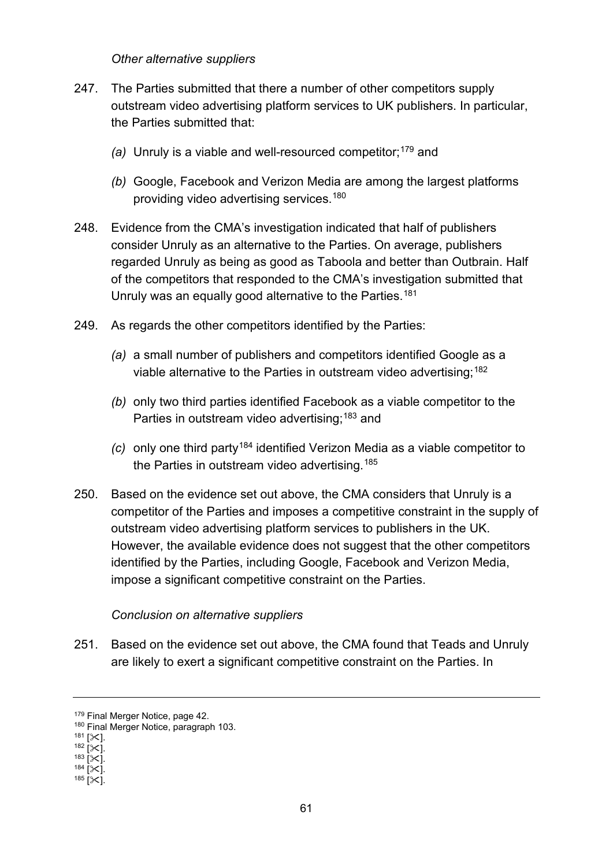#### *Other alternative suppliers*

- 247. The Parties submitted that there a number of other competitors supply outstream video advertising platform services to UK publishers. In particular, the Parties submitted that:
	- *(a)* Unruly is a viable and well-resourced competitor; [179](#page-60-0) and
	- *(b)* Google, Facebook and Verizon Media are among the largest platforms providing video advertising services. [180](#page-60-1)
- 248. Evidence from the CMA's investigation indicated that half of publishers consider Unruly as an alternative to the Parties. On average, publishers regarded Unruly as being as good as Taboola and better than Outbrain. Half of the competitors that responded to the CMA's investigation submitted that Unruly was an equally good alternative to the Parties.<sup>[181](#page-60-2)</sup>
- 249. As regards the other competitors identified by the Parties:
	- *(a)* a small number of publishers and competitors identified Google as a viable alternative to the Parties in outstream video advertising; [182](#page-60-3)
	- *(b)* only two third parties identified Facebook as a viable competitor to the Parties in outstream video advertising;<sup>[183](#page-60-4)</sup> and
	- *(c)* only one third party[184](#page-60-5) identified Verizon Media as a viable competitor to the Parties in outstream video advertising.<sup>[185](#page-60-6)</sup>
- 250. Based on the evidence set out above, the CMA considers that Unruly is a competitor of the Parties and imposes a competitive constraint in the supply of outstream video advertising platform services to publishers in the UK. However, the available evidence does not suggest that the other competitors identified by the Parties, including Google, Facebook and Verizon Media, impose a significant competitive constraint on the Parties.

#### *Conclusion on alternative suppliers*

251. Based on the evidence set out above, the CMA found that Teads and Unruly are likely to exert a significant competitive constraint on the Parties. In

<sup>179</sup> Final Merger Notice, page 42.

<span id="page-60-1"></span><span id="page-60-0"></span><sup>180</sup> Final Merger Notice, paragraph 103.<br><sup>181</sup> IXI.

<span id="page-60-4"></span><span id="page-60-3"></span><span id="page-60-2"></span> $182$  [ $\times$ ].<br>  $183$  [ $\times$ ].<br>  $184$  [ $\times$ ].<br>  $185$  [ $\times$ ].

<span id="page-60-6"></span><span id="page-60-5"></span>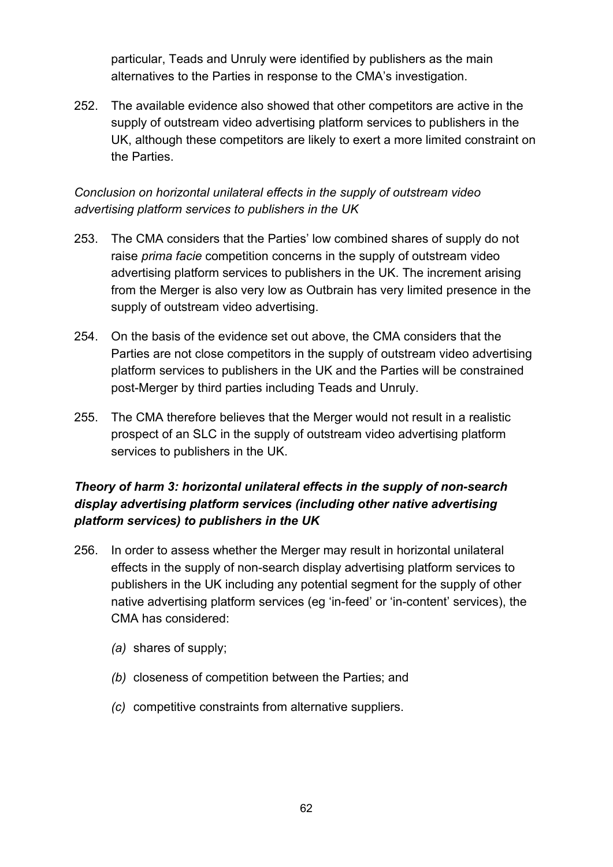particular, Teads and Unruly were identified by publishers as the main alternatives to the Parties in response to the CMA's investigation.

252. The available evidence also showed that other competitors are active in the supply of outstream video advertising platform services to publishers in the UK, although these competitors are likely to exert a more limited constraint on the Parties.

# *Conclusion on horizontal unilateral effects in the supply of outstream video advertising platform services to publishers in the UK*

- 253. The CMA considers that the Parties' low combined shares of supply do not raise *prima facie* competition concerns in the supply of outstream video advertising platform services to publishers in the UK. The increment arising from the Merger is also very low as Outbrain has very limited presence in the supply of outstream video advertising.
- 254. On the basis of the evidence set out above, the CMA considers that the Parties are not close competitors in the supply of outstream video advertising platform services to publishers in the UK and the Parties will be constrained post-Merger by third parties including Teads and Unruly.
- 255. The CMA therefore believes that the Merger would not result in a realistic prospect of an SLC in the supply of outstream video advertising platform services to publishers in the UK.

# *Theory of harm 3: horizontal unilateral effects in the supply of non-search display advertising platform services (including other native advertising platform services) to publishers in the UK*

- 256. In order to assess whether the Merger may result in horizontal unilateral effects in the supply of non-search display advertising platform services to publishers in the UK including any potential segment for the supply of other native advertising platform services (eg 'in-feed' or 'in-content' services), the CMA has considered:
	- *(a)* shares of supply;
	- *(b)* closeness of competition between the Parties; and
	- *(c)* competitive constraints from alternative suppliers.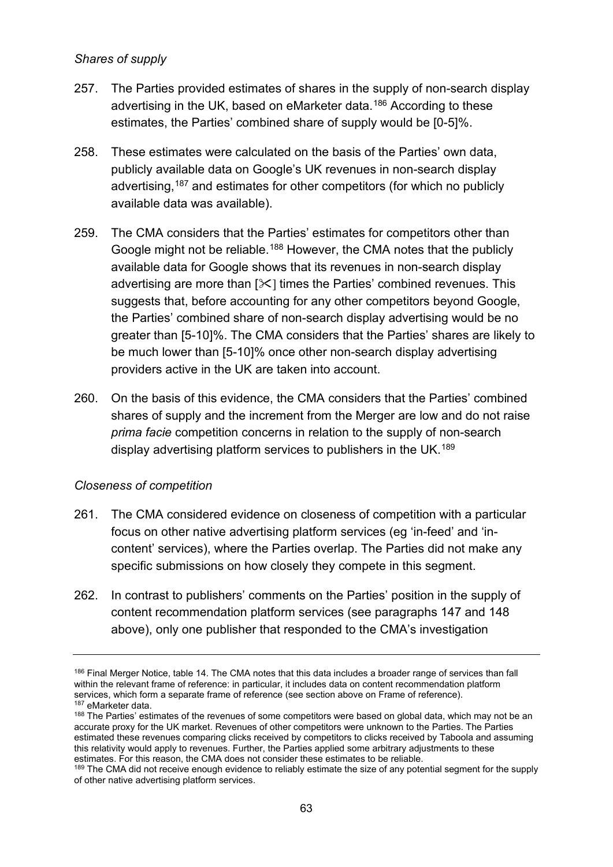### *Shares of supply*

- 257. The Parties provided estimates of shares in the supply of non-search display advertising in the UK, based on eMarketer data. [186](#page-62-0) According to these estimates, the Parties' combined share of supply would be [0-5]%.
- 258. These estimates were calculated on the basis of the Parties' own data, publicly available data on Google's UK revenues in non-search display advertising,<sup>[187](#page-62-1)</sup> and estimates for other competitors (for which no publicly available data was available).
- 259. The CMA considers that the Parties' estimates for competitors other than Google might not be reliable.<sup>[188](#page-62-2)</sup> However, the CMA notes that the publicly available data for Google shows that its revenues in non-search display advertising are more than  $[\mathcal{K}]$  times the Parties' combined revenues. This suggests that, before accounting for any other competitors beyond Google. the Parties' combined share of non-search display advertising would be no greater than [5-10]%. The CMA considers that the Parties' shares are likely to be much lower than [5-10]% once other non-search display advertising providers active in the UK are taken into account.
- 260. On the basis of this evidence, the CMA considers that the Parties' combined shares of supply and the increment from the Merger are low and do not raise *prima facie* competition concerns in relation to the supply of non-search display advertising platform services to publishers in the UK.<sup>[189](#page-62-3)</sup>

## *Closeness of competition*

- 261. The CMA considered evidence on closeness of competition with a particular focus on other native advertising platform services (eg 'in-feed' and 'incontent' services), where the Parties overlap. The Parties did not make any specific submissions on how closely they compete in this segment.
- 262. In contrast to publishers' comments on the Parties' position in the supply of content recommendation platform services (see paragraphs [147](#page-39-2) and [148](#page-39-3) above), only one publisher that responded to the CMA's investigation

<span id="page-62-0"></span><sup>&</sup>lt;sup>186</sup> Final Merger Notice, table 14. The CMA notes that this data includes a broader range of services than fall within the relevant frame of reference: in particular, it includes data on content recommendation platform services, which form a separate frame of reference (see section above o[n Frame of reference\)](#page-1-0).<br><sup>187</sup> eMarketer data.

<span id="page-62-2"></span><span id="page-62-1"></span><sup>188</sup> The Parties' estimates of the revenues of some competitors were based on global data, which may not be an accurate proxy for the UK market. Revenues of other competitors were unknown to the Parties. The Parties estimated these revenues comparing clicks received by competitors to clicks received by Taboola and assuming this relativity would apply to revenues. Further, the Parties applied some arbitrary adjustments to these estimates. For this reason, the CMA does not consider these estimates to be reliable.

<span id="page-62-3"></span><sup>&</sup>lt;sup>189</sup> The CMA did not receive enough evidence to reliably estimate the size of any potential segment for the supply of other native advertising platform services.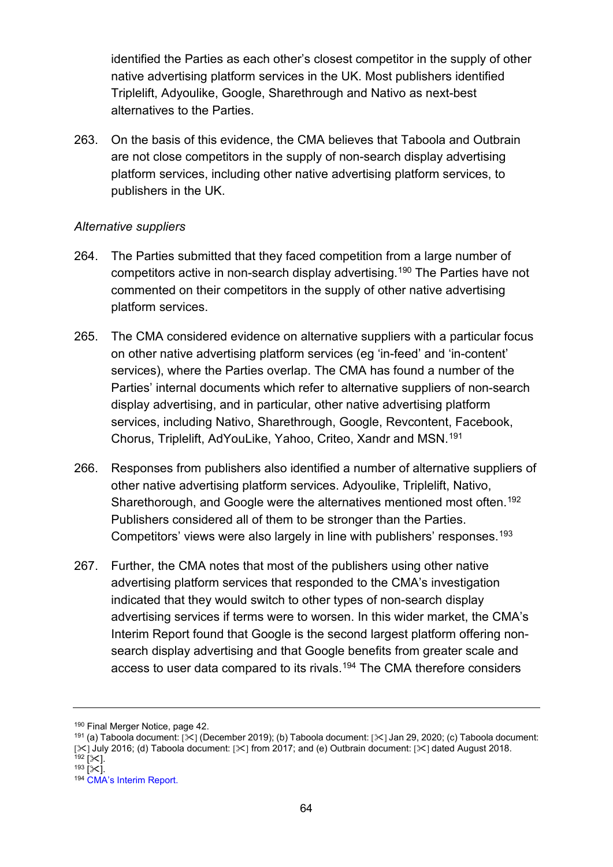identified the Parties as each other's closest competitor in the supply of other native advertising platform services in the UK. Most publishers identified Triplelift, Adyoulike, Google, Sharethrough and Nativo as next-best alternatives to the Parties.

263. On the basis of this evidence, the CMA believes that Taboola and Outbrain are not close competitors in the supply of non-search display advertising platform services, including other native advertising platform services, to publishers in the UK.

### *Alternative suppliers*

- 264. The Parties submitted that they faced competition from a large number of competitors active in non-search display advertising.[190](#page-63-0) The Parties have not commented on their competitors in the supply of other native advertising platform services.
- 265. The CMA considered evidence on alternative suppliers with a particular focus on other native advertising platform services (eg 'in-feed' and 'in-content' services), where the Parties overlap. The CMA has found a number of the Parties' internal documents which refer to alternative suppliers of non-search display advertising, and in particular, other native advertising platform services, including Nativo, Sharethrough, Google, Revcontent, Facebook, Chorus, Triplelift, AdYouLike, Yahoo, Criteo, Xandr and MSN. [191](#page-63-1)
- 266. Responses from publishers also identified a number of alternative suppliers of other native advertising platform services. Adyoulike, Triplelift, Nativo, Sharethorough, and Google were the alternatives mentioned most often.<sup>[192](#page-63-2)</sup> Publishers considered all of them to be stronger than the Parties. Competitors' views were also largely in line with publishers' responses.<sup>[193](#page-63-3)</sup>
- 267. Further, the CMA notes that most of the publishers using other native advertising platform services that responded to the CMA's investigation indicated that they would switch to other types of non-search display advertising services if terms were to worsen. In this wider market, the CMA's Interim Report found that Google is the second largest platform offering nonsearch display advertising and that Google benefits from greater scale and access to user data compared to its rivals.[194](#page-63-4) The CMA therefore considers

- <span id="page-63-1"></span><span id="page-63-0"></span><sup>190</sup> Final Merger Notice, page 42.<br><sup>191</sup> (a) Taboola document: [¾] (December 2019); (b) Taboola document: [¾] Jan 29, 2020; (c) Taboola document: [ $\ge$ ] July 2016; (d) Taboola document: [ $\ge$ ] from 2017; and (e) Outbrain document: [ $\ge$ ] dated August 2018.<br><sup>192</sup> [ $\ge$ ].
- 

<span id="page-63-4"></span><span id="page-63-3"></span><span id="page-63-2"></span><sup>193</sup>  $[35]$ .<br><sup>194</sup> [CMA's Interim Report.](https://assets.publishing.service.gov.uk/media/5ed0f75bd3bf7f4602e98330/Interim_report_---_web.pdf)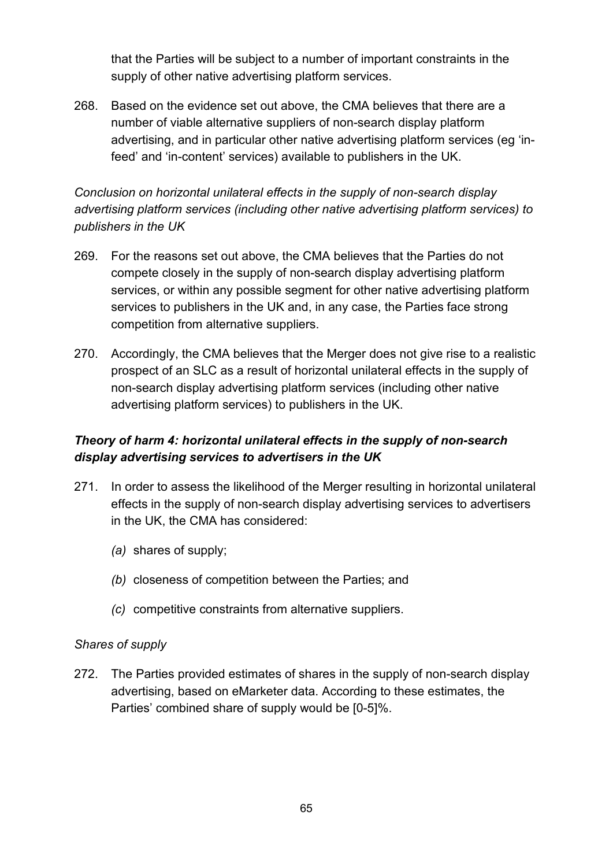that the Parties will be subject to a number of important constraints in the supply of other native advertising platform services.

268. Based on the evidence set out above, the CMA believes that there are a number of viable alternative suppliers of non-search display platform advertising, and in particular other native advertising platform services (eg 'infeed' and 'in-content' services) available to publishers in the UK.

# *Conclusion on horizontal unilateral effects in the supply of non-search display advertising platform services (including other native advertising platform services) to publishers in the UK*

- 269. For the reasons set out above, the CMA believes that the Parties do not compete closely in the supply of non-search display advertising platform services, or within any possible segment for other native advertising platform services to publishers in the UK and, in any case, the Parties face strong competition from alternative suppliers.
- 270. Accordingly, the CMA believes that the Merger does not give rise to a realistic prospect of an SLC as a result of horizontal unilateral effects in the supply of non-search display advertising platform services (including other native advertising platform services) to publishers in the UK.

# *Theory of harm 4: horizontal unilateral effects in the supply of non-search display advertising services to advertisers in the UK*

- 271. In order to assess the likelihood of the Merger resulting in horizontal unilateral effects in the supply of non-search display advertising services to advertisers in the UK, the CMA has considered:
	- *(a)* shares of supply;
	- *(b)* closeness of competition between the Parties; and
	- *(c)* competitive constraints from alternative suppliers.

#### *Shares of supply*

272. The Parties provided estimates of shares in the supply of non-search display advertising, based on eMarketer data. According to these estimates, the Parties' combined share of supply would be [0-5]%.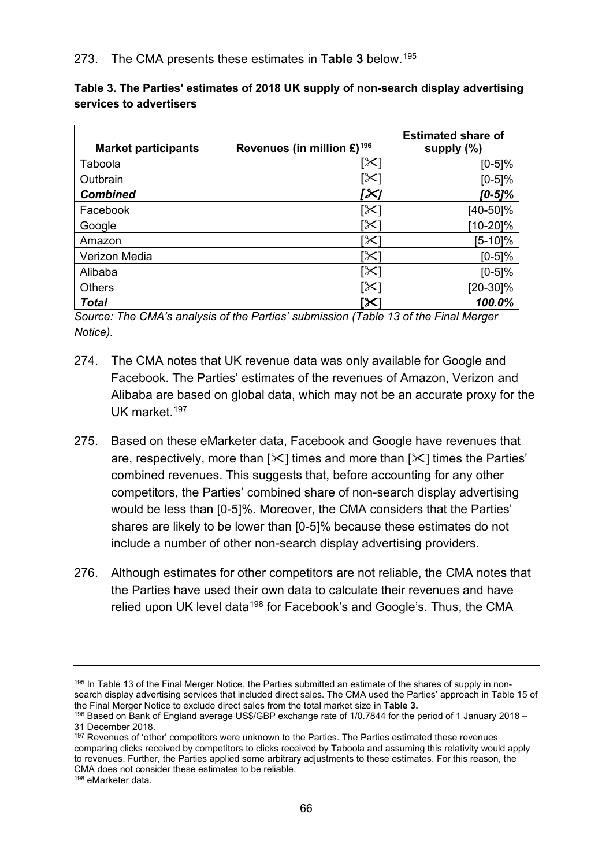| <b>Market participants</b> | Revenues (in million $£$ ) <sup>196</sup> | <b>Estimated share of</b><br>supply $(\%)$ |
|----------------------------|-------------------------------------------|--------------------------------------------|
| Taboola                    | [X]                                       | [0-5]%                                     |
| Outbrain                   | [X]                                       | [0-5]%                                     |
| <b>Combined</b>            | [X]                                       | [0-5]%                                     |
| Facebook                   | $\propto$                                 | [40-50]%                                   |
| Google                     | $\propto$                                 | $[10-20]\%$                                |
| Amazon                     | $\propto$                                 | [5-10]%                                    |
| Verizon Media              | $\propto$                                 | $[0-5]\%$                                  |
| Alibaba                    | 'X                                        | $[0-5]\%$                                  |
| <b>Others</b>              | $\times$                                  | [20-30]%                                   |
| Total                      | ∣╳                                        | 100.0%                                     |

**Table 3. The Parties' estimates of 2018 UK supply of non-search display advertising services to advertisers**

*Source: The CMA's analysis of the Parties' submission (Table 13 of the Final Merger Notice).* 

- 274. The CMA notes that UK revenue data was only available for Google and Facebook. The Parties' estimates of the revenues of Amazon, Verizon and Alibaba are based on global data, which may not be an accurate proxy for the UK market.<sup>197</sup>
- 275. Based on these eMarketer data, Facebook and Google have revenues that are, respectively, more than  $[\times]$  times and more than  $[\times]$  times the Parties' combined revenues. This suggests that, before accounting for any other competitors, the Parties' combined share of non-search display advertising would be less than [0-5]%. Moreover, the CMA considers that the Parties' shares are likely to be lower than [0-5]% because these estimates do not include a number of other non-search display advertising providers.
- 276. Although estimates for other competitors are not reliable, the CMA notes that the Parties have used their own data to calculate their revenues and have relied upon UK level data<sup>[198](#page-65-3)</sup> for Facebook's and Google's. Thus, the CMA

<span id="page-65-2"></span><sup>197</sup> Revenues of 'other' competitors were unknown to the Parties. The Parties estimated these revenues comparing clicks received by competitors to clicks received by Taboola and assuming this relativity would apply to revenues. Further, the Parties applied some arbitrary adjustments to these estimates. For this reason, the CMA does not consider these estimates to be reliable.

<span id="page-65-3"></span><sup>198</sup> eMarketer data.

<span id="page-65-0"></span><sup>&</sup>lt;sup>195</sup> In Table 13 of the Final Merger Notice, the Parties submitted an estimate of the shares of supply in nonsearch display advertising services that included direct sales. The CMA used the Parties' approach in Table 15 of the Final Merger Notice to exclude direct sales from the total market size in **Table 3.** 

<span id="page-65-1"></span><sup>196</sup> Based on Bank of England average US\$/GBP exchange rate of 1/0.7844 for the period of 1 January 2018 – 31 December 2018.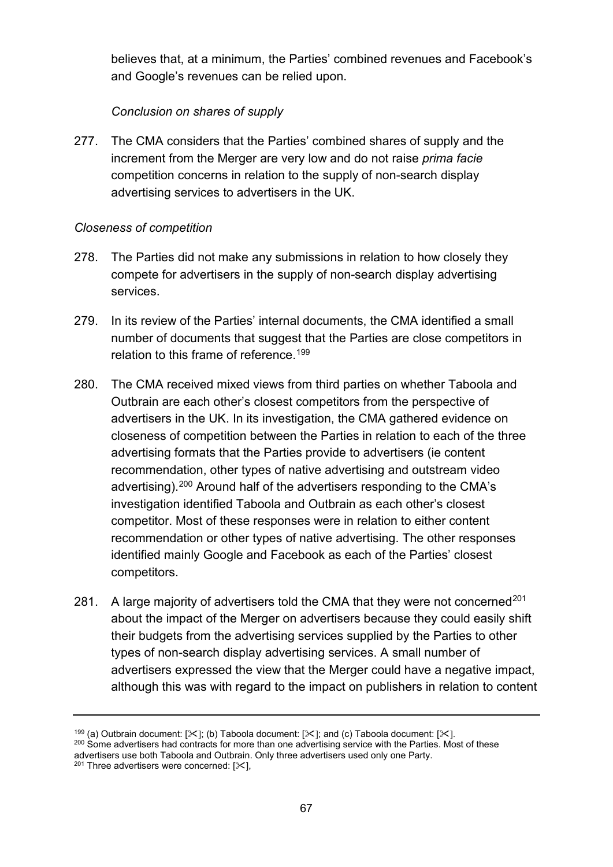believes that, at a minimum, the Parties' combined revenues and Facebook's and Google's revenues can be relied upon.

# *Conclusion on shares of supply*

277. The CMA considers that the Parties' combined shares of supply and the increment from the Merger are very low and do not raise *prima facie* competition concerns in relation to the supply of non-search display advertising services to advertisers in the UK.

# *Closeness of competition*

- 278. The Parties did not make any submissions in relation to how closely they compete for advertisers in the supply of non-search display advertising services.
- 279. In its review of the Parties' internal documents, the CMA identified a small number of documents that suggest that the Parties are close competitors in relation to this frame of reference. [199](#page-66-0)
- 280. The CMA received mixed views from third parties on whether Taboola and Outbrain are each other's closest competitors from the perspective of advertisers in the UK. In its investigation, the CMA gathered evidence on closeness of competition between the Parties in relation to each of the three advertising formats that the Parties provide to advertisers (ie content recommendation, other types of native advertising and outstream video advertising).[200](#page-66-1) Around half of the advertisers responding to the CMA's investigation identified Taboola and Outbrain as each other's closest competitor. Most of these responses were in relation to either content recommendation or other types of native advertising. The other responses identified mainly Google and Facebook as each of the Parties' closest competitors.
- 281. A large majority of advertisers told the CMA that they were not concerned<sup>[201](#page-66-2)</sup> about the impact of the Merger on advertisers because they could easily shift their budgets from the advertising services supplied by the Parties to other types of non-search display advertising services. A small number of advertisers expressed the view that the Merger could have a negative impact, although this was with regard to the impact on publishers in relation to content

<span id="page-66-1"></span><span id="page-66-0"></span><sup>200</sup> Some advertisers had contracts for more than one advertising service with the Parties. Most of these advertisers use both Taboola and Outbrain. Only three advertisers used only one Party.

<sup>199 (</sup>a) Outbrain document:  $[\&]$ ; (b) Taboola document:  $[\&]$ ; and (c) Taboola document:  $[\&]$ .

<span id="page-66-2"></span> $201$  Three advertisers were concerned:  $[\times]$ ,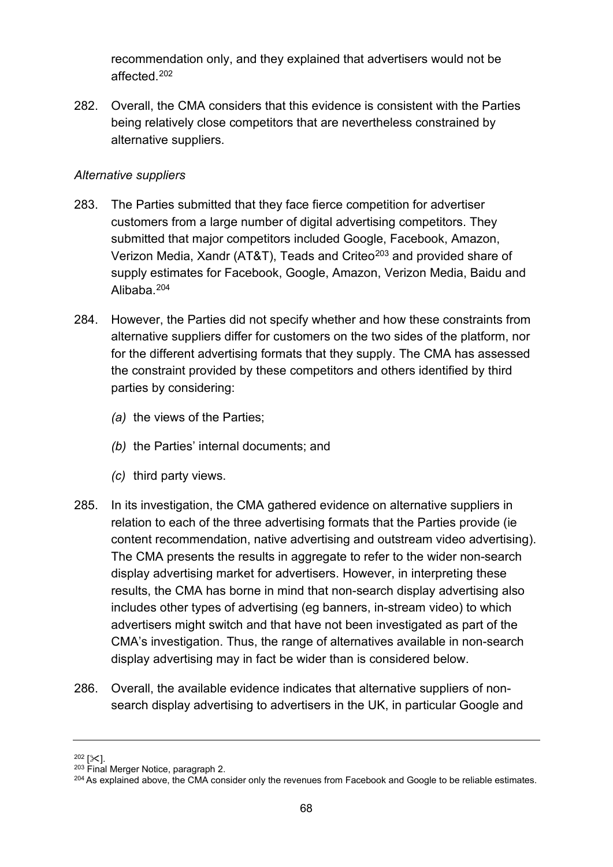recommendation only, and they explained that advertisers would not be affected.[202](#page-67-0)

282. Overall, the CMA considers that this evidence is consistent with the Parties being relatively close competitors that are nevertheless constrained by alternative suppliers.

### *Alternative suppliers*

- 283. The Parties submitted that they face fierce competition for advertiser customers from a large number of digital advertising competitors. They submitted that major competitors included Google, Facebook, Amazon, Verizon Media, Xandr (AT&T), Teads and Criteo<sup>[203](#page-67-1)</sup> and provided share of supply estimates for Facebook, Google, Amazon, Verizon Media, Baidu and Alibaba.[204](#page-67-2)
- 284. However, the Parties did not specify whether and how these constraints from alternative suppliers differ for customers on the two sides of the platform, nor for the different advertising formats that they supply. The CMA has assessed the constraint provided by these competitors and others identified by third parties by considering:
	- *(a)* the views of the Parties;
	- *(b)* the Parties' internal documents; and
	- *(c)* third party views.
- 285. In its investigation, the CMA gathered evidence on alternative suppliers in relation to each of the three advertising formats that the Parties provide (ie content recommendation, native advertising and outstream video advertising). The CMA presents the results in aggregate to refer to the wider non-search display advertising market for advertisers. However, in interpreting these results, the CMA has borne in mind that non-search display advertising also includes other types of advertising (eg banners, in-stream video) to which advertisers might switch and that have not been investigated as part of the CMA's investigation. Thus, the range of alternatives available in non-search display advertising may in fact be wider than is considered below.
- 286. Overall, the available evidence indicates that alternative suppliers of nonsearch display advertising to advertisers in the UK, in particular Google and

<span id="page-67-0"></span> $202$  [ $\angle$ ].<br> $203$  Final Merger Notice, paragraph 2.

<span id="page-67-2"></span><span id="page-67-1"></span><sup>&</sup>lt;sup>204</sup> As explained above, the CMA consider only the revenues from Facebook and Google to be reliable estimates.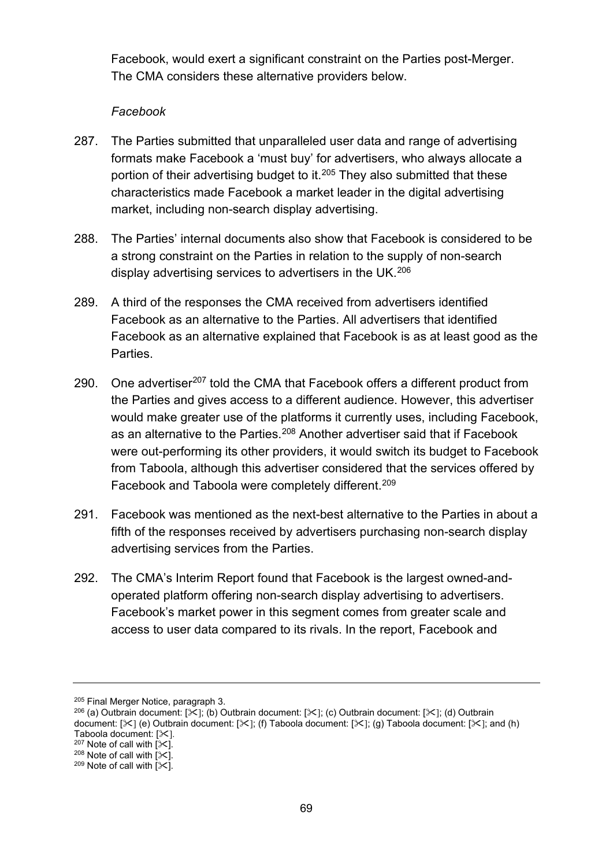Facebook, would exert a significant constraint on the Parties post-Merger. The CMA considers these alternative providers below.

### *Facebook*

- 287. The Parties submitted that unparalleled user data and range of advertising formats make Facebook a 'must buy' for advertisers, who always allocate a portion of their advertising budget to it. [205](#page-68-0) They also submitted that these characteristics made Facebook a market leader in the digital advertising market, including non-search display advertising.
- 288. The Parties' internal documents also show that Facebook is considered to be a strong constraint on the Parties in relation to the supply of non-search display advertising services to advertisers in the UK. [206](#page-68-1)
- 289. A third of the responses the CMA received from advertisers identified Facebook as an alternative to the Parties. All advertisers that identified Facebook as an alternative explained that Facebook is as at least good as the Parties.
- 290. One advertiser<sup>[207](#page-68-2)</sup> told the CMA that Facebook offers a different product from the Parties and gives access to a different audience. However, this advertiser would make greater use of the platforms it currently uses, including Facebook, as an alternative to the Parties. [208](#page-68-3) Another advertiser said that if Facebook were out-performing its other providers, it would switch its budget to Facebook from Taboola, although this advertiser considered that the services offered by Facebook and Taboola were completely different.[209](#page-68-4)
- 291. Facebook was mentioned as the next-best alternative to the Parties in about a fifth of the responses received by advertisers purchasing non-search display advertising services from the Parties.
- 292. The CMA's Interim Report found that Facebook is the largest owned-andoperated platform offering non-search display advertising to advertisers. Facebook's market power in this segment comes from greater scale and access to user data compared to its rivals. In the report, Facebook and

<span id="page-68-0"></span><sup>205</sup> Final Merger Notice, paragraph 3.

<span id="page-68-1"></span><sup>&</sup>lt;sup>206</sup> (a) Outbrain document:  $[\mathcal{K}];$  (b) Outbrain document:  $[\mathcal{K}];$  (c) Outbrain document:  $[\mathcal{K}];$  (d) Outbrain document:  $[\times]$  (e) Outbrain document:  $[\times]$ ; (f) Taboola document:  $[\times]$ ; (g) Taboola document:  $[\times]$ ; and (h) Taboola document:  $[\times]$ .<br><sup>207</sup> Note of call with  $[\times]$ .

<span id="page-68-3"></span><span id="page-68-2"></span><sup>&</sup>lt;sup>208</sup> Note of call with  $\left[\times\right]$ .<br><sup>209</sup> Note of call with  $\left[\times\right]$ .

<span id="page-68-4"></span>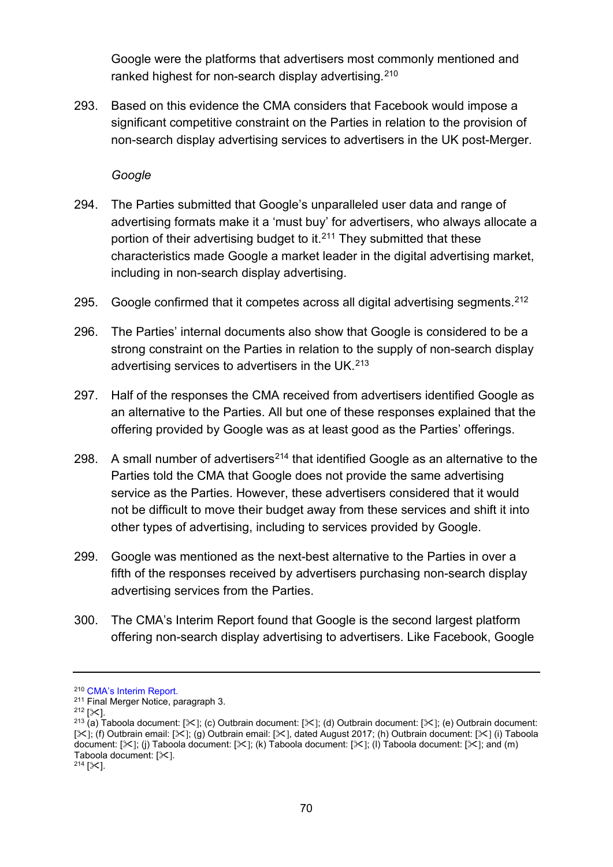Google were the platforms that advertisers most commonly mentioned and ranked highest for non-search display advertising. $^{210}$  $^{210}$  $^{210}$ 

293. Based on this evidence the CMA considers that Facebook would impose a significant competitive constraint on the Parties in relation to the provision of non-search display advertising services to advertisers in the UK post-Merger.

*Google*

- 294. The Parties submitted that Google's unparalleled user data and range of advertising formats make it a 'must buy' for advertisers, who always allocate a portion of their advertising budget to it. [211](#page-69-1) They submitted that these characteristics made Google a market leader in the digital advertising market, including in non-search display advertising.
- 295. Google confirmed that it competes across all digital advertising segments.<sup>[212](#page-69-2)</sup>
- 296. The Parties' internal documents also show that Google is considered to be a strong constraint on the Parties in relation to the supply of non-search display advertising services to advertisers in the UK. [213](#page-69-3)
- 297. Half of the responses the CMA received from advertisers identified Google as an alternative to the Parties. All but one of these responses explained that the offering provided by Google was as at least good as the Parties' offerings.
- 298. A small number of advertisers<sup>[214](#page-69-4)</sup> that identified Google as an alternative to the Parties told the CMA that Google does not provide the same advertising service as the Parties. However, these advertisers considered that it would not be difficult to move their budget away from these services and shift it into other types of advertising, including to services provided by Google.
- 299. Google was mentioned as the next-best alternative to the Parties in over a fifth of the responses received by advertisers purchasing non-search display advertising services from the Parties.
- 300. The CMA's Interim Report found that Google is the second largest platform offering non-search display advertising to advertisers. Like Facebook, Google

<span id="page-69-4"></span>

<span id="page-69-0"></span><sup>210</sup> [CMA's Interim Report.](https://assets.publishing.service.gov.uk/media/5ed0f75bd3bf7f4602e98330/Interim_report_---_web.pdf)

<span id="page-69-1"></span><sup>&</sup>lt;sup>211</sup> Final Merger Notice, paragraph 3.<br><sup>212</sup> [ $\times$ ].

<span id="page-69-3"></span><span id="page-69-2"></span><sup>&</sup>lt;sup>213</sup> (a) Taboola document: [ $\&$ ]; (c) Outbrain document: [ $\&$ ]; (d) Outbrain document: [ $\&$ ]; (e) Outbrain document: [ $\&$ ]; (f) Outbrain email: [ $\&$ ]; (g) Outbrain email: [ $\&$ ], dated August 2017; (h) Outbrain document: [ $\&$ ] (i) Taboola document: [ $\leq$ ]; (j) Taboola document: [ $\leq$ ]; (k) Taboola document: [ $\leq$ ]; (l) Taboola document: [ $\leq$ ]; and (m) Taboola document:  $[\times]$ .<br><sup>214</sup> [ $\times$ ].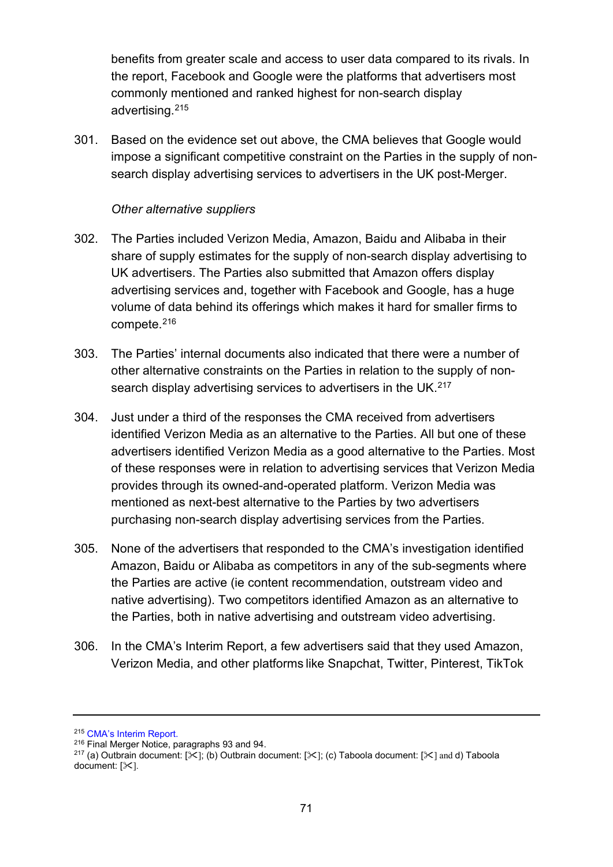benefits from greater scale and access to user data compared to its rivals. In the report, Facebook and Google were the platforms that advertisers most commonly mentioned and ranked highest for non-search display advertising.[215](#page-70-0)

301. Based on the evidence set out above, the CMA believes that Google would impose a significant competitive constraint on the Parties in the supply of nonsearch display advertising services to advertisers in the UK post-Merger.

### *Other alternative suppliers*

- 302. The Parties included Verizon Media, Amazon, Baidu and Alibaba in their share of supply estimates for the supply of non-search display advertising to UK advertisers. The Parties also submitted that Amazon offers display advertising services and, together with Facebook and Google, has a huge volume of data behind its offerings which makes it hard for smaller firms to compete.[216](#page-70-1)
- 303. The Parties' internal documents also indicated that there were a number of other alternative constraints on the Parties in relation to the supply of nonsearch display advertising services to advertisers in the UK. [217](#page-70-2)
- 304. Just under a third of the responses the CMA received from advertisers identified Verizon Media as an alternative to the Parties. All but one of these advertisers identified Verizon Media as a good alternative to the Parties. Most of these responses were in relation to advertising services that Verizon Media provides through its owned-and-operated platform. Verizon Media was mentioned as next-best alternative to the Parties by two advertisers purchasing non-search display advertising services from the Parties.
- 305. None of the advertisers that responded to the CMA's investigation identified Amazon, Baidu or Alibaba as competitors in any of the sub-segments where the Parties are active (ie content recommendation, outstream video and native advertising). Two competitors identified Amazon as an alternative to the Parties, both in native advertising and outstream video advertising.
- 306. In the CMA's Interim Report, a few advertisers said that they used Amazon, Verizon Media, and other platforms like Snapchat, Twitter, Pinterest, TikTok

<span id="page-70-0"></span><sup>215</sup> [CMA's Interim Report.](https://assets.publishing.service.gov.uk/media/5ed0f75bd3bf7f4602e98330/Interim_report_---_web.pdf)

<span id="page-70-1"></span><sup>216</sup> Final Merger Notice, paragraphs 93 and 94.

<span id="page-70-2"></span><sup>&</sup>lt;sup>217</sup> (a) Outbrain document:  $[\times]$ ; (b) Outbrain document:  $[\times]$ ; (c) Taboola document:  $[\times]$  and d) Taboola  $document: [X].$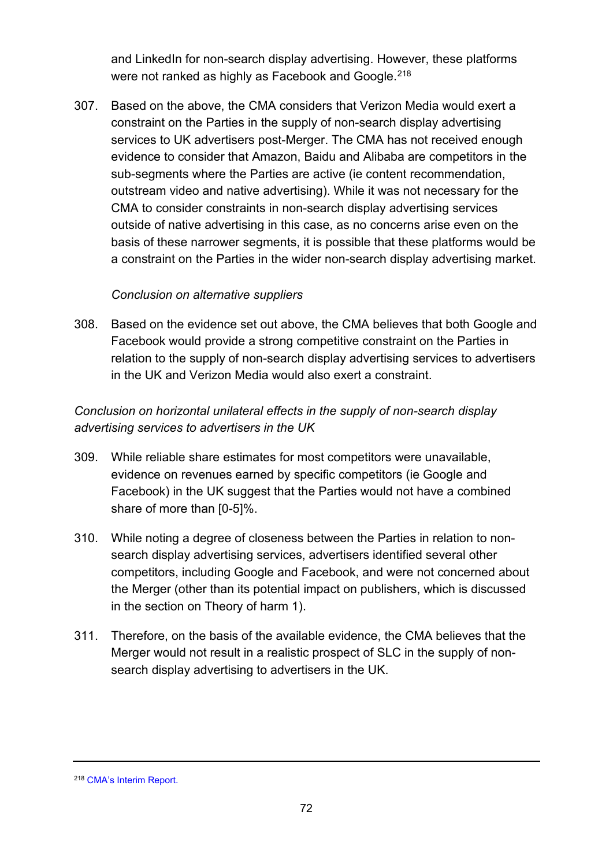and LinkedIn for non-search display advertising. However, these platforms were not ranked as highly as Facebook and Google.<sup>[218](#page-71-0)</sup>

307. Based on the above, the CMA considers that Verizon Media would exert a constraint on the Parties in the supply of non-search display advertising services to UK advertisers post-Merger. The CMA has not received enough evidence to consider that Amazon, Baidu and Alibaba are competitors in the sub-segments where the Parties are active (ie content recommendation, outstream video and native advertising). While it was not necessary for the CMA to consider constraints in non-search display advertising services outside of native advertising in this case, as no concerns arise even on the basis of these narrower segments, it is possible that these platforms would be a constraint on the Parties in the wider non-search display advertising market.

### *Conclusion on alternative suppliers*

308. Based on the evidence set out above, the CMA believes that both Google and Facebook would provide a strong competitive constraint on the Parties in relation to the supply of non-search display advertising services to advertisers in the UK and Verizon Media would also exert a constraint.

# *Conclusion on horizontal unilateral effects in the supply of non-search display advertising services to advertisers in the UK*

- 309. While reliable share estimates for most competitors were unavailable, evidence on revenues earned by specific competitors (ie Google and Facebook) in the UK suggest that the Parties would not have a combined share of more than [0-5]%.
- 310. While noting a degree of closeness between the Parties in relation to nonsearch display advertising services, advertisers identified several other competitors, including Google and Facebook, and were not concerned about the Merger (other than its potential impact on publishers, which is discussed in the section on Theory of harm 1).
- 311. Therefore, on the basis of the available evidence, the CMA believes that the Merger would not result in a realistic prospect of SLC in the supply of nonsearch display advertising to advertisers in the UK.

<span id="page-71-0"></span><sup>218</sup> [CMA's Interim Report.](https://assets.publishing.service.gov.uk/media/5ed0f75bd3bf7f4602e98330/Interim_report_---_web.pdf)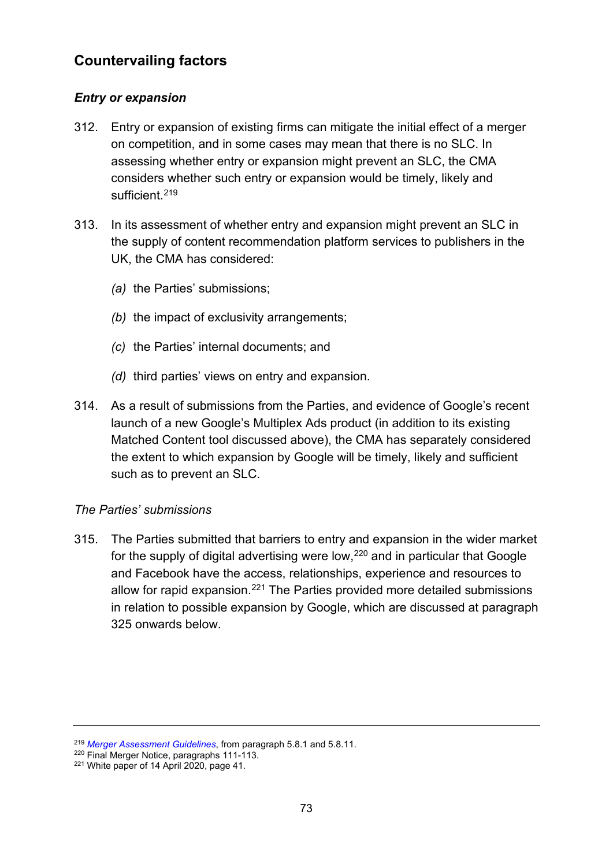# **Countervailing factors**

## *Entry or expansion*

- 312. Entry or expansion of existing firms can mitigate the initial effect of a merger on competition, and in some cases may mean that there is no SLC. In assessing whether entry or expansion might prevent an SLC, the CMA considers whether such entry or expansion would be timely, likely and sufficient.<sup>[219](#page-72-0)</sup>
- 313. In its assessment of whether entry and expansion might prevent an SLC in the supply of content recommendation platform services to publishers in the UK, the CMA has considered:
	- *(a)* the Parties' submissions;
	- *(b)* the impact of exclusivity arrangements;
	- *(c)* the Parties' internal documents; and
	- *(d)* third parties' views on entry and expansion.
- 314. As a result of submissions from the Parties, and evidence of Google's recent launch of a new Google's Multiplex Ads product (in addition to its existing Matched Content tool discussed above), the CMA has separately considered the extent to which expansion by Google will be timely, likely and sufficient such as to prevent an SLC.

## *The Parties' submissions*

315. The Parties submitted that barriers to entry and expansion in the wider market for the supply of digital advertising were low, $220$  and in particular that Google and Facebook have the access, relationships, experience and resources to allow for rapid expansion.<sup>[221](#page-72-2)</sup> The Parties provided more detailed submissions in relation to possible expansion by Google, which are discussed at paragraph [325](#page-76-0) onwards below.

<span id="page-72-0"></span><sup>219</sup> *Merger Assessment Guidelines*, from paragraph 5.8.1 and 5.8.11. 220 Final Merger Notice, paragraphs 111-113.

<span id="page-72-2"></span><span id="page-72-1"></span><sup>&</sup>lt;sup>221</sup> White paper of 14 April 2020, page 41.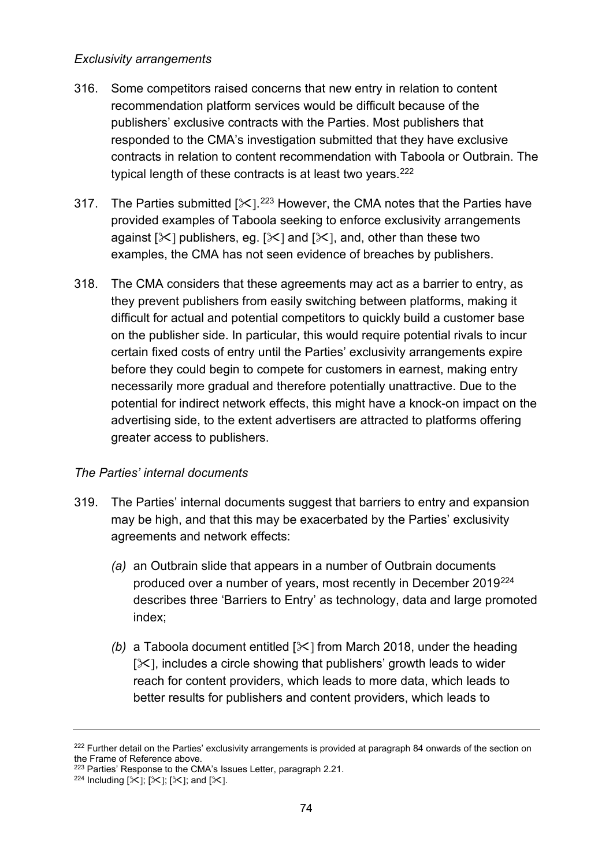#### *Exclusivity arrangements*

- 316. Some competitors raised concerns that new entry in relation to content recommendation platform services would be difficult because of the publishers' exclusive contracts with the Parties. Most publishers that responded to the CMA's investigation submitted that they have exclusive contracts in relation to content recommendation with Taboola or Outbrain. The typical length of these contracts is at least two years.<sup>[222](#page-73-0)</sup>
- 317. The Parties submitted [ $\ll$ ].<sup>[223](#page-73-1)</sup> However, the CMA notes that the Parties have provided examples of Taboola seeking to enforce exclusivity arrangements against  $[\times]$  publishers, eg.  $[\times]$  and  $[\times]$ , and, other than these two examples, the CMA has not seen evidence of breaches by publishers.
- 318. The CMA considers that these agreements may act as a barrier to entry, as they prevent publishers from easily switching between platforms, making it difficult for actual and potential competitors to quickly build a customer base on the publisher side. In particular, this would require potential rivals to incur certain fixed costs of entry until the Parties' exclusivity arrangements expire before they could begin to compete for customers in earnest, making entry necessarily more gradual and therefore potentially unattractive. Due to the potential for indirect network effects, this might have a knock-on impact on the advertising side, to the extent advertisers are attracted to platforms offering greater access to publishers.

## *The Parties' internal documents*

- 319. The Parties' internal documents suggest that barriers to entry and expansion may be high, and that this may be exacerbated by the Parties' exclusivity agreements and network effects:
	- *(a)* an Outbrain slide that appears in a number of Outbrain documents produced over a number of years, most recently in December 2019[224](#page-73-2)  describes three 'Barriers to Entry' as technology, data and large promoted index;
	- *(b)* a Taboola document entitled  $[\times]$  from March 2018, under the heading  $[\times]$ , includes a circle showing that publishers' growth leads to wider reach for content providers, which leads to more data, which leads to better results for publishers and content providers, which leads to

<span id="page-73-0"></span><sup>&</sup>lt;sup>222</sup> Further detail on the Parties' exclusivity arrangements is provided at paragraph [84](#page-19-0) onwards of the section on the Frame of Reference above.

<span id="page-73-2"></span><span id="page-73-1"></span><sup>&</sup>lt;sup>223</sup> Parties' Response to the CMA's Issues Letter, paragraph 2.21.<br><sup>224</sup> Including  $[\mathcal{K}]; [\mathcal{K}];$  and  $[\mathcal{K}].$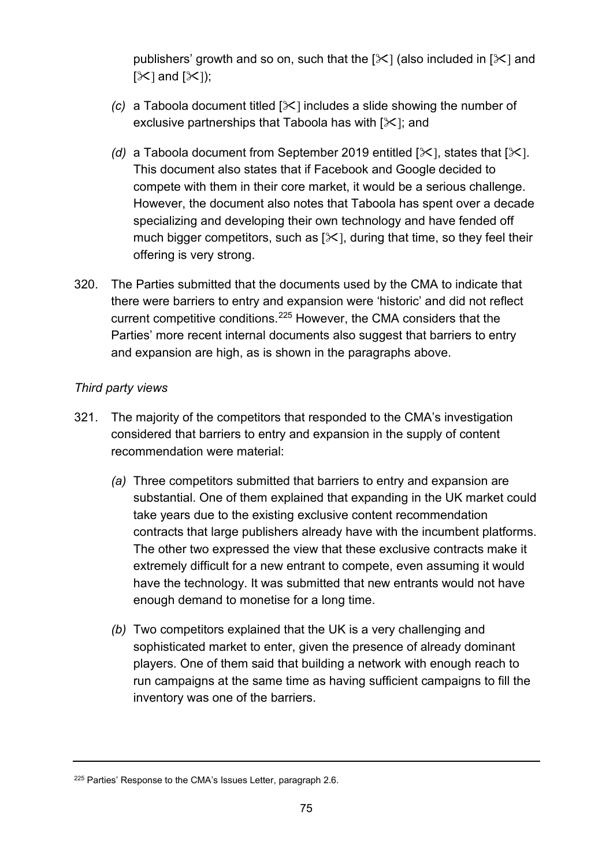publishers' growth and so on, such that the  $[\times]$  (also included in  $[\times]$  and  $[\mathcal{K}]$  and  $[\mathcal{K}]$ ;

- *(c)* a Taboola document titled  $[\times]$  includes a slide showing the number of exclusive partnerships that Taboola has with  $[\times]$ ; and
- *(d)* a Taboola document from September 2019 entitled  $[\times]$ , states that  $[\times]$ . This document also states that if Facebook and Google decided to compete with them in their core market, it would be a serious challenge. However, the document also notes that Taboola has spent over a decade specializing and developing their own technology and have fended off much bigger competitors, such as  $[\times]$ , during that time, so they feel their offering is very strong.
- 320. The Parties submitted that the documents used by the CMA to indicate that there were barriers to entry and expansion were 'historic' and did not reflect current competitive conditions.[225](#page-74-0) However, the CMA considers that the Parties' more recent internal documents also suggest that barriers to entry and expansion are high, as is shown in the paragraphs above.

## *Third party views*

- 321. The majority of the competitors that responded to the CMA's investigation considered that barriers to entry and expansion in the supply of content recommendation were material:
	- *(a)* Three competitors submitted that barriers to entry and expansion are substantial. One of them explained that expanding in the UK market could take years due to the existing exclusive content recommendation contracts that large publishers already have with the incumbent platforms. The other two expressed the view that these exclusive contracts make it extremely difficult for a new entrant to compete, even assuming it would have the technology. It was submitted that new entrants would not have enough demand to monetise for a long time.
	- *(b)* Two competitors explained that the UK is a very challenging and sophisticated market to enter, given the presence of already dominant players. One of them said that building a network with enough reach to run campaigns at the same time as having sufficient campaigns to fill the inventory was one of the barriers.

<span id="page-74-0"></span><sup>&</sup>lt;sup>225</sup> Parties' Response to the CMA's Issues Letter, paragraph 2.6.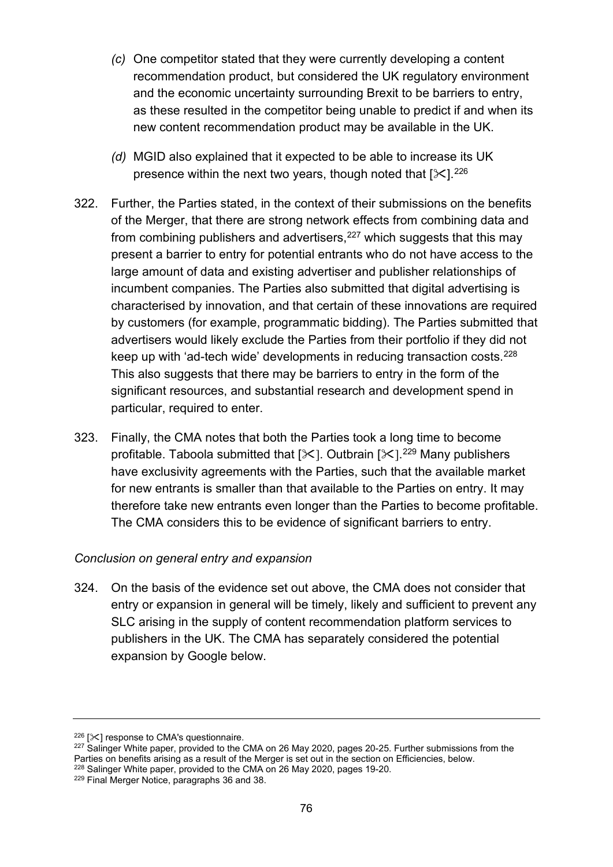- *(c)* One competitor stated that they were currently developing a content recommendation product, but considered the UK regulatory environment and the economic uncertainty surrounding Brexit to be barriers to entry, as these resulted in the competitor being unable to predict if and when its new content recommendation product may be available in the UK.
- *(d)* MGID also explained that it expected to be able to increase its UK presence within the next two years, though noted that  $[\times]$ .<sup>226</sup>
- 322. Further, the Parties stated, in the context of their submissions on the benefits of the Merger, that there are strong network effects from combining data and from combining publishers and advertisers,  $227$  which suggests that this may present a barrier to entry for potential entrants who do not have access to the large amount of data and existing advertiser and publisher relationships of incumbent companies. The Parties also submitted that digital advertising is characterised by innovation, and that certain of these innovations are required by customers (for example, programmatic bidding). The Parties submitted that advertisers would likely exclude the Parties from their portfolio if they did not keep up with 'ad-tech wide' developments in reducing transaction costs.[228](#page-75-2) This also suggests that there may be barriers to entry in the form of the significant resources, and substantial research and development spend in particular, required to enter.
- 323. Finally, the CMA notes that both the Parties took a long time to become profitable. Taboola submitted that [ $\mathbb{X}$ ]. Outbrain [ $\mathbb{X}$ ].<sup>[229](#page-75-3)</sup> Many publishers have exclusivity agreements with the Parties, such that the available market for new entrants is smaller than that available to the Parties on entry. It may therefore take new entrants even longer than the Parties to become profitable. The CMA considers this to be evidence of significant barriers to entry.

#### *Conclusion on general entry and expansion*

324. On the basis of the evidence set out above, the CMA does not consider that entry or expansion in general will be timely, likely and sufficient to prevent any SLC arising in the supply of content recommendation platform services to publishers in the UK. The CMA has separately considered the potential expansion by Google below.

<span id="page-75-0"></span> $226$  [ $\mathsf{\times}$ ] response to CMA's questionnaire.

<span id="page-75-1"></span> $227$  Salinger White paper, provided to the CMA on 26 May 2020, pages 20-25. Further submissions from the Parties on benefits arising as a result of the Merger is set out in the section on Efficiencies, below. <sup>228</sup> Salinger White paper, provided to the CMA on 26 May 2020, pages 19-20.

<span id="page-75-3"></span><span id="page-75-2"></span><sup>229</sup> Final Merger Notice, paragraphs 36 and 38.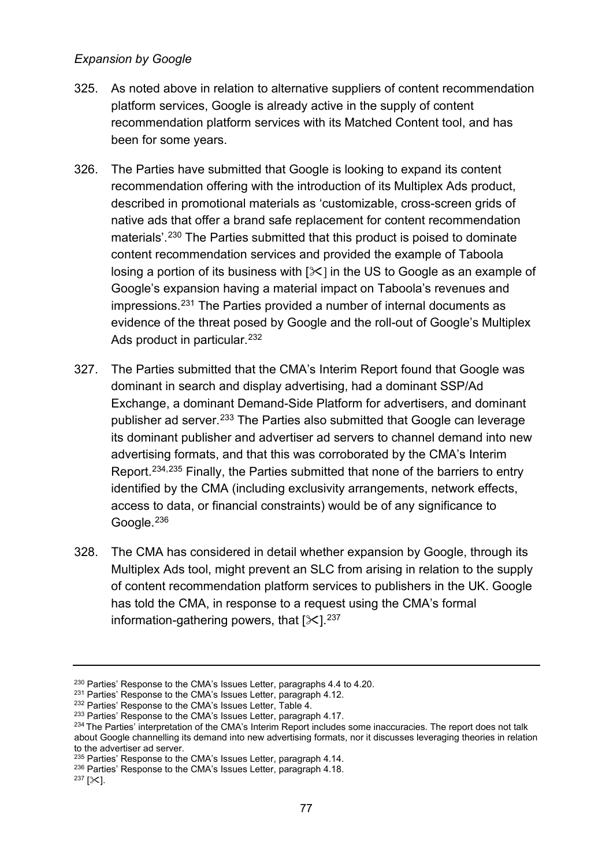### *Expansion by Google*

- <span id="page-76-0"></span>325. As noted above in relation to alternative suppliers of content recommendation platform services, Google is already active in the supply of content recommendation platform services with its Matched Content tool, and has been for some years.
- 326. The Parties have submitted that Google is looking to expand its content recommendation offering with the introduction of its Multiplex Ads product, described in promotional materials as 'customizable, cross-screen grids of native ads that offer a brand safe replacement for content recommendation materials'.[230](#page-76-1) The Parties submitted that this product is poised to dominate content recommendation services and provided the example of Taboola losing a portion of its business with  $[\times]$  in the US to Google as an example of Google's expansion having a material impact on Taboola's revenues and impressions.[231](#page-76-2) The Parties provided a number of internal documents as evidence of the threat posed by Google and the roll-out of Google's Multiplex Ads product in particular.<sup>[232](#page-76-3)</sup>
- 327. The Parties submitted that the CMA's Interim Report found that Google was dominant in search and display advertising, had a dominant SSP/Ad Exchange, a dominant Demand-Side Platform for advertisers, and dominant publisher ad server.<sup>[233](#page-76-4)</sup> The Parties also submitted that Google can leverage its dominant publisher and advertiser ad servers to channel demand into new advertising formats, and that this was corroborated by the CMA's Interim Report.[234](#page-76-5),[235](#page-76-6) Finally, the Parties submitted that none of the barriers to entry identified by the CMA (including exclusivity arrangements, network effects, access to data, or financial constraints) would be of any significance to Google.<sup>[236](#page-76-7)</sup>
- 328. The CMA has considered in detail whether expansion by Google, through its Multiplex Ads tool, might prevent an SLC from arising in relation to the supply of content recommendation platform services to publishers in the UK. Google has told the CMA, in response to a request using the CMA's formal information-gathering powers, that  $[\times]$ .<sup>[237](#page-76-8)</sup>

<span id="page-76-1"></span><sup>&</sup>lt;sup>230</sup> Parties' Response to the CMA's Issues Letter, paragraphs 4.4 to 4.20.

<span id="page-76-2"></span><sup>&</sup>lt;sup>231</sup> Parties' Response to the CMA's Issues Letter, paragraph 4.12.

<span id="page-76-3"></span><sup>232</sup> Parties' Response to the CMA's Issues Letter, Table 4.

<span id="page-76-4"></span><sup>&</sup>lt;sup>233</sup> Parties' Response to the CMA's Issues Letter, paragraph 4.17.

<span id="page-76-5"></span><sup>&</sup>lt;sup>234</sup> The Parties' interpretation of the CMA's Interim Report includes some inaccuracies. The report does not talk about Google channelling its demand into new advertising formats, nor it discusses leveraging theories in relation to the advertiser ad server.

<span id="page-76-6"></span><sup>&</sup>lt;sup>235</sup> Parties' Response to the CMA's Issues Letter, paragraph 4.14.

<sup>236</sup> Parties' Response to the CMA's Issues Letter, paragraph 4.18.

<span id="page-76-8"></span><span id="page-76-7"></span> $237$  [ $\ge$ ].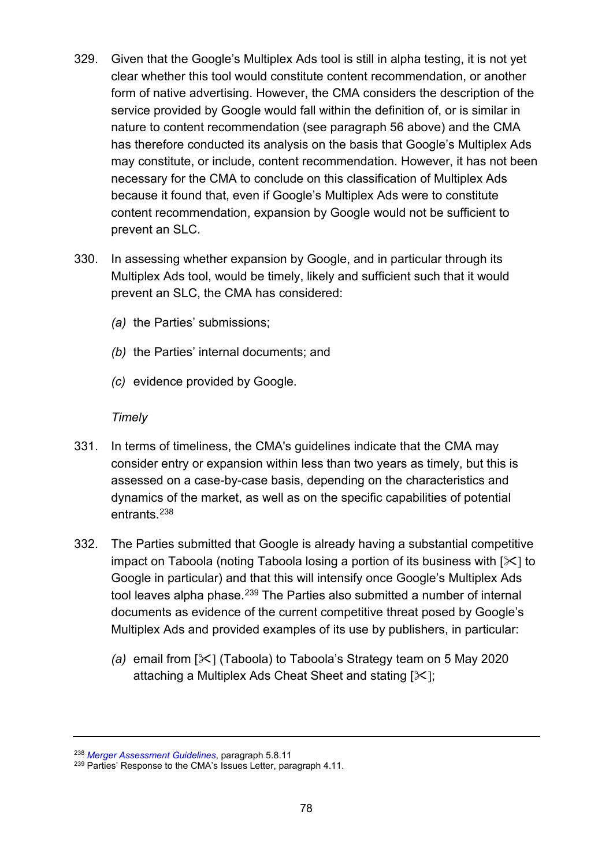- 329. Given that the Google's Multiplex Ads tool is still in alpha testing, it is not yet clear whether this tool would constitute content recommendation, or another form of native advertising. However, the CMA considers the description of the service provided by Google would fall within the definition of, or is similar in nature to content recommendation (see paragraph [56](#page-12-0) above) and the CMA has therefore conducted its analysis on the basis that Google's Multiplex Ads may constitute, or include, content recommendation. However, it has not been necessary for the CMA to conclude on this classification of Multiplex Ads because it found that, even if Google's Multiplex Ads were to constitute content recommendation, expansion by Google would not be sufficient to prevent an SLC.
- 330. In assessing whether expansion by Google, and in particular through its Multiplex Ads tool, would be timely, likely and sufficient such that it would prevent an SLC, the CMA has considered:
	- *(a)* the Parties' submissions;
	- *(b)* the Parties' internal documents; and
	- *(c)* evidence provided by Google.

#### *Timely*

- 331. In terms of timeliness, the CMA's guidelines indicate that the CMA may consider entry or expansion within less than two years as timely, but this is assessed on a case-by-case basis, depending on the characteristics and dynamics of the market, as well as on the specific capabilities of potential entrants. [238](#page-77-0)
- 332. The Parties submitted that Google is already having a substantial competitive impact on Taboola (noting Taboola losing a portion of its business with  $[\times]$  to Google in particular) and that this will intensify once Google's Multiplex Ads tool leaves alpha phase.<sup>[239](#page-77-1)</sup> The Parties also submitted a number of internal documents as evidence of the current competitive threat posed by Google's Multiplex Ads and provided examples of its use by publishers, in particular:
	- *(a)* email from [ $\angle$ ] (Taboola) to Taboola's Strategy team on 5 May 2020 attaching a Multiplex Ads Cheat Sheet and stating  $[\times]$ ;

<span id="page-77-0"></span><sup>238</sup> *[Merger Assessment Guidelines](https://www.gov.uk/government/publications/merger-assessment-guidelines)*, paragraph 5.8.11

<span id="page-77-1"></span><sup>&</sup>lt;sup>239</sup> Parties' Response to the CMA's Issues Letter, paragraph 4.11.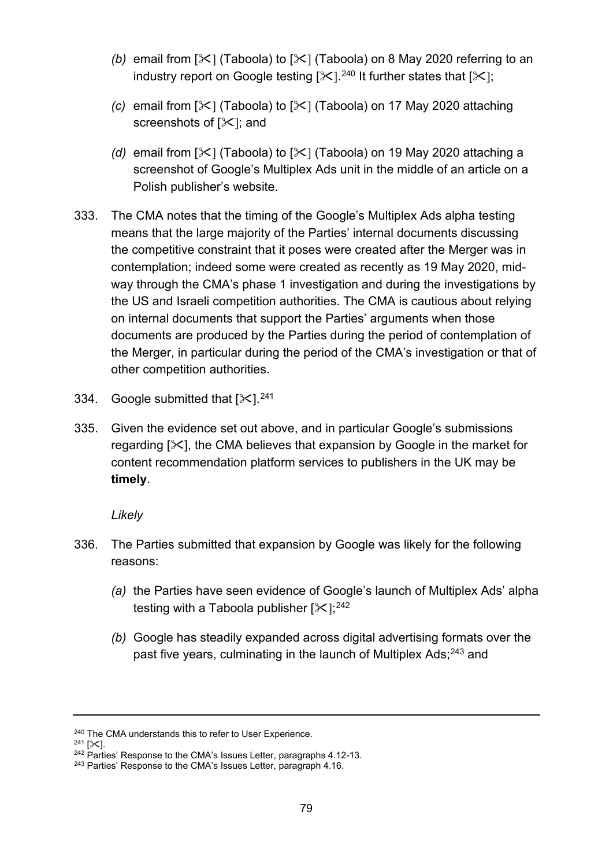- *(b)* email from  $[\mathcal{K}]$  (Taboola) to  $[\mathcal{K}]$  (Taboola) on 8 May 2020 referring to an industry report on Google testing [ $\mathbb{X}$ ]. $^{240}$  $^{240}$  $^{240}$  It further states that [ $\mathbb{X}$ ];
- *(c)* email from  $[\mathcal{K}]$  (Taboola) to  $[\mathcal{K}]$  (Taboola) on 17 May 2020 attaching screenshots of  $[\times]$ ; and
- *(d)* email from  $[\mathcal{K}]$  (Taboola) to  $[\mathcal{K}]$  (Taboola) on 19 May 2020 attaching a screenshot of Google's Multiplex Ads unit in the middle of an article on a Polish publisher's website.
- 333. The CMA notes that the timing of the Google's Multiplex Ads alpha testing means that the large majority of the Parties' internal documents discussing the competitive constraint that it poses were created after the Merger was in contemplation; indeed some were created as recently as 19 May 2020, midway through the CMA's phase 1 investigation and during the investigations by the US and Israeli competition authorities. The CMA is cautious about relying on internal documents that support the Parties' arguments when those documents are produced by the Parties during the period of contemplation of the Merger, in particular during the period of the CMA's investigation or that of other competition authorities.
- 334. Google submitted that  $[\times]$ . [241](#page-78-1)
- 335. Given the evidence set out above, and in particular Google's submissions regarding  $[\times]$ , the CMA believes that expansion by Google in the market for content recommendation platform services to publishers in the UK may be **timely**.

*Likely* 

- 336. The Parties submitted that expansion by Google was likely for the following reasons:
	- *(a)* the Parties have seen evidence of Google's launch of Multiplex Ads' alpha testing with a Taboola publisher [ $\ll$ ]; $^{242}$  $^{242}$  $^{242}$
	- *(b)* Google has steadily expanded across digital advertising formats over the past five years, culminating in the launch of Multiplex Ads;<sup>[243](#page-78-3)</sup> and

<span id="page-78-0"></span><sup>&</sup>lt;sup>240</sup> The CMA understands this to refer to User Experience.<br><sup>241</sup> [ $\angle$ ]

<span id="page-78-2"></span><span id="page-78-1"></span><sup>&</sup>lt;sup>242</sup> Parties' Response to the CMA's Issues Letter, paragraphs 4.12-13.

<span id="page-78-3"></span><sup>&</sup>lt;sup>243</sup> Parties' Response to the CMA's Issues Letter, paragraph 4.16.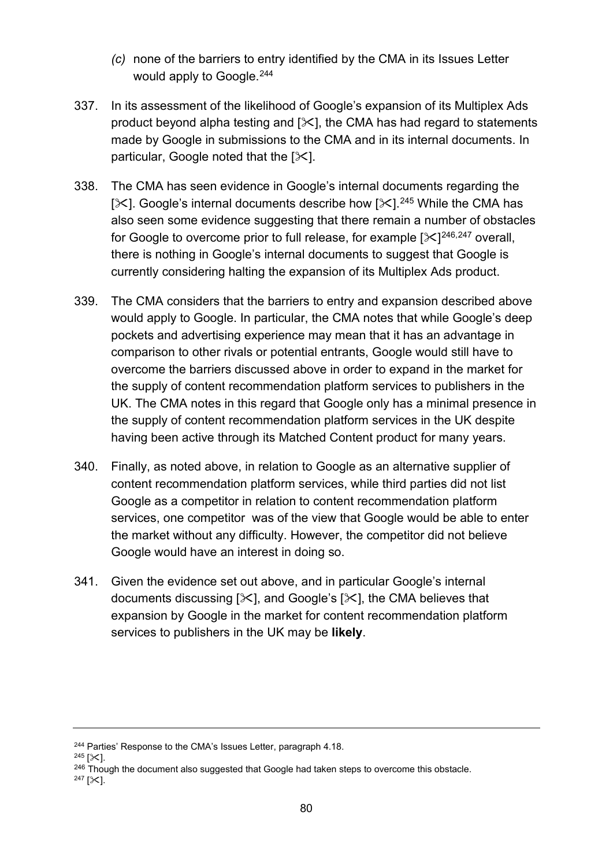- *(c)* none of the barriers to entry identified by the CMA in its Issues Letter would apply to Google.<sup>244</sup>
- 337. In its assessment of the likelihood of Google's expansion of its Multiplex Ads product beyond alpha testing and  $[\times]$ , the CMA has had regard to statements made by Google in submissions to the CMA and in its internal documents. In particular, Google noted that the  $[\times]$ .
- 338. The CMA has seen evidence in Google's internal documents regarding the [ $\angle$ ]. Google's internal documents describe how [ $\angle$ ].<sup>[245](#page-79-1)</sup> While the CMA has also seen some evidence suggesting that there remain a number of obstacles for Google to overcome prior to full release, for example [ $\ll$ ] $^{246,247}$  $^{246,247}$  $^{246,247}$  $^{246,247}$  $^{246,247}$  overall, there is nothing in Google's internal documents to suggest that Google is currently considering halting the expansion of its Multiplex Ads product.
- 339. The CMA considers that the barriers to entry and expansion described above would apply to Google. In particular, the CMA notes that while Google's deep pockets and advertising experience may mean that it has an advantage in comparison to other rivals or potential entrants, Google would still have to overcome the barriers discussed above in order to expand in the market for the supply of content recommendation platform services to publishers in the UK. The CMA notes in this regard that Google only has a minimal presence in the supply of content recommendation platform services in the UK despite having been active through its Matched Content product for many years.
- 340. Finally, as noted above, in relation to Google as an alternative supplier of content recommendation platform services, while third parties did not list Google as a competitor in relation to content recommendation platform services, one competitor was of the view that Google would be able to enter the market without any difficulty. However, the competitor did not believe Google would have an interest in doing so.
- 341. Given the evidence set out above, and in particular Google's internal documents discussing  $[\times]$ , and Google's  $[\times]$ , the CMA believes that expansion by Google in the market for content recommendation platform services to publishers in the UK may be **likely**.

<span id="page-79-0"></span><sup>&</sup>lt;sup>244</sup> Parties' Response to the CMA's Issues Letter, paragraph 4.18.<br><sup>245</sup> [ $\times$ ].

<span id="page-79-1"></span>

<span id="page-79-3"></span><span id="page-79-2"></span><sup>&</sup>lt;sup>246</sup> Though the document also suggested that Google had taken steps to overcome this obstacle.<br><sup>247</sup> [ $\times$ ].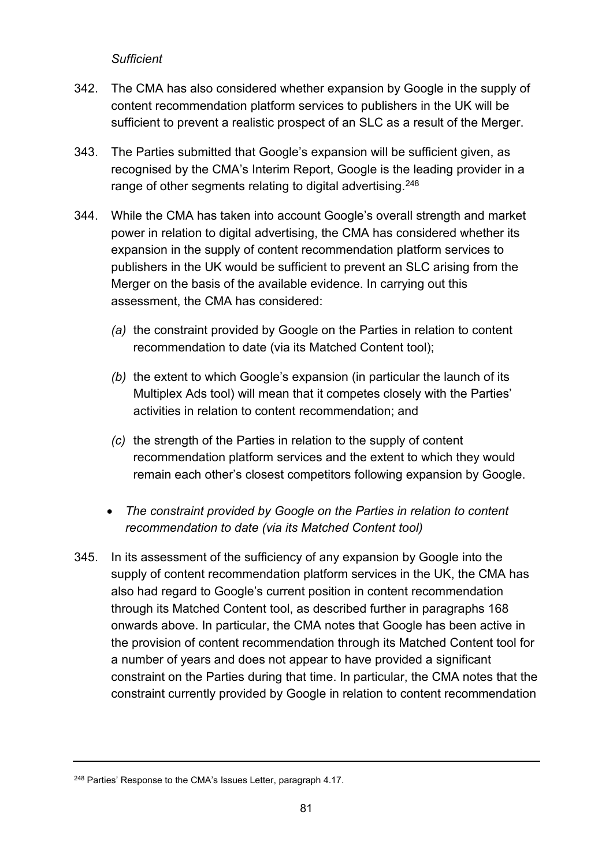#### *Sufficient*

- 342. The CMA has also considered whether expansion by Google in the supply of content recommendation platform services to publishers in the UK will be sufficient to prevent a realistic prospect of an SLC as a result of the Merger.
- 343. The Parties submitted that Google's expansion will be sufficient given, as recognised by the CMA's Interim Report, Google is the leading provider in a range of other segments relating to digital advertising.<sup>[248](#page-80-0)</sup>
- 344. While the CMA has taken into account Google's overall strength and market power in relation to digital advertising, the CMA has considered whether its expansion in the supply of content recommendation platform services to publishers in the UK would be sufficient to prevent an SLC arising from the Merger on the basis of the available evidence. In carrying out this assessment, the CMA has considered:
	- *(a)* the constraint provided by Google on the Parties in relation to content recommendation to date (via its Matched Content tool);
	- *(b)* the extent to which Google's expansion (in particular the launch of its Multiplex Ads tool) will mean that it competes closely with the Parties' activities in relation to content recommendation; and
	- *(c)* the strength of the Parties in relation to the supply of content recommendation platform services and the extent to which they would remain each other's closest competitors following expansion by Google.
	- *The constraint provided by Google on the Parties in relation to content recommendation to date (via its Matched Content tool)*
- 345. In its assessment of the sufficiency of any expansion by Google into the supply of content recommendation platform services in the UK, the CMA has also had regard to Google's current position in content recommendation through its Matched Content tool, as described further in paragraphs [168](#page-44-0) onwards above. In particular, the CMA notes that Google has been active in the provision of content recommendation through its Matched Content tool for a number of years and does not appear to have provided a significant constraint on the Parties during that time. In particular, the CMA notes that the constraint currently provided by Google in relation to content recommendation

<span id="page-80-0"></span><sup>248</sup> Parties' Response to the CMA's Issues Letter, paragraph 4.17.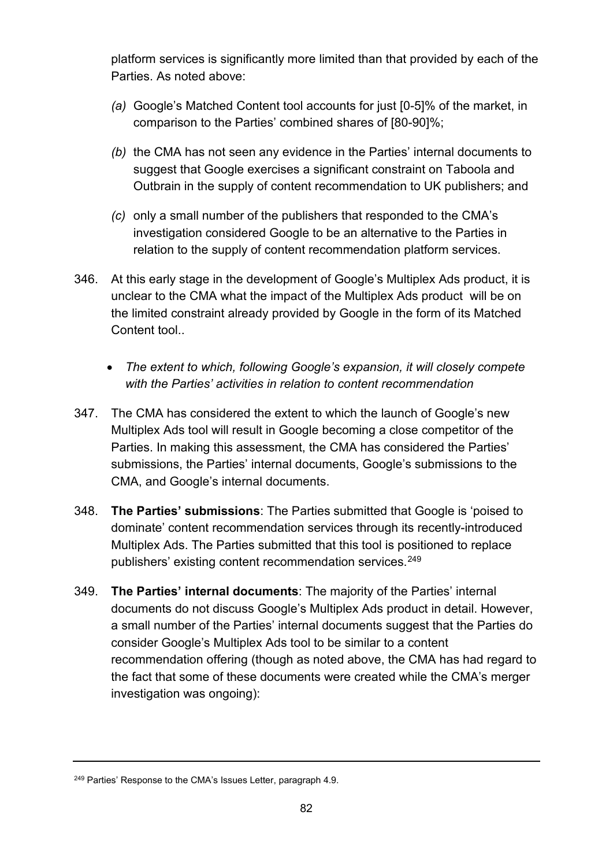platform services is significantly more limited than that provided by each of the Parties. As noted above:

- *(a)* Google's Matched Content tool accounts for just [0-5]% of the market, in comparison to the Parties' combined shares of [80-90]%;
- *(b)* the CMA has not seen any evidence in the Parties' internal documents to suggest that Google exercises a significant constraint on Taboola and Outbrain in the supply of content recommendation to UK publishers; and
- *(c)* only a small number of the publishers that responded to the CMA's investigation considered Google to be an alternative to the Parties in relation to the supply of content recommendation platform services.
- 346. At this early stage in the development of Google's Multiplex Ads product, it is unclear to the CMA what the impact of the Multiplex Ads product will be on the limited constraint already provided by Google in the form of its Matched Content tool..
	- *The extent to which, following Google's expansion, it will closely compete with the Parties' activities in relation to content recommendation*
- 347. The CMA has considered the extent to which the launch of Google's new Multiplex Ads tool will result in Google becoming a close competitor of the Parties. In making this assessment, the CMA has considered the Parties' submissions, the Parties' internal documents, Google's submissions to the CMA, and Google's internal documents.
- 348. **The Parties' submissions**: The Parties submitted that Google is 'poised to dominate' content recommendation services through its recently-introduced Multiplex Ads. The Parties submitted that this tool is positioned to replace publishers' existing content recommendation services. [249](#page-81-0)
- 349. **The Parties' internal documents**: The majority of the Parties' internal documents do not discuss Google's Multiplex Ads product in detail. However, a small number of the Parties' internal documents suggest that the Parties do consider Google's Multiplex Ads tool to be similar to a content recommendation offering (though as noted above, the CMA has had regard to the fact that some of these documents were created while the CMA's merger investigation was ongoing):

<span id="page-81-0"></span><sup>&</sup>lt;sup>249</sup> Parties' Response to the CMA's Issues Letter, paragraph 4.9.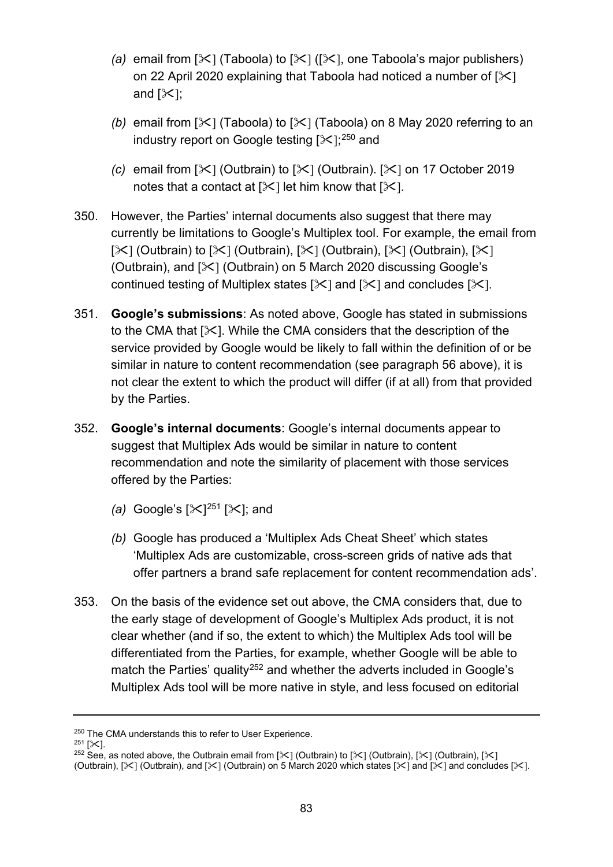- *(a)* email from  $[\times]$  (Taboola) to  $[\times]$  ( $[\times]$ , one Taboola's major publishers) on 22 April 2020 explaining that Taboola had noticed a number of  $[\times]$ and  $[\&$ ];
- *(b)* email from  $[\mathcal{K}]$  (Taboola) to  $[\mathcal{K}]$  (Taboola) on 8 May 2020 referring to an industry report on Google testing [ $\!\times$ ]; $^{250}$  $^{250}$  $^{250}$  and
- *(c)* email from  $[\mathcal{K}]$  (Outbrain) to  $[\mathcal{K}]$  (Outbrain).  $[\mathcal{K}]$  on 17 October 2019 notes that a contact at  $[\times]$  let him know that  $[\times]$ .
- 350. However, the Parties' internal documents also suggest that there may currently be limitations to Google's Multiplex tool. For example, the email from  $[\times]$  (Outbrain) to  $[\times]$  (Outbrain),  $[\times]$  (Outbrain),  $[\times]$  (Outbrain),  $[\times]$ (Outbrain), and  $[\times]$  (Outbrain) on 5 March 2020 discussing Google's continued testing of Multiplex states  $[\times]$  and  $[\times]$  and concludes  $[\times]$ .
- 351. **Google's submissions**: As noted above, Google has stated in submissions to the CMA that  $[\times]$ . While the CMA considers that the description of the service provided by Google would be likely to fall within the definition of or be similar in nature to content recommendation (see paragraph [56](#page-12-0) above), it is not clear the extent to which the product will differ (if at all) from that provided by the Parties.
- 352. **Google's internal documents**: Google's internal documents appear to suggest that Multiplex Ads would be similar in nature to content recommendation and note the similarity of placement with those services offered by the Parties:
	- *(a)* Google's  $[\times]^{251} [\times]$ ; and
	- *(b)* Google has produced a 'Multiplex Ads Cheat Sheet' which states 'Multiplex Ads are customizable, cross-screen grids of native ads that offer partners a brand safe replacement for content recommendation ads'.
- 353. On the basis of the evidence set out above, the CMA considers that, due to the early stage of development of Google's Multiplex Ads product, it is not clear whether (and if so, the extent to which) the Multiplex Ads tool will be differentiated from the Parties, for example, whether Google will be able to match the Parties' quality<sup>[252](#page-82-2)</sup> and whether the adverts included in Google's Multiplex Ads tool will be more native in style, and less focused on editorial

<span id="page-82-1"></span><span id="page-82-0"></span><sup>&</sup>lt;sup>250</sup> The CMA understands this to refer to User Experience.<br><sup>251</sup> [※].<br><sup>252</sup> See, as noted above, the Outbrain email from [※] (Outbrain) to [※] (Outbrain), [》[ (Outbrain), [》

<span id="page-82-2"></span><sup>(</sup>Outbrain),  $[\times]$  (Outbrain), and  $[\times]$  (Outbrain) on 5 March 2020 which states  $[\times]$  and  $[\times]$  and concludes  $[\times]$ .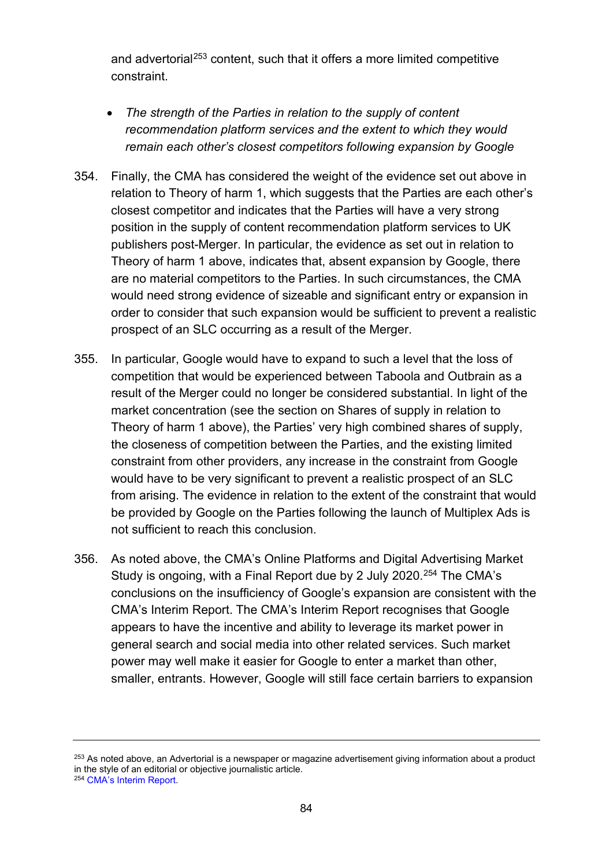and advertorial<sup>[253](#page-83-0)</sup> content, such that it offers a more limited competitive constraint.

- *The strength of the Parties in relation to the supply of content recommendation platform services and the extent to which they would remain each other's closest competitors following expansion by Google*
- 354. Finally, the CMA has considered the weight of the evidence set out above in relation to Theory of harm 1, which suggests that the Parties are each other's closest competitor and indicates that the Parties will have a very strong position in the supply of content recommendation platform services to UK publishers post-Merger. In particular, the evidence as set out in relation to Theory of harm 1 above, indicates that, absent expansion by Google, there are no material competitors to the Parties. In such circumstances, the CMA would need strong evidence of sizeable and significant entry or expansion in order to consider that such expansion would be sufficient to prevent a realistic prospect of an SLC occurring as a result of the Merger.
- 355. In particular, Google would have to expand to such a level that the loss of competition that would be experienced between Taboola and Outbrain as a result of the Merger could no longer be considered substantial. In light of the market concentration (see the section on Shares of supply in relation to Theory of harm 1 above), the Parties' very high combined shares of supply, the closeness of competition between the Parties, and the existing limited constraint from other providers, any increase in the constraint from Google would have to be very significant to prevent a realistic prospect of an SLC from arising. The evidence in relation to the extent of the constraint that would be provided by Google on the Parties following the launch of Multiplex Ads is not sufficient to reach this conclusion.
- 356. As noted above, the CMA's Online Platforms and Digital Advertising Market Study is ongoing, with a Final Report due by 2 July 2020.<sup>[254](#page-83-1)</sup> The CMA's conclusions on the insufficiency of Google's expansion are consistent with the CMA's Interim Report. The CMA's Interim Report recognises that Google appears to have the incentive and ability to leverage its market power in general search and social media into other related services. Such market power may well make it easier for Google to enter a market than other, smaller, entrants. However, Google will still face certain barriers to expansion

<span id="page-83-1"></span><span id="page-83-0"></span><sup>&</sup>lt;sup>253</sup> As noted above, an Advertorial is a newspaper or magazine advertisement giving information about a product in the style of an editorial or objective journalistic article. <sup>254</sup> [CMA's Interim Report.](https://assets.publishing.service.gov.uk/media/5ed0f75bd3bf7f4602e98330/Interim_report_---_web.pdf)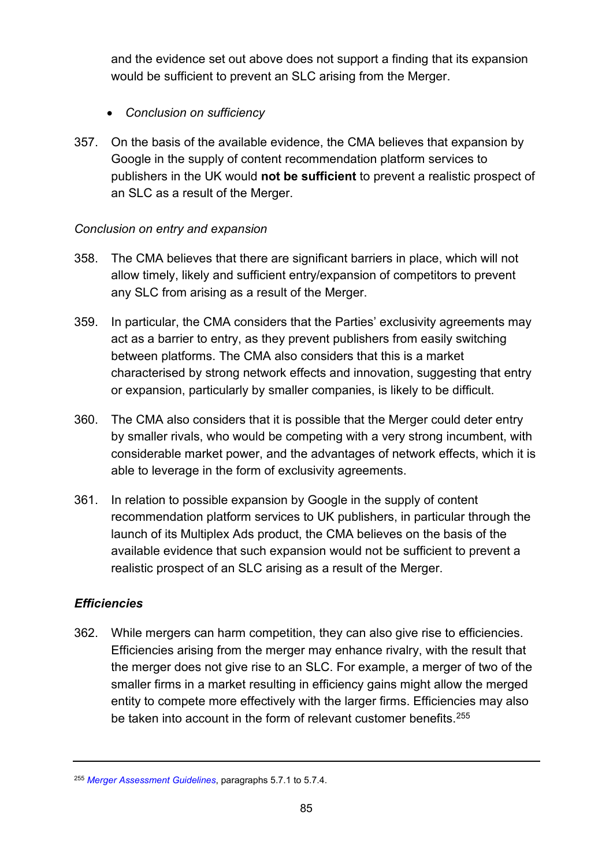and the evidence set out above does not support a finding that its expansion would be sufficient to prevent an SLC arising from the Merger.

- *Conclusion on sufficiency*
- 357. On the basis of the available evidence, the CMA believes that expansion by Google in the supply of content recommendation platform services to publishers in the UK would **not be sufficient** to prevent a realistic prospect of an SLC as a result of the Merger.

## *Conclusion on entry and expansion*

- 358. The CMA believes that there are significant barriers in place, which will not allow timely, likely and sufficient entry/expansion of competitors to prevent any SLC from arising as a result of the Merger.
- 359. In particular, the CMA considers that the Parties' exclusivity agreements may act as a barrier to entry, as they prevent publishers from easily switching between platforms. The CMA also considers that this is a market characterised by strong network effects and innovation, suggesting that entry or expansion, particularly by smaller companies, is likely to be difficult.
- 360. The CMA also considers that it is possible that the Merger could deter entry by smaller rivals, who would be competing with a very strong incumbent, with considerable market power, and the advantages of network effects, which it is able to leverage in the form of exclusivity agreements.
- 361. In relation to possible expansion by Google in the supply of content recommendation platform services to UK publishers, in particular through the launch of its Multiplex Ads product, the CMA believes on the basis of the available evidence that such expansion would not be sufficient to prevent a realistic prospect of an SLC arising as a result of the Merger.

# *Efficiencies*

362. While mergers can harm competition, they can also give rise to efficiencies. Efficiencies arising from the merger may enhance rivalry, with the result that the merger does not give rise to an SLC. For example, a merger of two of the smaller firms in a market resulting in efficiency gains might allow the merged entity to compete more effectively with the larger firms. Efficiencies may also be taken into account in the form of relevant customer benefits.<sup>255</sup>

<span id="page-84-0"></span><sup>255</sup> *[Merger Assessment Guidelines](https://www.gov.uk/government/publications/merger-assessment-guidelines)*, paragraphs 5.7.1 to 5.7.4.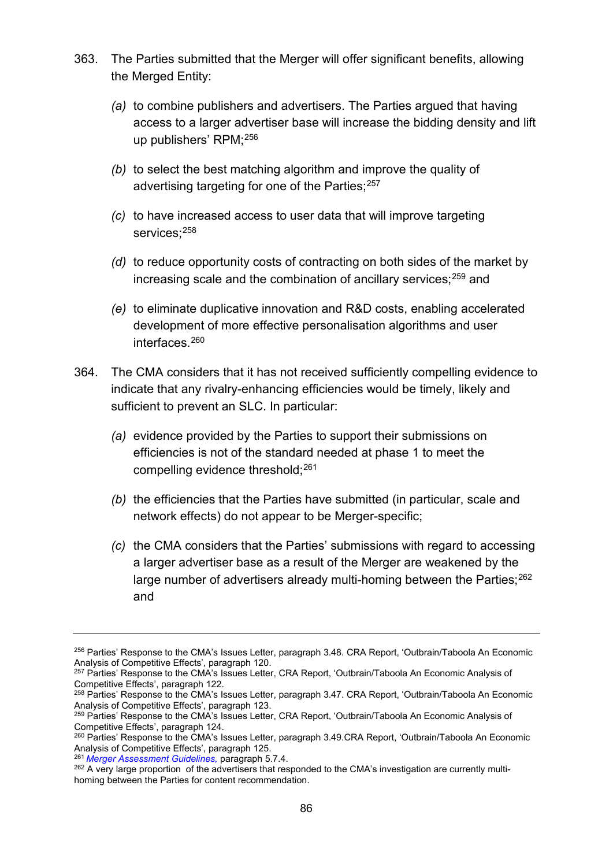- 363. The Parties submitted that the Merger will offer significant benefits, allowing the Merged Entity:
	- *(a)* to combine publishers and advertisers. The Parties argued that having access to a larger advertiser base will increase the bidding density and lift up publishers' RPM[;256](#page-85-0)
	- *(b)* to select the best matching algorithm and improve the quality of advertising targeting for one of the Parties;<sup>[257](#page-85-1)</sup>
	- *(c)* to have increased access to user data that will improve targeting services: [258](#page-85-2)
	- *(d)* to reduce opportunity costs of contracting on both sides of the market by increasing scale and the combination of ancillary services; [259](#page-85-3) and
	- *(e)* to eliminate duplicative innovation and R&D costs, enabling accelerated development of more effective personalisation algorithms and user interfaces.[260](#page-85-4)
- 364. The CMA considers that it has not received sufficiently compelling evidence to indicate that any rivalry-enhancing efficiencies would be timely, likely and sufficient to prevent an SLC. In particular:
	- *(a)* evidence provided by the Parties to support their submissions on efficiencies is not of the standard needed at phase 1 to meet the compelling evidence threshold;<sup>[261](#page-85-5)</sup>
	- *(b)* the efficiencies that the Parties have submitted (in particular, scale and network effects) do not appear to be Merger-specific;
	- *(c)* the CMA considers that the Parties' submissions with regard to accessing a larger advertiser base as a result of the Merger are weakened by the large number of advertisers already multi-homing between the Parties;<sup>[262](#page-85-6)</sup> and

<span id="page-85-0"></span><sup>&</sup>lt;sup>256</sup> Parties' Response to the CMA's Issues Letter, paragraph 3.48. CRA Report, 'Outbrain/Taboola An Economic Analysis of Competitive Effects', paragraph 120.

<span id="page-85-1"></span><sup>&</sup>lt;sup>257</sup> Parties' Response to the CMA's Issues Letter, CRA Report, 'Outbrain/Taboola An Economic Analysis of

<span id="page-85-2"></span>Competitive Effects', paragraph 122.<br><sup>258</sup> Parties' Response to the CMA's Issues Letter, paragraph 3.47. CRA Report, 'Outbrain/Taboola An Economic<br>Analysis of Competitive Effects', paragraph 123.

<span id="page-85-3"></span><sup>&</sup>lt;sup>259</sup> Parties' Response to the CMA's Issues Letter, CRA Report, 'Outbrain/Taboola An Economic Analysis of

<span id="page-85-4"></span>Competitive Effects', paragraph 124.<br><sup>260</sup> Parties' Response to the CMA's Issues Letter, paragraph 3.49.CRA Report, 'Outbrain/Taboola An Economic Analysis of Competitive Effects', paragraph 125.

<span id="page-85-5"></span><sup>&</sup>lt;sup>261</sup> [Merger Assessment Guidelines,](https://www.gov.uk/government/publications/merger-assessment-guidelines) paragraph 5.7.4.

<span id="page-85-6"></span><sup>&</sup>lt;sup>262</sup> A very large proportion of the advertisers that responded to the CMA's investigation are currently multihoming between the Parties for content recommendation.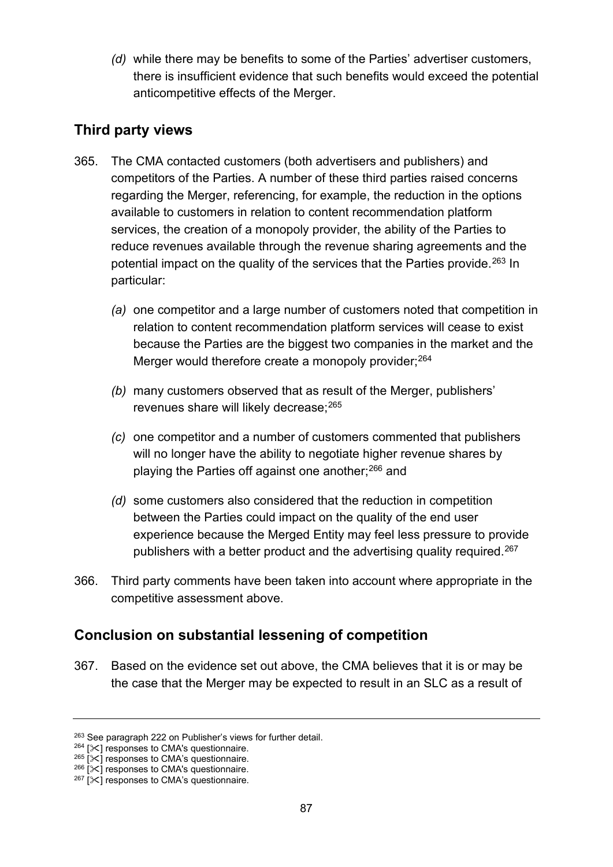*(d)* while there may be benefits to some of the Parties' advertiser customers, there is insufficient evidence that such benefits would exceed the potential anticompetitive effects of the Merger.

# **Third party views**

- 365. The CMA contacted customers (both advertisers and publishers) and competitors of the Parties. A number of these third parties raised concerns regarding the Merger, referencing, for example, the reduction in the options available to customers in relation to content recommendation platform services, the creation of a monopoly provider, the ability of the Parties to reduce revenues available through the revenue sharing agreements and the potential impact on the quality of the services that the Parties provide. [263](#page-86-0) In particular:
	- *(a)* one competitor and a large number of customers noted that competition in relation to content recommendation platform services will cease to exist because the Parties are the biggest two companies in the market and the Merger would therefore create a monopoly provider;<sup>264</sup>
	- *(b)* many customers observed that as result of the Merger, publishers' revenues share will likely decrease; [265](#page-86-2)
	- *(c)* one competitor and a number of customers commented that publishers will no longer have the ability to negotiate higher revenue shares by playing the Parties off against one another;<sup>[266](#page-86-3)</sup> and
	- *(d)* some customers also considered that the reduction in competition between the Parties could impact on the quality of the end user experience because the Merged Entity may feel less pressure to provide publishers with a better product and the advertising quality required.<sup>267</sup>
- 366. Third party comments have been taken into account where appropriate in the competitive assessment above.

# **Conclusion on substantial lessening of competition**

367. Based on the evidence set out above, the CMA believes that it is or may be the case that the Merger may be expected to result in an SLC as a result of

<span id="page-86-0"></span><sup>&</sup>lt;sup>263</sup> See paragraph 222 on Publisher's views for further detail.<br><sup>264</sup> [ $\times$ ] responses to CMA's questionnaire.

<span id="page-86-2"></span>

<span id="page-86-1"></span><sup>&</sup>lt;sup>265</sup> [ $\times$ ] responses to CMA's questionnaire.<br><sup>266</sup> [ $\times$ ] responses to CMA's questionnaire.

<span id="page-86-4"></span><span id="page-86-3"></span> $267$  [ $\times$ ] responses to CMA's questionnaire.